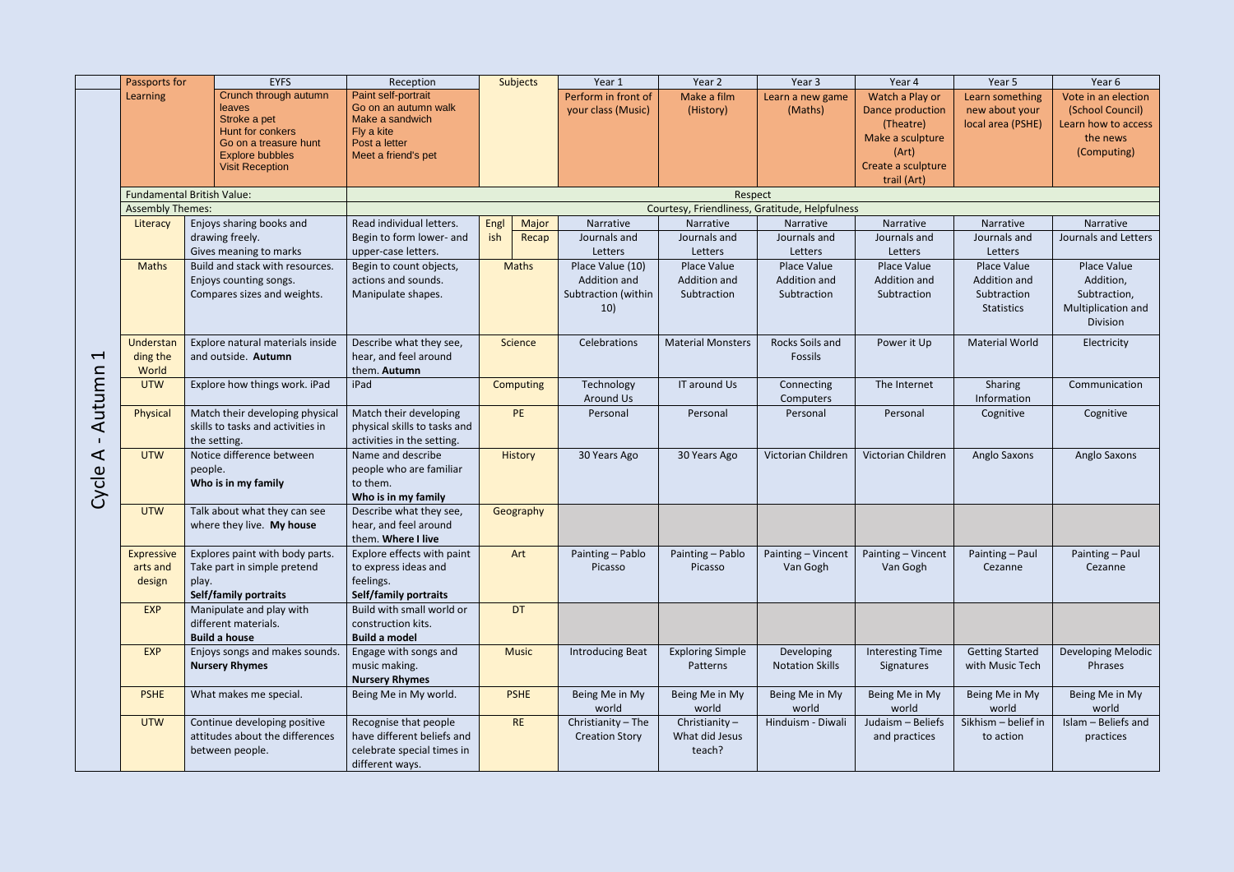|                          | Passports for           | <b>EYFS</b>                                                                                                                   | Reception                                                                                                            | <b>Subjects</b>  | Year 1                                    | Year 2                   | Year 3                                         | Year 4                                                                        | Year 5                                                 | Year 6                                                                                    |
|--------------------------|-------------------------|-------------------------------------------------------------------------------------------------------------------------------|----------------------------------------------------------------------------------------------------------------------|------------------|-------------------------------------------|--------------------------|------------------------------------------------|-------------------------------------------------------------------------------|--------------------------------------------------------|-------------------------------------------------------------------------------------------|
|                          | Learning                | Crunch through autumn<br><b>leaves</b><br>Stroke a pet<br>Hunt for conkers<br>Go on a treasure hunt<br><b>Explore bubbles</b> | Paint self-portrait<br>Go on an autumn walk<br>Make a sandwich<br>Fly a kite<br>Post a letter<br>Meet a friend's pet |                  | Perform in front of<br>your class (Music) | Make a film<br>(History) | Learn a new game<br>(Maths)                    | Watch a Play or<br>Dance production<br>(Theatre)<br>Make a sculpture<br>(Art) | Learn something<br>new about your<br>local area (PSHE) | Vote in an election<br>(School Council)<br>Learn how to access<br>the news<br>(Computing) |
|                          |                         | <b>Visit Reception</b>                                                                                                        |                                                                                                                      |                  |                                           |                          |                                                | Create a sculpture                                                            |                                                        |                                                                                           |
|                          |                         |                                                                                                                               |                                                                                                                      |                  |                                           |                          |                                                | trail (Art)                                                                   |                                                        |                                                                                           |
|                          | <b>Assembly Themes:</b> | <b>Fundamental British Value:</b>                                                                                             |                                                                                                                      |                  |                                           | Respect                  | Courtesy, Friendliness, Gratitude, Helpfulness |                                                                               |                                                        |                                                                                           |
|                          | Literacy                | Enjoys sharing books and                                                                                                      | Read individual letters.                                                                                             | Major<br>Engl    | Narrative                                 | Narrative                | Narrative                                      | Narrative                                                                     | Narrative                                              | Narrative                                                                                 |
|                          |                         | drawing freely.                                                                                                               | Begin to form lower- and                                                                                             | ish<br>Recap     | Journals and                              | Journals and             | Journals and                                   | Journals and                                                                  | Journals and                                           | Journals and Letters                                                                      |
|                          |                         | Gives meaning to marks                                                                                                        | upper-case letters.                                                                                                  |                  | Letters                                   | Letters                  | Letters                                        | Letters                                                                       | Letters                                                |                                                                                           |
|                          | <b>Maths</b>            | Build and stack with resources.                                                                                               | Begin to count objects,                                                                                              | <b>Maths</b>     | Place Value (10)                          | Place Value              | Place Value                                    | Place Value                                                                   | Place Value                                            | Place Value                                                                               |
|                          |                         | Enjoys counting songs.                                                                                                        | actions and sounds.                                                                                                  |                  | Addition and                              | Addition and             | Addition and                                   | Addition and                                                                  | Addition and                                           | Addition,                                                                                 |
|                          |                         | Compares sizes and weights.                                                                                                   | Manipulate shapes.                                                                                                   |                  | Subtraction (within                       | Subtraction              | Subtraction                                    | Subtraction                                                                   | Subtraction                                            | Subtraction,                                                                              |
|                          |                         |                                                                                                                               |                                                                                                                      |                  | 10)                                       |                          |                                                |                                                                               | <b>Statistics</b>                                      | Multiplication and<br><b>Division</b>                                                     |
|                          | Understan               | Explore natural materials inside                                                                                              | Describe what they see,                                                                                              | Science          | Celebrations                              | <b>Material Monsters</b> | Rocks Soils and                                | Power it Up                                                                   | <b>Material World</b>                                  | Electricity                                                                               |
| $\overline{\phantom{0}}$ | ding the                | and outside. Autumn                                                                                                           | hear, and feel around                                                                                                |                  |                                           |                          | Fossils                                        |                                                                               |                                                        |                                                                                           |
|                          | World                   |                                                                                                                               | them. Autumn                                                                                                         |                  |                                           |                          |                                                |                                                                               |                                                        |                                                                                           |
|                          | <b>UTW</b>              | Explore how things work. iPad                                                                                                 | iPad                                                                                                                 | <b>Computing</b> | Technology<br><b>Around Us</b>            | IT around Us             | Connecting<br>Computers                        | The Internet                                                                  | Sharing<br>Information                                 | Communication                                                                             |
| Autumn                   | Physical                | Match their developing physical                                                                                               | Match their developing                                                                                               | <b>PE</b>        | Personal                                  | Personal                 | Personal                                       | Personal                                                                      | Cognitive                                              | Cognitive                                                                                 |
|                          |                         | skills to tasks and activities in                                                                                             | physical skills to tasks and                                                                                         |                  |                                           |                          |                                                |                                                                               |                                                        |                                                                                           |
|                          |                         | the setting.                                                                                                                  | activities in the setting.                                                                                           |                  |                                           |                          |                                                |                                                                               |                                                        |                                                                                           |
| ⋖                        | <b>UTW</b>              | Notice difference between                                                                                                     | Name and describe                                                                                                    | History          | 30 Years Ago                              | 30 Years Ago             | Victorian Children                             | Victorian Children                                                            | Anglo Saxons                                           | Anglo Saxons                                                                              |
| Cycle                    |                         | people.                                                                                                                       | people who are familiar<br>to them.                                                                                  |                  |                                           |                          |                                                |                                                                               |                                                        |                                                                                           |
|                          |                         | Who is in my family                                                                                                           | Who is in my family                                                                                                  |                  |                                           |                          |                                                |                                                                               |                                                        |                                                                                           |
|                          | <b>UTW</b>              | Talk about what they can see                                                                                                  | Describe what they see,                                                                                              | Geography        |                                           |                          |                                                |                                                                               |                                                        |                                                                                           |
|                          |                         | where they live. My house                                                                                                     | hear, and feel around                                                                                                |                  |                                           |                          |                                                |                                                                               |                                                        |                                                                                           |
|                          |                         |                                                                                                                               | them. Where I live                                                                                                   |                  |                                           |                          |                                                |                                                                               |                                                        |                                                                                           |
|                          | <b>Expressive</b>       | Explores paint with body parts.                                                                                               | Explore effects with paint                                                                                           | Art              | Painting - Pablo                          | Painting - Pablo         | Painting - Vincent                             | Painting - Vincent                                                            | Painting - Paul                                        | Painting - Paul                                                                           |
|                          | arts and<br>design      | Take part in simple pretend                                                                                                   | to express ideas and<br>feelings.                                                                                    |                  | Picasso                                   | Picasso                  | Van Gogh                                       | Van Gogh                                                                      | Cezanne                                                | Cezanne                                                                                   |
|                          |                         | play.<br><b>Self/family portraits</b>                                                                                         | <b>Self/family portraits</b>                                                                                         |                  |                                           |                          |                                                |                                                                               |                                                        |                                                                                           |
|                          | <b>EXP</b>              | Manipulate and play with                                                                                                      | Build with small world or                                                                                            | <b>DT</b>        |                                           |                          |                                                |                                                                               |                                                        |                                                                                           |
|                          |                         | different materials.                                                                                                          | construction kits.                                                                                                   |                  |                                           |                          |                                                |                                                                               |                                                        |                                                                                           |
|                          |                         | <b>Build a house</b>                                                                                                          | <b>Build a model</b>                                                                                                 |                  |                                           |                          |                                                |                                                                               |                                                        |                                                                                           |
|                          | <b>EXP</b>              | Enjoys songs and makes sounds.                                                                                                | Engage with songs and                                                                                                | <b>Music</b>     | Introducing Beat                          | <b>Exploring Simple</b>  | Developing                                     | <b>Interesting Time</b>                                                       | <b>Getting Started</b>                                 | Developing Melodic                                                                        |
|                          |                         | <b>Nursery Rhymes</b>                                                                                                         | music making.                                                                                                        |                  |                                           | Patterns                 | <b>Notation Skills</b>                         | Signatures                                                                    | with Music Tech                                        | Phrases                                                                                   |
|                          | <b>PSHE</b>             | What makes me special.                                                                                                        | <b>Nursery Rhymes</b><br>Being Me in My world.                                                                       | <b>PSHE</b>      | Being Me in My                            | Being Me in My           | Being Me in My                                 | Being Me in My                                                                | Being Me in My                                         | Being Me in My                                                                            |
|                          |                         |                                                                                                                               |                                                                                                                      |                  | world                                     | world                    | world                                          | world                                                                         | world                                                  | world                                                                                     |
|                          | <b>UTW</b>              | Continue developing positive                                                                                                  | Recognise that people                                                                                                | <b>RE</b>        | Christianity - The                        | Christianity $-$         | Hinduism - Diwali                              | Judaism - Beliefs                                                             | Sikhism - belief in                                    | Islam - Beliefs and                                                                       |
|                          |                         | attitudes about the differences                                                                                               | have different beliefs and                                                                                           |                  | <b>Creation Story</b>                     | What did Jesus           |                                                | and practices                                                                 | to action                                              | practices                                                                                 |
|                          |                         | between people.                                                                                                               | celebrate special times in<br>different ways.                                                                        |                  |                                           | teach?                   |                                                |                                                                               |                                                        |                                                                                           |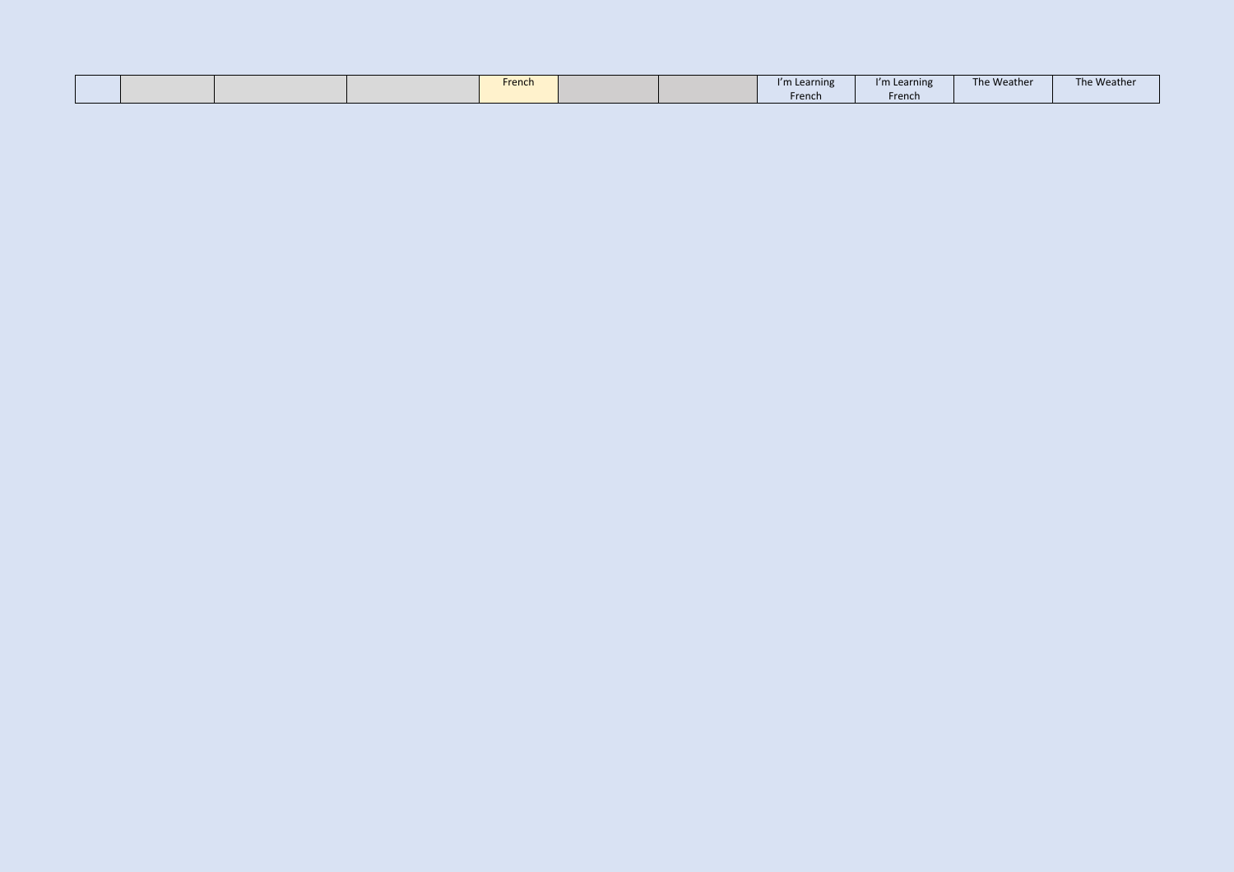|  | French | i'm Learning | "m Learning | The Weather | The Weather |
|--|--------|--------------|-------------|-------------|-------------|
|  |        | French       | French      |             |             |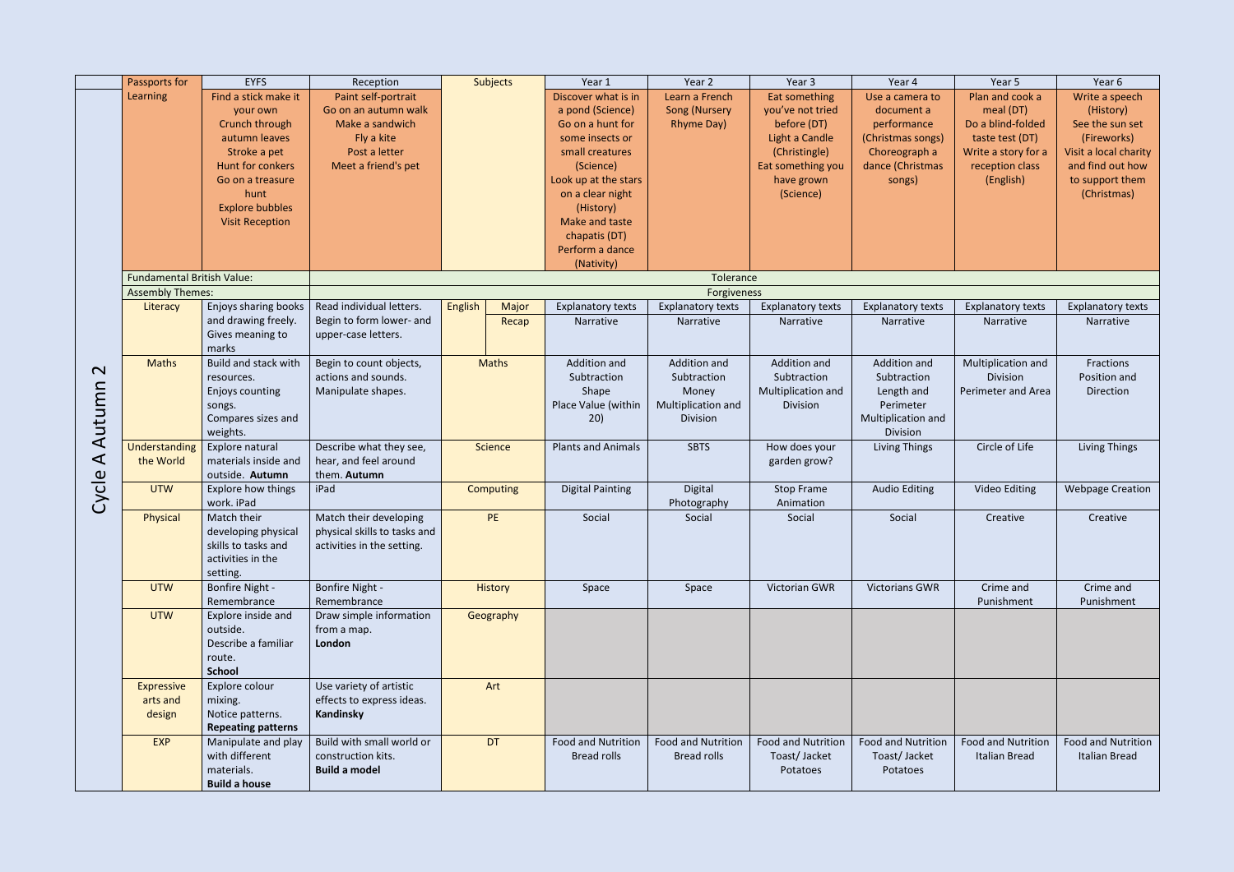|                      | Passports for                                                | <b>EYFS</b>                        | Reception                    |                | Subjects       | Year 1                    | Year 2                    | Year 3                    | Year 4                    | Year 5                    | Year 6                   |
|----------------------|--------------------------------------------------------------|------------------------------------|------------------------------|----------------|----------------|---------------------------|---------------------------|---------------------------|---------------------------|---------------------------|--------------------------|
|                      | Learning                                                     | Find a stick make it               | Paint self-portrait          |                |                | Discover what is in       | Learn a French            | Eat something             | Use a camera to           | Plan and cook a           | Write a speech           |
|                      |                                                              | your own                           | Go on an autumn walk         |                |                | a pond (Science)          | <b>Song (Nursery</b>      | you've not tried          | document a                | meal (DT)                 | (History)                |
|                      |                                                              | Crunch through                     | Make a sandwich              |                |                | Go on a hunt for          | Rhyme Day)                | before (DT)               | performance               | Do a blind-folded         | See the sun set          |
|                      |                                                              | autumn leaves                      | Fly a kite                   |                |                | some insects or           |                           | Light a Candle            | (Christmas songs)         | taste test (DT)           | (Fireworks)              |
|                      |                                                              | Stroke a pet                       | Post a letter                |                |                | small creatures           |                           | (Christingle)             | Choreograph a             | Write a story for a       | Visit a local charity    |
|                      |                                                              | Hunt for conkers                   | Meet a friend's pet          |                |                | (Science)                 |                           | Eat something you         | dance (Christmas          | reception class           | and find out how         |
|                      |                                                              | Go on a treasure                   |                              |                |                | Look up at the stars      |                           | have grown                | songs)                    | (English)                 | to support them          |
|                      |                                                              | hunt                               |                              |                |                | on a clear night          |                           | (Science)                 |                           |                           | (Christmas)              |
|                      |                                                              | <b>Explore bubbles</b>             |                              |                |                | (History)                 |                           |                           |                           |                           |                          |
|                      |                                                              | <b>Visit Reception</b>             |                              |                |                | Make and taste            |                           |                           |                           |                           |                          |
|                      |                                                              |                                    |                              |                |                | chapatis (DT)             |                           |                           |                           |                           |                          |
|                      |                                                              |                                    |                              |                |                | Perform a dance           |                           |                           |                           |                           |                          |
|                      |                                                              |                                    |                              |                |                | (Nativity)                |                           |                           |                           |                           |                          |
|                      | <b>Fundamental British Value:</b><br><b>Assembly Themes:</b> |                                    |                              |                |                |                           | Tolerance<br>Forgiveness  |                           |                           |                           |                          |
|                      | Literacy                                                     | Enjoys sharing books               | Read individual letters.     | <b>English</b> | Major          | <b>Explanatory texts</b>  | <b>Explanatory texts</b>  | <b>Explanatory texts</b>  | <b>Explanatory texts</b>  | <b>Explanatory texts</b>  | <b>Explanatory texts</b> |
|                      |                                                              | and drawing freely.                | Begin to form lower- and     |                | Recap          | Narrative                 | Narrative                 | Narrative                 | Narrative                 | Narrative                 | Narrative                |
|                      |                                                              | Gives meaning to                   | upper-case letters.          |                |                |                           |                           |                           |                           |                           |                          |
|                      |                                                              | marks                              |                              |                |                |                           |                           |                           |                           |                           |                          |
|                      | <b>Maths</b>                                                 | Build and stack with               | Begin to count objects,      |                | <b>Maths</b>   | Addition and              | Addition and              | <b>Addition and</b>       | Addition and              | Multiplication and        | Fractions                |
| $\mathbf{\Omega}$    |                                                              | resources.                         | actions and sounds.          |                |                | Subtraction               | Subtraction               | Subtraction               | Subtraction               | Division                  | Position and             |
|                      |                                                              | Enjoys counting                    | Manipulate shapes.           |                |                | Shape                     | Money                     | Multiplication and        | Length and                | Perimeter and Area        | Direction                |
|                      |                                                              | songs.                             |                              |                |                | Place Value (within       | Multiplication and        | Division                  | Perimeter                 |                           |                          |
|                      |                                                              | Compares sizes and                 |                              |                |                | 20)                       | Division                  |                           | Multiplication and        |                           |                          |
| Autumn               |                                                              | weights.                           |                              |                |                |                           |                           |                           | Division                  |                           |                          |
|                      | Understanding                                                | Explore natural                    | Describe what they see,      |                | <b>Science</b> | <b>Plants and Animals</b> | <b>SBTS</b>               | How does your             | Living Things             | Circle of Life            | <b>Living Things</b>     |
| $\blacktriangleleft$ | the World                                                    | materials inside and               | hear, and feel around        |                |                |                           |                           | garden grow?              |                           |                           |                          |
|                      |                                                              | outside. Autumn                    | them. Autumn                 |                |                |                           |                           |                           |                           |                           |                          |
|                      | <b>UTW</b>                                                   | Explore how things                 | iPad                         |                | Computing      | <b>Digital Painting</b>   | Digital                   | <b>Stop Frame</b>         | <b>Audio Editing</b>      | <b>Video Editing</b>      | <b>Webpage Creation</b>  |
| Cycle                |                                                              | work. iPad                         |                              |                |                |                           | Photography               | Animation                 |                           |                           |                          |
|                      | <b>Physical</b>                                              | Match their                        | Match their developing       |                | PE             | Social                    | Social                    | Social                    | Social                    | Creative                  | Creative                 |
|                      |                                                              | developing physical                | physical skills to tasks and |                |                |                           |                           |                           |                           |                           |                          |
|                      |                                                              | skills to tasks and                | activities in the setting.   |                |                |                           |                           |                           |                           |                           |                          |
|                      |                                                              | activities in the                  |                              |                |                |                           |                           |                           |                           |                           |                          |
|                      | <b>UTW</b>                                                   | setting.<br><b>Bonfire Night -</b> | Bonfire Night -              |                | <b>History</b> | Space                     | Space                     | Victorian GWR             | <b>Victorians GWR</b>     | Crime and                 | Crime and                |
|                      |                                                              | Remembrance                        | Remembrance                  |                |                |                           |                           |                           |                           | Punishment                | Punishment               |
|                      | <b>UTW</b>                                                   | Explore inside and                 | Draw simple information      |                | Geography      |                           |                           |                           |                           |                           |                          |
|                      |                                                              | outside.                           | from a map.                  |                |                |                           |                           |                           |                           |                           |                          |
|                      |                                                              | Describe a familiar                | London                       |                |                |                           |                           |                           |                           |                           |                          |
|                      |                                                              | route.                             |                              |                |                |                           |                           |                           |                           |                           |                          |
|                      |                                                              | <b>School</b>                      |                              |                |                |                           |                           |                           |                           |                           |                          |
|                      | <b>Expressive</b>                                            | Explore colour                     | Use variety of artistic      |                | Art            |                           |                           |                           |                           |                           |                          |
|                      | arts and                                                     | mixing.                            | effects to express ideas.    |                |                |                           |                           |                           |                           |                           |                          |
|                      | design                                                       | Notice patterns.                   | Kandinsky                    |                |                |                           |                           |                           |                           |                           |                          |
|                      |                                                              | <b>Repeating patterns</b>          |                              |                |                |                           |                           |                           |                           |                           |                          |
|                      | EXP                                                          | Manipulate and play                | Build with small world or    |                | <b>DT</b>      | <b>Food and Nutrition</b> | <b>Food and Nutrition</b> | <b>Food and Nutrition</b> | <b>Food and Nutrition</b> | <b>Food and Nutrition</b> | Food and Nutrition       |
|                      |                                                              | with different                     | construction kits.           |                |                | <b>Bread rolls</b>        | <b>Bread rolls</b>        | Toast/Jacket              | Toast/Jacket              | Italian Bread             | <b>Italian Bread</b>     |
|                      |                                                              | materials.                         | <b>Build a model</b>         |                |                |                           |                           | Potatoes                  | Potatoes                  |                           |                          |
|                      |                                                              | <b>Build a house</b>               |                              |                |                |                           |                           |                           |                           |                           |                          |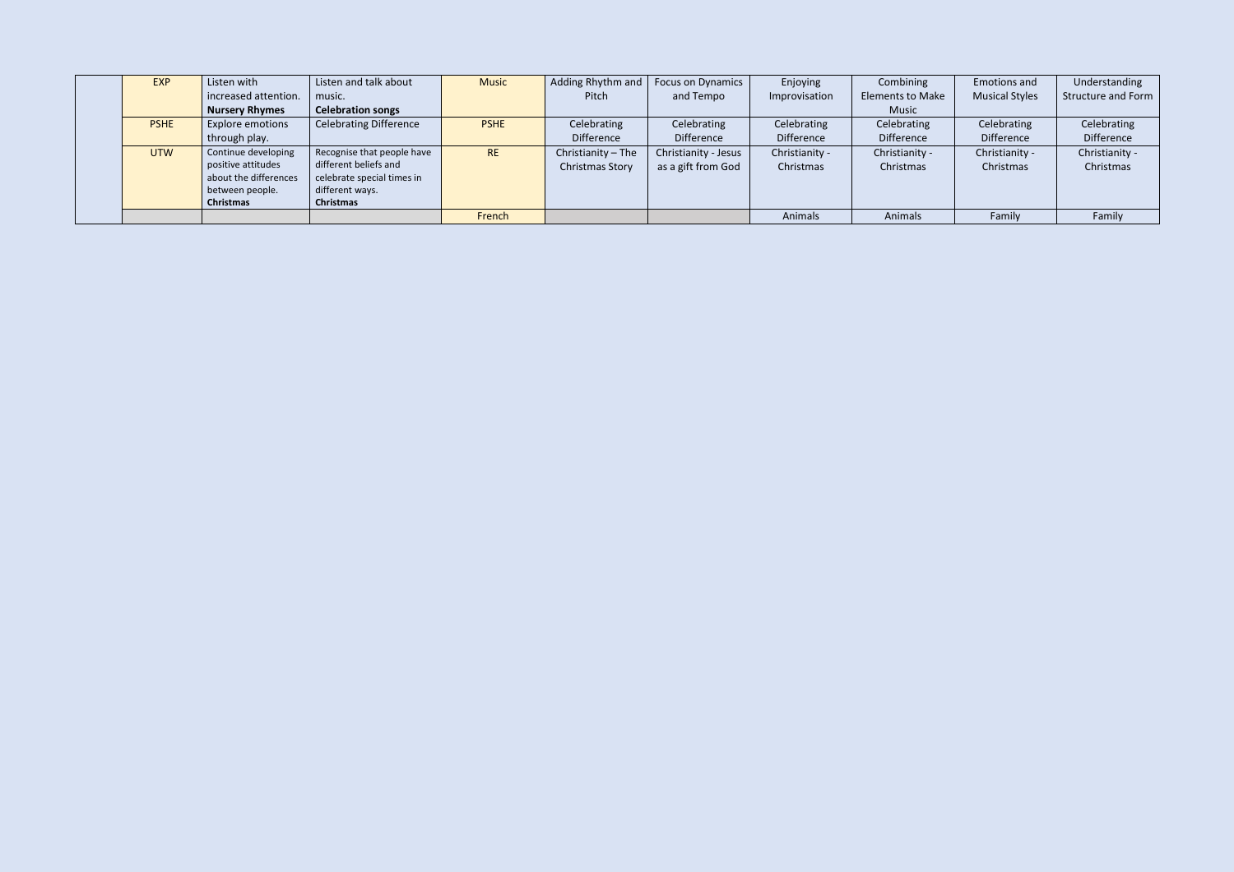| <b>EXP</b>  | Listen with           | Listen and talk about         | <b>Music</b> | Adding Rhythm and $\vert$ | <b>Focus on Dynamics</b> | Enjoying       | Combining               | <b>Emotions and</b>   | Understanding             |
|-------------|-----------------------|-------------------------------|--------------|---------------------------|--------------------------|----------------|-------------------------|-----------------------|---------------------------|
|             | increased attention.  | music.                        |              | Pitch                     | and Tempo                | Improvisation  | <b>Elements to Make</b> | <b>Musical Styles</b> | <b>Structure and Form</b> |
|             | <b>Nursery Rhymes</b> | <b>Celebration songs</b>      |              |                           |                          |                | Music                   |                       |                           |
| <b>PSHE</b> | Explore emotions      | <b>Celebrating Difference</b> | <b>PSHE</b>  | Celebrating               | Celebrating              | Celebrating    | Celebrating             | Celebrating           | Celebrating               |
|             | through play.         |                               |              | Difference                | Difference               | Difference     | Difference              | <b>Difference</b>     | Difference                |
| <b>UTW</b>  | Continue developing   | Recognise that people have    | <b>RE</b>    | Christianity - The        | Christianity - Jesus     | Christianity - | Christianity -          | Christianity -        | Christianity -            |
|             | positive attitudes    | different beliefs and         |              | <b>Christmas Story</b>    | as a gift from God       | Christmas      | Christmas               | Christmas             | Christmas                 |
|             | about the differences | celebrate special times in    |              |                           |                          |                |                         |                       |                           |
|             | between people.       | different ways.               |              |                           |                          |                |                         |                       |                           |
|             | Christmas             | Christmas                     |              |                           |                          |                |                         |                       |                           |
|             |                       |                               | French       |                           |                          | Animals        | Animals                 | Family                | Family                    |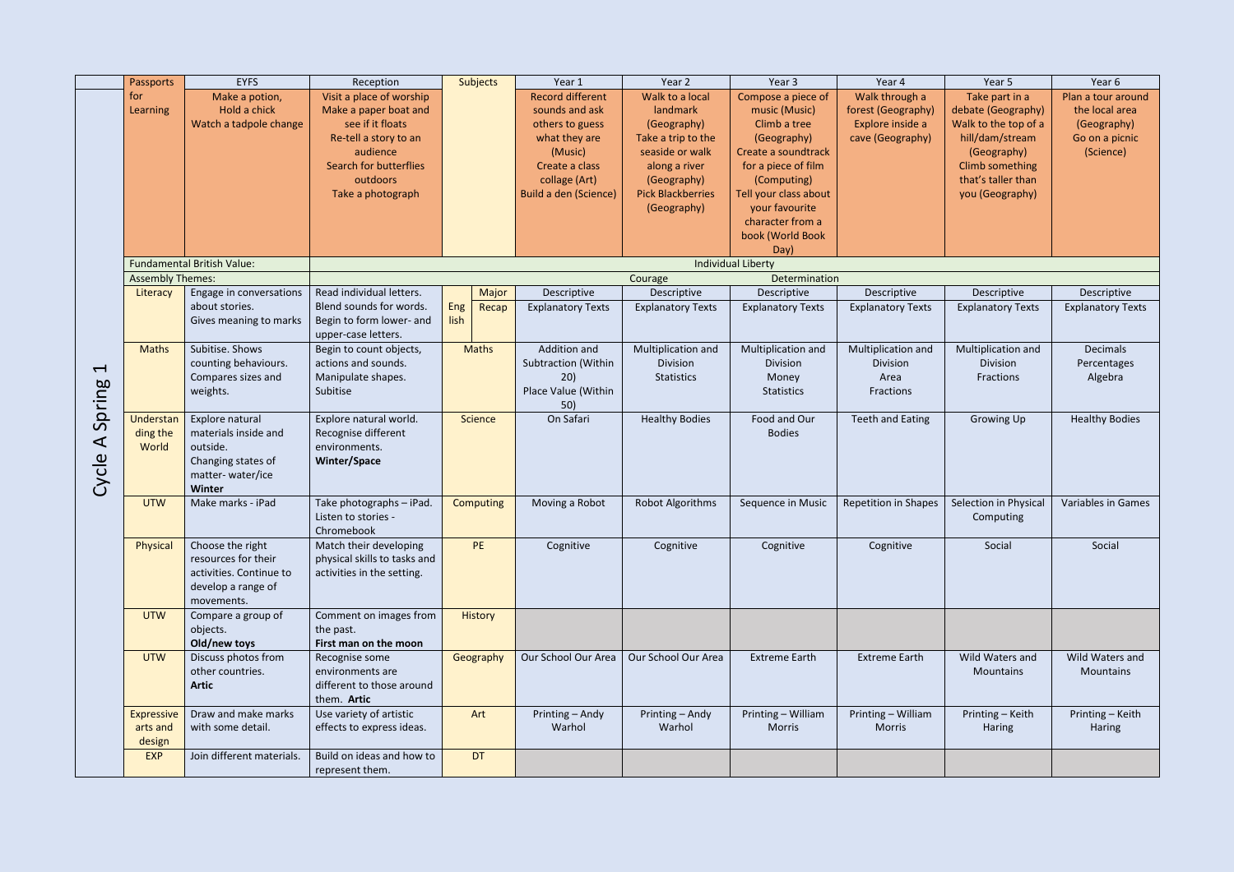|                          | <b>Passports</b>        | <b>EYFS</b>                       | Reception                                       |      | <b>Subjects</b> | Year 1                   | Year <sub>2</sub>        | Year 3                                     | Year 4                      | Year 5                             | Year 6                    |
|--------------------------|-------------------------|-----------------------------------|-------------------------------------------------|------|-----------------|--------------------------|--------------------------|--------------------------------------------|-----------------------------|------------------------------------|---------------------------|
|                          | for                     | Make a potion,                    | Visit a place of worship                        |      |                 | <b>Record different</b>  | Walk to a local          | Compose a piece of                         | Walk through a              | Take part in a                     | Plan a tour around        |
|                          | Learning                | Hold a chick                      | Make a paper boat and                           |      |                 | sounds and ask           | landmark                 | music (Music)                              | forest (Geography)          | debate (Geography)                 | the local area            |
|                          |                         | Watch a tadpole change            | see if it floats                                |      |                 | others to guess          | (Geography)              | Climb a tree                               | Explore inside a            | Walk to the top of a               | (Geography)               |
|                          |                         |                                   | Re-tell a story to an                           |      |                 | what they are            | Take a trip to the       | (Geography)                                | cave (Geography)            | hill/dam/stream                    | Go on a picnic            |
|                          |                         |                                   | audience                                        |      |                 | (Music)                  | seaside or walk          | Create a soundtrack                        |                             | (Geography)                        | (Science)                 |
|                          |                         |                                   | <b>Search for butterflies</b>                   |      |                 | Create a class           | along a river            | for a piece of film                        |                             | <b>Climb something</b>             |                           |
|                          |                         |                                   | outdoors                                        |      |                 | collage (Art)            | (Geography)              | (Computing)                                |                             | that's taller than                 |                           |
|                          |                         |                                   | Take a photograph                               |      |                 | Build a den (Science)    | <b>Pick Blackberries</b> | Tell your class about                      |                             | you (Geography)                    |                           |
|                          |                         |                                   |                                                 |      |                 |                          | (Geography)              | your favourite                             |                             |                                    |                           |
|                          |                         |                                   |                                                 |      |                 |                          |                          | character from a                           |                             |                                    |                           |
|                          |                         |                                   |                                                 |      |                 |                          |                          | book (World Book                           |                             |                                    |                           |
|                          |                         |                                   |                                                 |      |                 |                          |                          | Day)                                       |                             |                                    |                           |
|                          | <b>Assembly Themes:</b> | <b>Fundamental British Value:</b> |                                                 |      |                 |                          | Courage                  | <b>Individual Liberty</b><br>Determination |                             |                                    |                           |
|                          | Literacy                | Engage in conversations           | Read individual letters.                        |      | Major           | Descriptive              | Descriptive              | Descriptive                                | Descriptive                 | Descriptive                        | Descriptive               |
|                          |                         | about stories.                    | Blend sounds for words.                         | Eng  | Recap           | <b>Explanatory Texts</b> | <b>Explanatory Texts</b> | <b>Explanatory Texts</b>                   | <b>Explanatory Texts</b>    | <b>Explanatory Texts</b>           | <b>Explanatory Texts</b>  |
|                          |                         | Gives meaning to marks            | Begin to form lower- and                        | lish |                 |                          |                          |                                            |                             |                                    |                           |
|                          |                         |                                   | upper-case letters.                             |      |                 |                          |                          |                                            |                             |                                    |                           |
|                          | <b>Maths</b>            | Subitise. Shows                   | Begin to count objects,                         |      | <b>Maths</b>    | Addition and             | Multiplication and       | Multiplication and                         | Multiplication and          | Multiplication and                 | <b>Decimals</b>           |
|                          |                         | counting behaviours.              | actions and sounds.                             |      |                 | Subtraction (Within      | Division                 | Division                                   | Division                    | <b>Division</b>                    | Percentages               |
| $\overline{\phantom{0}}$ |                         | Compares sizes and                | Manipulate shapes.                              |      |                 | 20)                      | Statistics               | Money                                      | Area                        | Fractions                          | Algebra                   |
|                          |                         | weights.                          | Subitise                                        |      |                 | Place Value (Within      |                          | <b>Statistics</b>                          | Fractions                   |                                    |                           |
| Spring                   |                         |                                   |                                                 |      |                 | 50)                      |                          |                                            |                             |                                    |                           |
|                          | Understan               | Explore natural                   | Explore natural world.                          |      | Science         | On Safari                | <b>Healthy Bodies</b>    | Food and Our                               | <b>Teeth and Eating</b>     | Growing Up                         | <b>Healthy Bodies</b>     |
|                          | ding the                | materials inside and              | Recognise different                             |      |                 |                          |                          | <b>Bodies</b>                              |                             |                                    |                           |
| $\blacktriangleleft$     | World                   | outside.                          | environments.                                   |      |                 |                          |                          |                                            |                             |                                    |                           |
|                          |                         | Changing states of                | Winter/Space                                    |      |                 |                          |                          |                                            |                             |                                    |                           |
| Cycle                    |                         | matter-water/ice                  |                                                 |      |                 |                          |                          |                                            |                             |                                    |                           |
|                          | <b>UTW</b>              | Winter<br>Make marks - iPad       |                                                 |      |                 |                          |                          |                                            |                             |                                    | <b>Variables in Games</b> |
|                          |                         |                                   | Take photographs - iPad.<br>Listen to stories - |      | Computing       | Moving a Robot           | Robot Algorithms         | Sequence in Music                          | <b>Repetition in Shapes</b> | Selection in Physical<br>Computing |                           |
|                          |                         |                                   | Chromebook                                      |      |                 |                          |                          |                                            |                             |                                    |                           |
|                          | Physical                | Choose the right                  | Match their developing                          |      | <b>PE</b>       | Cognitive                | Cognitive                | Cognitive                                  | Cognitive                   | Social                             | Social                    |
|                          |                         | resources for their               | physical skills to tasks and                    |      |                 |                          |                          |                                            |                             |                                    |                           |
|                          |                         | activities. Continue to           | activities in the setting.                      |      |                 |                          |                          |                                            |                             |                                    |                           |
|                          |                         | develop a range of                |                                                 |      |                 |                          |                          |                                            |                             |                                    |                           |
|                          |                         | movements.                        |                                                 |      |                 |                          |                          |                                            |                             |                                    |                           |
|                          | <b>UTW</b>              | Compare a group of                | Comment on images from                          |      | <b>History</b>  |                          |                          |                                            |                             |                                    |                           |
|                          |                         | objects.                          | the past.                                       |      |                 |                          |                          |                                            |                             |                                    |                           |
|                          |                         | Old/new toys                      | First man on the moon                           |      |                 |                          |                          |                                            |                             |                                    |                           |
|                          | <b>UTW</b>              | Discuss photos from               | Recognise some                                  |      | Geography       | Our School Our Area      | Our School Our Area      | <b>Extreme Earth</b>                       | <b>Extreme Earth</b>        | Wild Waters and                    | Wild Waters and           |
|                          |                         | other countries.                  | environments are                                |      |                 |                          |                          |                                            |                             | Mountains                          | Mountains                 |
|                          |                         | <b>Artic</b>                      | different to those around                       |      |                 |                          |                          |                                            |                             |                                    |                           |
|                          |                         |                                   | them. Artic                                     |      |                 |                          |                          |                                            |                             |                                    |                           |
|                          | <b>Expressive</b>       | Draw and make marks               | Use variety of artistic                         |      | Art             | Printing - Andy          | Printing - Andy          | Printing - William                         | Printing - William          | Printing - Keith                   | Printing - Keith          |
|                          | arts and                | with some detail.                 | effects to express ideas.                       |      |                 | Warhol                   | Warhol                   | <b>Morris</b>                              | <b>Morris</b>               | Haring                             | Haring                    |
|                          | design                  |                                   |                                                 |      |                 |                          |                          |                                            |                             |                                    |                           |
|                          | <b>EXP</b>              | Join different materials.         | Build on ideas and how to                       |      | <b>DT</b>       |                          |                          |                                            |                             |                                    |                           |
|                          |                         |                                   | represent them.                                 |      |                 |                          |                          |                                            |                             |                                    |                           |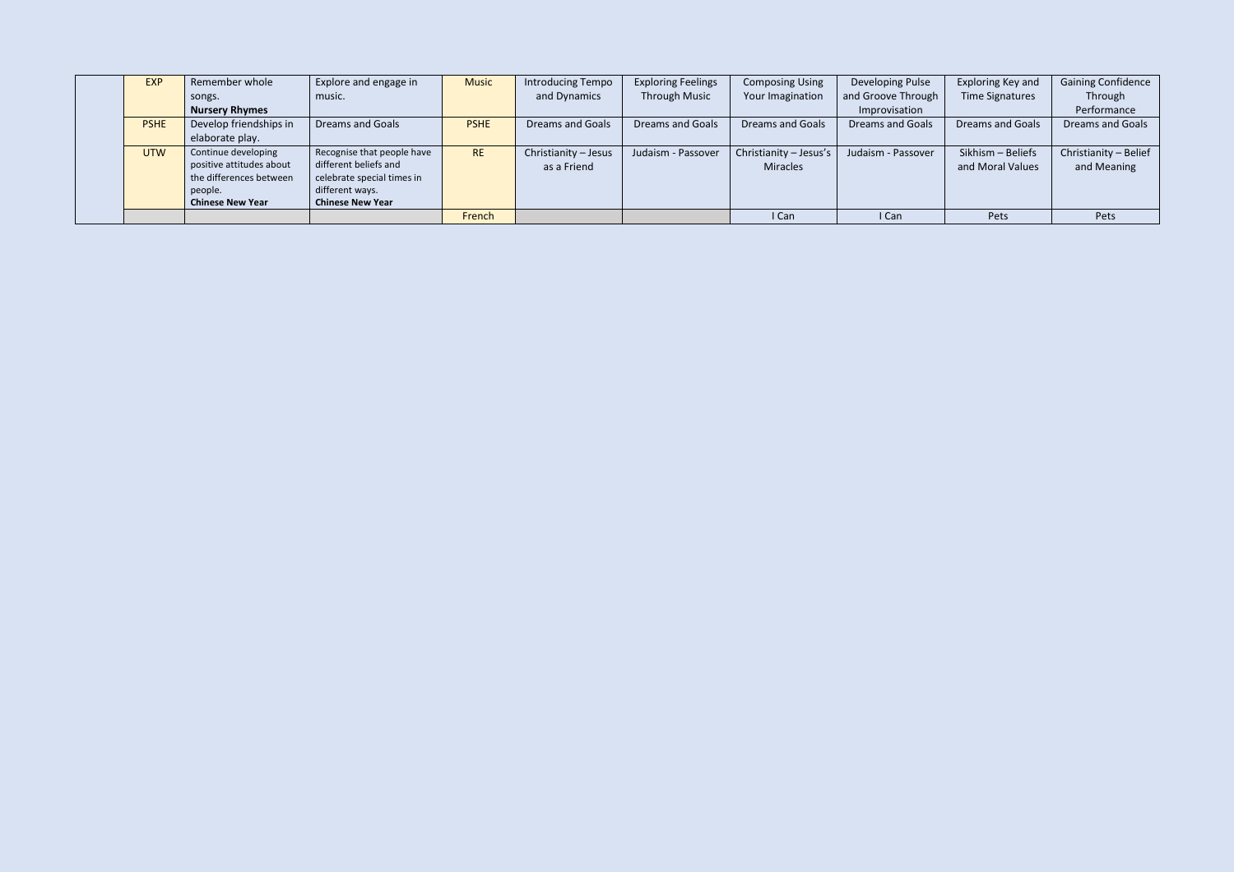| <b>EXP</b>  | Remember whole                                                                                                   | Explore and engage in                                                                                                           | <b>Music</b> | Introducing Tempo                   | <b>Exploring Feelings</b> | <b>Composing Using</b>             | Developing Pulse        | Exploring Key and                     | <b>Gaining Confidence</b>            |
|-------------|------------------------------------------------------------------------------------------------------------------|---------------------------------------------------------------------------------------------------------------------------------|--------------|-------------------------------------|---------------------------|------------------------------------|-------------------------|---------------------------------------|--------------------------------------|
|             | songs.                                                                                                           | music.                                                                                                                          |              | and Dynamics                        | <b>Through Music</b>      | Your Imagination                   | and Groove Through      | Time Signatures                       | Through                              |
|             | <b>Nursery Rhymes</b>                                                                                            |                                                                                                                                 |              |                                     |                           |                                    | Improvisation           |                                       | Performance                          |
| <b>PSHE</b> | Develop friendships in                                                                                           | <b>Dreams and Goals</b>                                                                                                         | <b>PSHE</b>  | <b>Dreams and Goals</b>             | <b>Dreams and Goals</b>   | <b>Dreams and Goals</b>            | <b>Dreams and Goals</b> | <b>Dreams and Goals</b>               | <b>Dreams and Goals</b>              |
|             | elaborate play.                                                                                                  |                                                                                                                                 |              |                                     |                           |                                    |                         |                                       |                                      |
| <b>UTW</b>  | Continue developing<br>positive attitudes about<br>the differences between<br>people.<br><b>Chinese New Year</b> | Recognise that people have<br>different beliefs and<br>celebrate special times in<br>different ways.<br><b>Chinese New Year</b> | <b>RE</b>    | Christianity - Jesus<br>as a Friend | Judaism - Passover        | Christianity - Jesus's<br>Miracles | Judaism - Passover      | Sikhism - Beliefs<br>and Moral Values | Christianity - Belief<br>and Meaning |
|             |                                                                                                                  |                                                                                                                                 | French       |                                     |                           | I Can                              | I Can                   | Pets                                  | Pets                                 |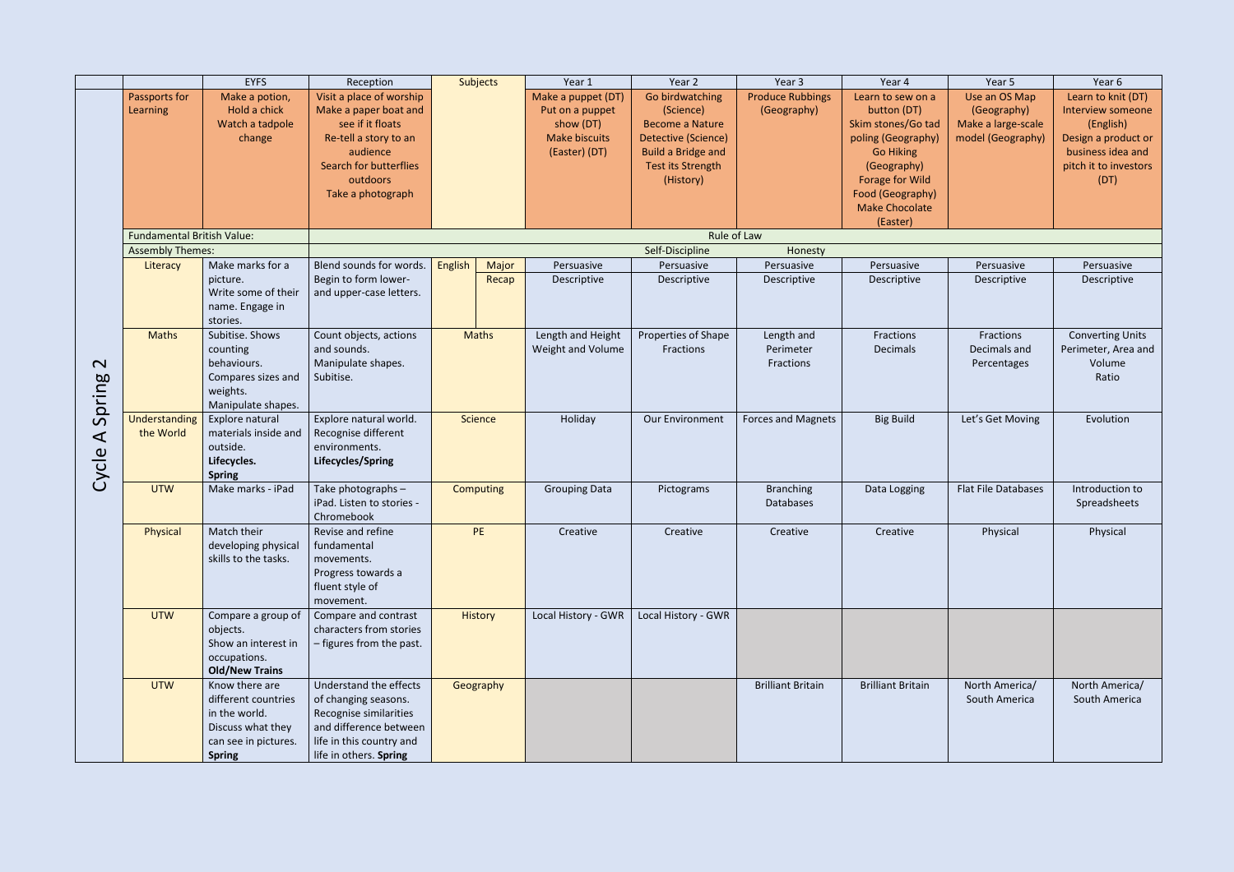|                      |                                   | <b>EYFS</b>                  | Reception                 |         | Subjects       | Year 1               | Year 2                    | Year 3                   | Year 4                   | Year 5                     | Year 6                  |
|----------------------|-----------------------------------|------------------------------|---------------------------|---------|----------------|----------------------|---------------------------|--------------------------|--------------------------|----------------------------|-------------------------|
|                      | Passports for                     | Make a potion,               | Visit a place of worship  |         |                | Make a puppet (DT)   | Go birdwatching           | <b>Produce Rubbings</b>  | Learn to sew on a        | Use an OS Map              | Learn to knit (DT)      |
|                      | Learning                          | Hold a chick                 | Make a paper boat and     |         |                | Put on a puppet      | (Science)                 | (Geography)              | button (DT)              | (Geography)                | Interview someone       |
|                      |                                   | Watch a tadpole              | see if it floats          |         |                | show (DT)            | <b>Become a Nature</b>    |                          | Skim stones/Go tad       | Make a large-scale         | (English)               |
|                      |                                   | change                       | Re-tell a story to an     |         |                | <b>Make biscuits</b> | Detective (Science)       |                          | poling (Geography)       | model (Geography)          | Design a product or     |
|                      |                                   |                              | audience                  |         |                | (Easter) (DT)        | <b>Build a Bridge and</b> |                          | <b>Go Hiking</b>         |                            | business idea and       |
|                      |                                   |                              | Search for butterflies    |         |                |                      | Test its Strength         |                          | (Geography)              |                            | pitch it to investors   |
|                      |                                   |                              | outdoors                  |         |                |                      | (History)                 |                          | Forage for Wild          |                            | (DT)                    |
|                      |                                   |                              | Take a photograph         |         |                |                      |                           |                          | Food (Geography)         |                            |                         |
|                      |                                   |                              |                           |         |                |                      |                           |                          | <b>Make Chocolate</b>    |                            |                         |
|                      | <b>Fundamental British Value:</b> |                              |                           |         |                |                      |                           | Rule of Law              | (Easter)                 |                            |                         |
|                      | <b>Assembly Themes:</b>           |                              |                           |         |                |                      | Self-Discipline           | Honesty                  |                          |                            |                         |
|                      | Literacy                          | Make marks for a             | Blend sounds for words.   | English | Major          | Persuasive           | Persuasive                | Persuasive               | Persuasive               | Persuasive                 | Persuasive              |
|                      |                                   | picture.                     | Begin to form lower-      |         | Recap          | Descriptive          | Descriptive               | Descriptive              | Descriptive              | Descriptive                | Descriptive             |
|                      |                                   | Write some of their          | and upper-case letters.   |         |                |                      |                           |                          |                          |                            |                         |
|                      |                                   | name. Engage in              |                           |         |                |                      |                           |                          |                          |                            |                         |
|                      |                                   | stories.                     |                           |         |                |                      |                           |                          |                          |                            |                         |
|                      | <b>Maths</b>                      | Subitise. Shows              | Count objects, actions    |         | <b>Maths</b>   | Length and Height    | Properties of Shape       | Length and               | Fractions                | Fractions                  | <b>Converting Units</b> |
|                      |                                   | counting                     | and sounds.               |         |                | Weight and Volume    | Fractions                 | Perimeter                | Decimals                 | Decimals and               | Perimeter, Area and     |
| $\mathbf{\Omega}$    |                                   | behaviours.                  | Manipulate shapes.        |         |                |                      |                           | Fractions                |                          | Percentages                | Volume                  |
|                      |                                   | Compares sizes and           | Subitise.                 |         |                |                      |                           |                          |                          |                            | Ratio                   |
|                      |                                   | weights.                     |                           |         |                |                      |                           |                          |                          |                            |                         |
| Spring               |                                   | Manipulate shapes.           |                           |         |                |                      |                           |                          |                          |                            |                         |
|                      | Understanding                     | Explore natural              | Explore natural world.    |         | <b>Science</b> | Holiday              | Our Environment           | Forces and Magnets       | <b>Big Build</b>         | Let's Get Moving           | Evolution               |
| $\blacktriangleleft$ | the World                         | materials inside and         | Recognise different       |         |                |                      |                           |                          |                          |                            |                         |
|                      |                                   | outside.                     | environments.             |         |                |                      |                           |                          |                          |                            |                         |
|                      |                                   | Lifecycles.<br><b>Spring</b> | Lifecycles/Spring         |         |                |                      |                           |                          |                          |                            |                         |
| Cycle                | <b>UTW</b>                        | Make marks - iPad            | Take photographs -        |         | Computing      | <b>Grouping Data</b> | Pictograms                | <b>Branching</b>         | Data Logging             | <b>Flat File Databases</b> | Introduction to         |
|                      |                                   |                              | iPad. Listen to stories - |         |                |                      |                           | <b>Databases</b>         |                          |                            | Spreadsheets            |
|                      |                                   |                              | Chromebook                |         |                |                      |                           |                          |                          |                            |                         |
|                      | Physical                          | Match their                  | Revise and refine         |         | <b>PE</b>      | Creative             | Creative                  | Creative                 | Creative                 | Physical                   | Physical                |
|                      |                                   | developing physical          | fundamental               |         |                |                      |                           |                          |                          |                            |                         |
|                      |                                   | skills to the tasks.         | movements.                |         |                |                      |                           |                          |                          |                            |                         |
|                      |                                   |                              | Progress towards a        |         |                |                      |                           |                          |                          |                            |                         |
|                      |                                   |                              | fluent style of           |         |                |                      |                           |                          |                          |                            |                         |
|                      |                                   |                              | movement.                 |         |                |                      |                           |                          |                          |                            |                         |
|                      | <b>UTW</b>                        | Compare a group of           | Compare and contrast      |         | <b>History</b> | Local History - GWR  | Local History - GWR       |                          |                          |                            |                         |
|                      |                                   | objects.                     | characters from stories   |         |                |                      |                           |                          |                          |                            |                         |
|                      |                                   | Show an interest in          | - figures from the past.  |         |                |                      |                           |                          |                          |                            |                         |
|                      |                                   | occupations.                 |                           |         |                |                      |                           |                          |                          |                            |                         |
|                      |                                   | <b>Old/New Trains</b>        |                           |         |                |                      |                           |                          |                          |                            |                         |
|                      | <b>UTW</b>                        | Know there are               | Understand the effects    |         | Geography      |                      |                           | <b>Brilliant Britain</b> | <b>Brilliant Britain</b> | North America/             | North America/          |
|                      |                                   | different countries          | of changing seasons.      |         |                |                      |                           |                          |                          | South America              | South America           |
|                      |                                   | in the world.                | Recognise similarities    |         |                |                      |                           |                          |                          |                            |                         |
|                      |                                   | Discuss what they            | and difference between    |         |                |                      |                           |                          |                          |                            |                         |
|                      |                                   | can see in pictures.         | life in this country and  |         |                |                      |                           |                          |                          |                            |                         |
|                      |                                   | <b>Spring</b>                | life in others. Spring    |         |                |                      |                           |                          |                          |                            |                         |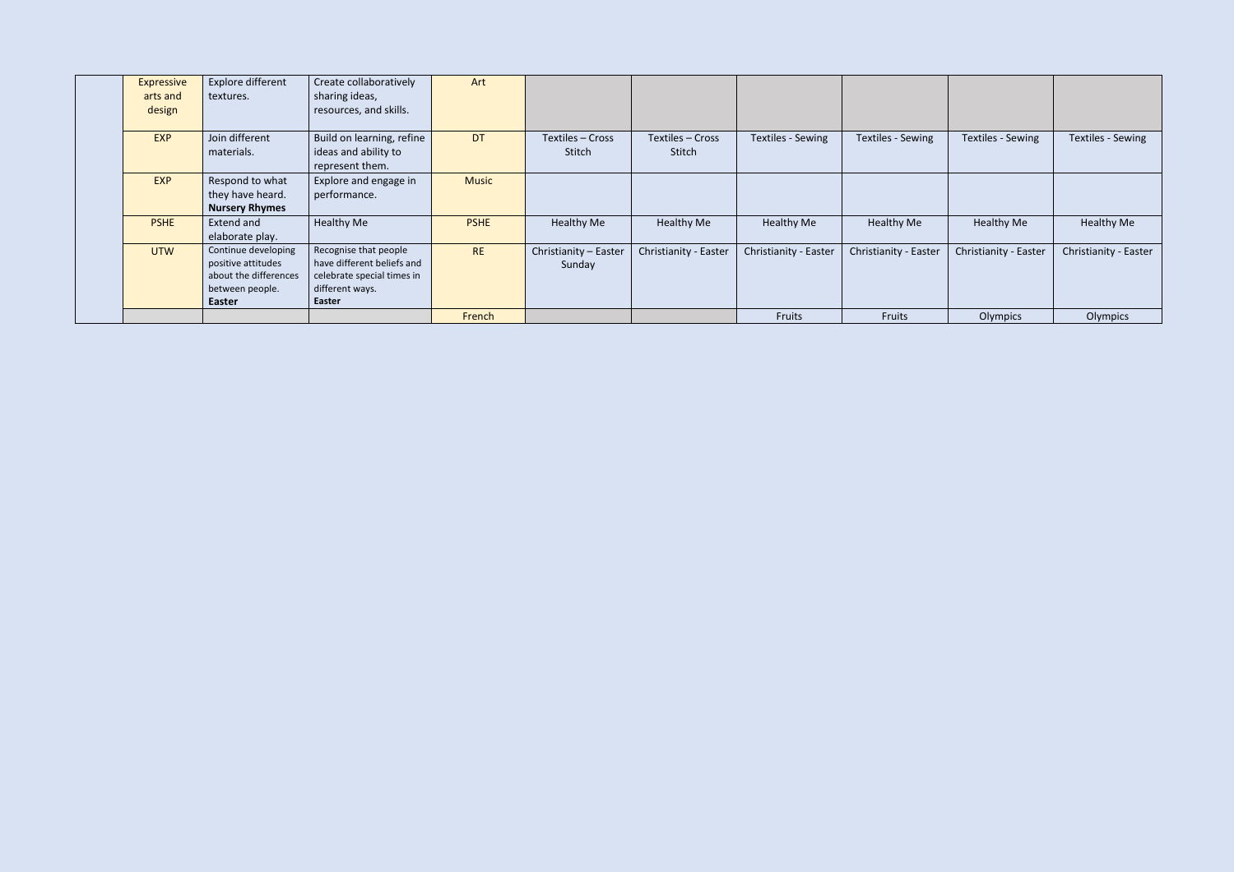| Expressive<br>arts and<br>design | Explore different<br>textures.                                                                  | Create collaboratively<br>sharing ideas,<br>resources, and skills.                                             | Art          |                                 |                            |                       |                       |                       |                       |
|----------------------------------|-------------------------------------------------------------------------------------------------|----------------------------------------------------------------------------------------------------------------|--------------|---------------------------------|----------------------------|-----------------------|-----------------------|-----------------------|-----------------------|
| <b>EXP</b>                       | Join different<br>materials.                                                                    | Build on learning, refine<br>ideas and ability to<br>represent them.                                           | <b>DT</b>    | Textiles - Cross<br>Stitch      | Textiles - Cross<br>Stitch | Textiles - Sewing     | Textiles - Sewing     | Textiles - Sewing     | Textiles - Sewing     |
| <b>EXP</b>                       | Respond to what<br>they have heard.<br><b>Nursery Rhymes</b>                                    | Explore and engage in<br>performance.                                                                          | <b>Music</b> |                                 |                            |                       |                       |                       |                       |
| <b>PSHE</b>                      | Extend and<br>elaborate play.                                                                   | <b>Healthy Me</b>                                                                                              | <b>PSHE</b>  | Healthy Me                      | <b>Healthy Me</b>          | Healthy Me            | Healthy Me            | <b>Healthy Me</b>     | Healthy Me            |
| <b>UTW</b>                       | Continue developing<br>positive attitudes<br>about the differences<br>between people.<br>Easter | Recognise that people<br>have different beliefs and<br>celebrate special times in<br>different ways.<br>Easter | <b>RE</b>    | Christianity - Easter<br>Sunday | Christianity - Easter      | Christianity - Easter | Christianity - Easter | Christianity - Easter | Christianity - Easter |
|                                  |                                                                                                 |                                                                                                                | French       |                                 |                            | Fruits                | <b>Fruits</b>         | Olympics              | Olympics              |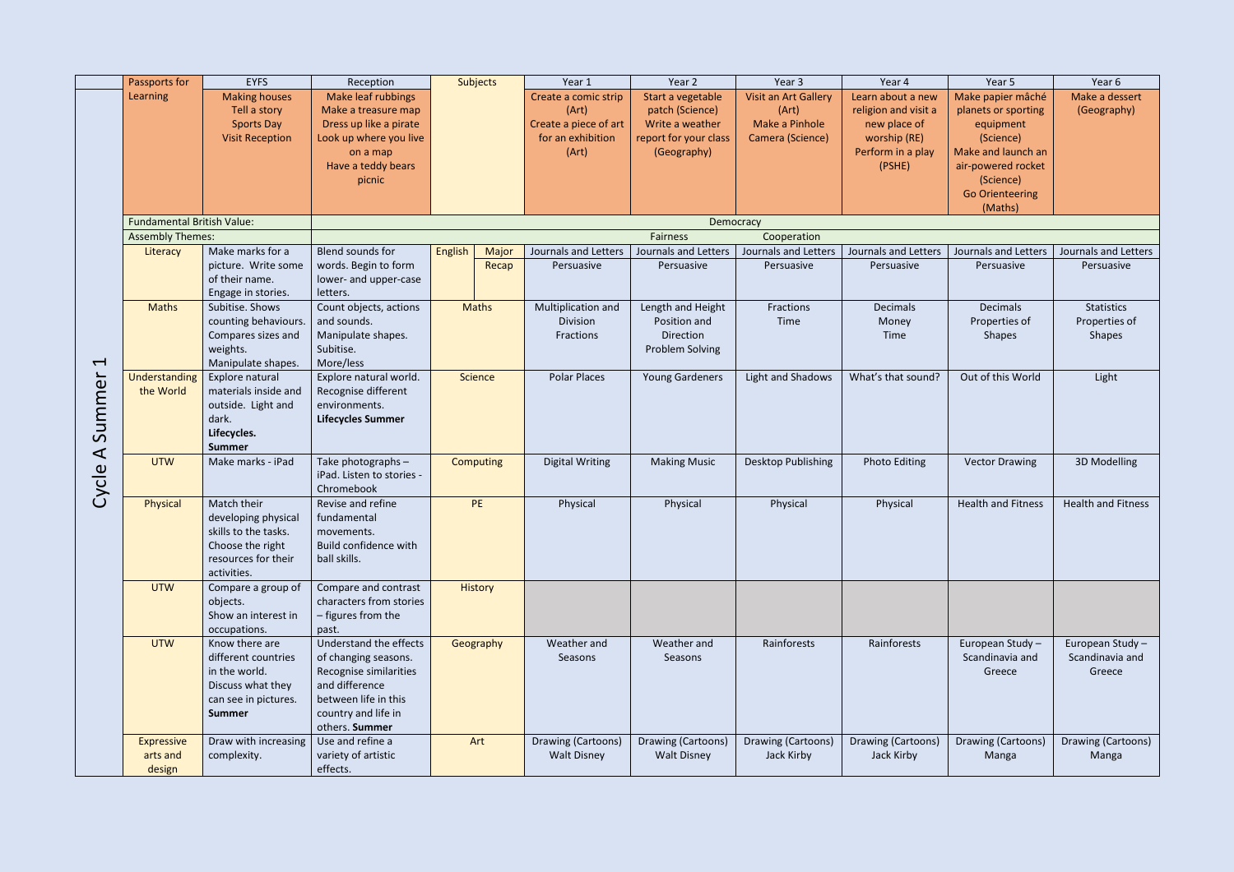| Make papier mâché<br><b>Making houses</b><br>Learning<br>Make leaf rubbings<br>Start a vegetable<br>Visit an Art Gallery<br>Learn about a new<br>Make a dessert<br>Create a comic strip<br>patch (Science)<br>Tell a story<br>Make a treasure map<br>(Art)<br>(Art)<br>religion and visit a<br>planets or sporting<br>(Geography)<br>Make a Pinhole<br><b>Sports Day</b><br>Dress up like a pirate<br>Create a piece of art<br>Write a weather<br>new place of<br>equipment<br><b>Visit Reception</b><br>for an exhibition<br>report for your class<br>worship (RE)<br>Look up where you live<br>Camera (Science)<br>(Science)<br>Make and launch an<br>(Art)<br>(Geography)<br>Perform in a play<br>on a map<br>Have a teddy bears<br>(PSHE)<br>air-powered rocket<br>(Science)<br>picnic<br><b>Go Orienteering</b><br>(Maths)<br><b>Fundamental British Value:</b><br>Democracy<br><b>Assembly Themes:</b><br>Fairness<br>Cooperation<br>Make marks for a<br>Blend sounds for<br><b>English</b><br>Journals and Letters<br>Major<br>Journals and Letters<br>Journals and Letters<br>Journals and Letters<br>Journals and Letters<br>Journals and Letters<br>Literacy<br>words. Begin to form<br>picture. Write some<br>Persuasive<br>Persuasive<br>Recap<br>Persuasive<br>Persuasive<br>Persuasive<br>Persuasive<br>of their name.<br>lower- and upper-case<br>Engage in stories.<br>letters.<br><b>Maths</b><br>Subitise. Shows<br>Count objects, actions<br>Length and Height<br><b>Statistics</b><br><b>Maths</b><br>Multiplication and<br>Fractions<br><b>Decimals</b><br><b>Decimals</b><br>and sounds.<br>Division<br>Properties of<br>Properties of<br>counting behaviours.<br>Position and<br>Time<br>Money<br>Compares sizes and<br>Manipulate shapes.<br>Direction<br>Fractions<br><b>Shapes</b><br><b>Shapes</b><br>Time<br>weights.<br>Subitise.<br><b>Problem Solving</b><br>$\blacktriangleleft$<br>More/less<br>Manipulate shapes.<br>ummer<br><b>Polar Places</b><br>Out of this World<br>Understanding<br><b>Science</b><br><b>Young Gardeners</b><br>Light and Shadows<br>What's that sound?<br>Light<br>Explore natural<br>Explore natural world.<br>materials inside and<br>the World<br>Recognise different<br>environments.<br>outside. Light and<br>dark.<br><b>Lifecycles Summer</b><br>Lifecycles.<br>$\overline{v}$<br><b>Summer</b><br>$\blacktriangleleft$<br><b>UTW</b><br>Make marks - iPad<br>Take photographs -<br><b>Photo Editing</b><br>3D Modelling<br><b>Digital Writing</b><br><b>Making Music</b><br>Desktop Publishing<br><b>Vector Drawing</b><br><b>Computing</b><br>Cycle<br>iPad. Listen to stories -<br>Chromebook<br>Physical<br>Match their<br>Revise and refine<br><b>PE</b><br><b>Health and Fitness</b><br><b>Health and Fitness</b><br>Physical<br>Physical<br>Physical<br>Physical<br>developing physical<br>fundamental<br>skills to the tasks.<br>movements.<br>Choose the right<br>Build confidence with<br>resources for their<br>ball skills.<br>activities.<br><b>UTW</b><br>Compare a group of<br>Compare and contrast<br><b>History</b><br>characters from stories<br>objects.<br>Show an interest in<br>- figures from the<br>occupations.<br>past.<br>Understand the effects<br><b>UTW</b><br>European Study-<br>Know there are<br>Geography<br>Weather and<br>Weather and<br>Rainforests<br>Rainforests<br>European Study -<br>Scandinavia and<br>different countries<br>of changing seasons.<br>Scandinavia and<br>Seasons<br>Seasons<br>Recognise similarities<br>in the world.<br>Greece<br>Greece<br>and difference<br>Discuss what they<br>between life in this<br>can see in pictures.<br>country and life in<br><b>Summer</b><br>others. Summer<br>Draw with increasing<br>Drawing (Cartoons)<br>Drawing (Cartoons)<br>Drawing (Cartoons)<br>Drawing (Cartoons)<br>Use and refine a<br>Art<br>Drawing (Cartoons)<br>Drawing (Cartoons)<br><b>Expressive</b><br><b>Walt Disney</b><br>Jack Kirby<br>variety of artistic<br><b>Walt Disney</b><br>Jack Kirby<br>Manga<br>arts and<br>complexity.<br>Manga<br>design<br>effects. | Passports for | <b>EYFS</b> | Reception | <b>Subjects</b> | Year 1 | Year 2 | Year 3 | Year 4 | Year 5 | Year 6 |
|-------------------------------------------------------------------------------------------------------------------------------------------------------------------------------------------------------------------------------------------------------------------------------------------------------------------------------------------------------------------------------------------------------------------------------------------------------------------------------------------------------------------------------------------------------------------------------------------------------------------------------------------------------------------------------------------------------------------------------------------------------------------------------------------------------------------------------------------------------------------------------------------------------------------------------------------------------------------------------------------------------------------------------------------------------------------------------------------------------------------------------------------------------------------------------------------------------------------------------------------------------------------------------------------------------------------------------------------------------------------------------------------------------------------------------------------------------------------------------------------------------------------------------------------------------------------------------------------------------------------------------------------------------------------------------------------------------------------------------------------------------------------------------------------------------------------------------------------------------------------------------------------------------------------------------------------------------------------------------------------------------------------------------------------------------------------------------------------------------------------------------------------------------------------------------------------------------------------------------------------------------------------------------------------------------------------------------------------------------------------------------------------------------------------------------------------------------------------------------------------------------------------------------------------------------------------------------------------------------------------------------------------------------------------------------------------------------------------------------------------------------------------------------------------------------------------------------------------------------------------------------------------------------------------------------------------------------------------------------------------------------------------------------------------------------------------------------------------------------------------------------------------------------------------------------------------------------------------------------------------------------------------------------------------------------------------------------------------------------------------------------------------------------------------------------------------------------------------------------------------------------------------------------------------------------------------------------------------------------------------------------------------------------------------------------------------------------------------------------------------------------------------------------------------------------------------------------------------------------------------------------------------------------------------------------------------------------------------------------------------------------------------------------------------------------------------------------------------------------|---------------|-------------|-----------|-----------------|--------|--------|--------|--------|--------|--------|
|                                                                                                                                                                                                                                                                                                                                                                                                                                                                                                                                                                                                                                                                                                                                                                                                                                                                                                                                                                                                                                                                                                                                                                                                                                                                                                                                                                                                                                                                                                                                                                                                                                                                                                                                                                                                                                                                                                                                                                                                                                                                                                                                                                                                                                                                                                                                                                                                                                                                                                                                                                                                                                                                                                                                                                                                                                                                                                                                                                                                                                                                                                                                                                                                                                                                                                                                                                                                                                                                                                                                                                                                                                                                                                                                                                                                                                                                                                                                                                                                                                                                                                       |               |             |           |                 |        |        |        |        |        |        |
|                                                                                                                                                                                                                                                                                                                                                                                                                                                                                                                                                                                                                                                                                                                                                                                                                                                                                                                                                                                                                                                                                                                                                                                                                                                                                                                                                                                                                                                                                                                                                                                                                                                                                                                                                                                                                                                                                                                                                                                                                                                                                                                                                                                                                                                                                                                                                                                                                                                                                                                                                                                                                                                                                                                                                                                                                                                                                                                                                                                                                                                                                                                                                                                                                                                                                                                                                                                                                                                                                                                                                                                                                                                                                                                                                                                                                                                                                                                                                                                                                                                                                                       |               |             |           |                 |        |        |        |        |        |        |
|                                                                                                                                                                                                                                                                                                                                                                                                                                                                                                                                                                                                                                                                                                                                                                                                                                                                                                                                                                                                                                                                                                                                                                                                                                                                                                                                                                                                                                                                                                                                                                                                                                                                                                                                                                                                                                                                                                                                                                                                                                                                                                                                                                                                                                                                                                                                                                                                                                                                                                                                                                                                                                                                                                                                                                                                                                                                                                                                                                                                                                                                                                                                                                                                                                                                                                                                                                                                                                                                                                                                                                                                                                                                                                                                                                                                                                                                                                                                                                                                                                                                                                       |               |             |           |                 |        |        |        |        |        |        |
|                                                                                                                                                                                                                                                                                                                                                                                                                                                                                                                                                                                                                                                                                                                                                                                                                                                                                                                                                                                                                                                                                                                                                                                                                                                                                                                                                                                                                                                                                                                                                                                                                                                                                                                                                                                                                                                                                                                                                                                                                                                                                                                                                                                                                                                                                                                                                                                                                                                                                                                                                                                                                                                                                                                                                                                                                                                                                                                                                                                                                                                                                                                                                                                                                                                                                                                                                                                                                                                                                                                                                                                                                                                                                                                                                                                                                                                                                                                                                                                                                                                                                                       |               |             |           |                 |        |        |        |        |        |        |
|                                                                                                                                                                                                                                                                                                                                                                                                                                                                                                                                                                                                                                                                                                                                                                                                                                                                                                                                                                                                                                                                                                                                                                                                                                                                                                                                                                                                                                                                                                                                                                                                                                                                                                                                                                                                                                                                                                                                                                                                                                                                                                                                                                                                                                                                                                                                                                                                                                                                                                                                                                                                                                                                                                                                                                                                                                                                                                                                                                                                                                                                                                                                                                                                                                                                                                                                                                                                                                                                                                                                                                                                                                                                                                                                                                                                                                                                                                                                                                                                                                                                                                       |               |             |           |                 |        |        |        |        |        |        |
|                                                                                                                                                                                                                                                                                                                                                                                                                                                                                                                                                                                                                                                                                                                                                                                                                                                                                                                                                                                                                                                                                                                                                                                                                                                                                                                                                                                                                                                                                                                                                                                                                                                                                                                                                                                                                                                                                                                                                                                                                                                                                                                                                                                                                                                                                                                                                                                                                                                                                                                                                                                                                                                                                                                                                                                                                                                                                                                                                                                                                                                                                                                                                                                                                                                                                                                                                                                                                                                                                                                                                                                                                                                                                                                                                                                                                                                                                                                                                                                                                                                                                                       |               |             |           |                 |        |        |        |        |        |        |
|                                                                                                                                                                                                                                                                                                                                                                                                                                                                                                                                                                                                                                                                                                                                                                                                                                                                                                                                                                                                                                                                                                                                                                                                                                                                                                                                                                                                                                                                                                                                                                                                                                                                                                                                                                                                                                                                                                                                                                                                                                                                                                                                                                                                                                                                                                                                                                                                                                                                                                                                                                                                                                                                                                                                                                                                                                                                                                                                                                                                                                                                                                                                                                                                                                                                                                                                                                                                                                                                                                                                                                                                                                                                                                                                                                                                                                                                                                                                                                                                                                                                                                       |               |             |           |                 |        |        |        |        |        |        |
|                                                                                                                                                                                                                                                                                                                                                                                                                                                                                                                                                                                                                                                                                                                                                                                                                                                                                                                                                                                                                                                                                                                                                                                                                                                                                                                                                                                                                                                                                                                                                                                                                                                                                                                                                                                                                                                                                                                                                                                                                                                                                                                                                                                                                                                                                                                                                                                                                                                                                                                                                                                                                                                                                                                                                                                                                                                                                                                                                                                                                                                                                                                                                                                                                                                                                                                                                                                                                                                                                                                                                                                                                                                                                                                                                                                                                                                                                                                                                                                                                                                                                                       |               |             |           |                 |        |        |        |        |        |        |
|                                                                                                                                                                                                                                                                                                                                                                                                                                                                                                                                                                                                                                                                                                                                                                                                                                                                                                                                                                                                                                                                                                                                                                                                                                                                                                                                                                                                                                                                                                                                                                                                                                                                                                                                                                                                                                                                                                                                                                                                                                                                                                                                                                                                                                                                                                                                                                                                                                                                                                                                                                                                                                                                                                                                                                                                                                                                                                                                                                                                                                                                                                                                                                                                                                                                                                                                                                                                                                                                                                                                                                                                                                                                                                                                                                                                                                                                                                                                                                                                                                                                                                       |               |             |           |                 |        |        |        |        |        |        |
|                                                                                                                                                                                                                                                                                                                                                                                                                                                                                                                                                                                                                                                                                                                                                                                                                                                                                                                                                                                                                                                                                                                                                                                                                                                                                                                                                                                                                                                                                                                                                                                                                                                                                                                                                                                                                                                                                                                                                                                                                                                                                                                                                                                                                                                                                                                                                                                                                                                                                                                                                                                                                                                                                                                                                                                                                                                                                                                                                                                                                                                                                                                                                                                                                                                                                                                                                                                                                                                                                                                                                                                                                                                                                                                                                                                                                                                                                                                                                                                                                                                                                                       |               |             |           |                 |        |        |        |        |        |        |
|                                                                                                                                                                                                                                                                                                                                                                                                                                                                                                                                                                                                                                                                                                                                                                                                                                                                                                                                                                                                                                                                                                                                                                                                                                                                                                                                                                                                                                                                                                                                                                                                                                                                                                                                                                                                                                                                                                                                                                                                                                                                                                                                                                                                                                                                                                                                                                                                                                                                                                                                                                                                                                                                                                                                                                                                                                                                                                                                                                                                                                                                                                                                                                                                                                                                                                                                                                                                                                                                                                                                                                                                                                                                                                                                                                                                                                                                                                                                                                                                                                                                                                       |               |             |           |                 |        |        |        |        |        |        |
|                                                                                                                                                                                                                                                                                                                                                                                                                                                                                                                                                                                                                                                                                                                                                                                                                                                                                                                                                                                                                                                                                                                                                                                                                                                                                                                                                                                                                                                                                                                                                                                                                                                                                                                                                                                                                                                                                                                                                                                                                                                                                                                                                                                                                                                                                                                                                                                                                                                                                                                                                                                                                                                                                                                                                                                                                                                                                                                                                                                                                                                                                                                                                                                                                                                                                                                                                                                                                                                                                                                                                                                                                                                                                                                                                                                                                                                                                                                                                                                                                                                                                                       |               |             |           |                 |        |        |        |        |        |        |
|                                                                                                                                                                                                                                                                                                                                                                                                                                                                                                                                                                                                                                                                                                                                                                                                                                                                                                                                                                                                                                                                                                                                                                                                                                                                                                                                                                                                                                                                                                                                                                                                                                                                                                                                                                                                                                                                                                                                                                                                                                                                                                                                                                                                                                                                                                                                                                                                                                                                                                                                                                                                                                                                                                                                                                                                                                                                                                                                                                                                                                                                                                                                                                                                                                                                                                                                                                                                                                                                                                                                                                                                                                                                                                                                                                                                                                                                                                                                                                                                                                                                                                       |               |             |           |                 |        |        |        |        |        |        |
|                                                                                                                                                                                                                                                                                                                                                                                                                                                                                                                                                                                                                                                                                                                                                                                                                                                                                                                                                                                                                                                                                                                                                                                                                                                                                                                                                                                                                                                                                                                                                                                                                                                                                                                                                                                                                                                                                                                                                                                                                                                                                                                                                                                                                                                                                                                                                                                                                                                                                                                                                                                                                                                                                                                                                                                                                                                                                                                                                                                                                                                                                                                                                                                                                                                                                                                                                                                                                                                                                                                                                                                                                                                                                                                                                                                                                                                                                                                                                                                                                                                                                                       |               |             |           |                 |        |        |        |        |        |        |
|                                                                                                                                                                                                                                                                                                                                                                                                                                                                                                                                                                                                                                                                                                                                                                                                                                                                                                                                                                                                                                                                                                                                                                                                                                                                                                                                                                                                                                                                                                                                                                                                                                                                                                                                                                                                                                                                                                                                                                                                                                                                                                                                                                                                                                                                                                                                                                                                                                                                                                                                                                                                                                                                                                                                                                                                                                                                                                                                                                                                                                                                                                                                                                                                                                                                                                                                                                                                                                                                                                                                                                                                                                                                                                                                                                                                                                                                                                                                                                                                                                                                                                       |               |             |           |                 |        |        |        |        |        |        |
|                                                                                                                                                                                                                                                                                                                                                                                                                                                                                                                                                                                                                                                                                                                                                                                                                                                                                                                                                                                                                                                                                                                                                                                                                                                                                                                                                                                                                                                                                                                                                                                                                                                                                                                                                                                                                                                                                                                                                                                                                                                                                                                                                                                                                                                                                                                                                                                                                                                                                                                                                                                                                                                                                                                                                                                                                                                                                                                                                                                                                                                                                                                                                                                                                                                                                                                                                                                                                                                                                                                                                                                                                                                                                                                                                                                                                                                                                                                                                                                                                                                                                                       |               |             |           |                 |        |        |        |        |        |        |
|                                                                                                                                                                                                                                                                                                                                                                                                                                                                                                                                                                                                                                                                                                                                                                                                                                                                                                                                                                                                                                                                                                                                                                                                                                                                                                                                                                                                                                                                                                                                                                                                                                                                                                                                                                                                                                                                                                                                                                                                                                                                                                                                                                                                                                                                                                                                                                                                                                                                                                                                                                                                                                                                                                                                                                                                                                                                                                                                                                                                                                                                                                                                                                                                                                                                                                                                                                                                                                                                                                                                                                                                                                                                                                                                                                                                                                                                                                                                                                                                                                                                                                       |               |             |           |                 |        |        |        |        |        |        |
|                                                                                                                                                                                                                                                                                                                                                                                                                                                                                                                                                                                                                                                                                                                                                                                                                                                                                                                                                                                                                                                                                                                                                                                                                                                                                                                                                                                                                                                                                                                                                                                                                                                                                                                                                                                                                                                                                                                                                                                                                                                                                                                                                                                                                                                                                                                                                                                                                                                                                                                                                                                                                                                                                                                                                                                                                                                                                                                                                                                                                                                                                                                                                                                                                                                                                                                                                                                                                                                                                                                                                                                                                                                                                                                                                                                                                                                                                                                                                                                                                                                                                                       |               |             |           |                 |        |        |        |        |        |        |
|                                                                                                                                                                                                                                                                                                                                                                                                                                                                                                                                                                                                                                                                                                                                                                                                                                                                                                                                                                                                                                                                                                                                                                                                                                                                                                                                                                                                                                                                                                                                                                                                                                                                                                                                                                                                                                                                                                                                                                                                                                                                                                                                                                                                                                                                                                                                                                                                                                                                                                                                                                                                                                                                                                                                                                                                                                                                                                                                                                                                                                                                                                                                                                                                                                                                                                                                                                                                                                                                                                                                                                                                                                                                                                                                                                                                                                                                                                                                                                                                                                                                                                       |               |             |           |                 |        |        |        |        |        |        |
|                                                                                                                                                                                                                                                                                                                                                                                                                                                                                                                                                                                                                                                                                                                                                                                                                                                                                                                                                                                                                                                                                                                                                                                                                                                                                                                                                                                                                                                                                                                                                                                                                                                                                                                                                                                                                                                                                                                                                                                                                                                                                                                                                                                                                                                                                                                                                                                                                                                                                                                                                                                                                                                                                                                                                                                                                                                                                                                                                                                                                                                                                                                                                                                                                                                                                                                                                                                                                                                                                                                                                                                                                                                                                                                                                                                                                                                                                                                                                                                                                                                                                                       |               |             |           |                 |        |        |        |        |        |        |
|                                                                                                                                                                                                                                                                                                                                                                                                                                                                                                                                                                                                                                                                                                                                                                                                                                                                                                                                                                                                                                                                                                                                                                                                                                                                                                                                                                                                                                                                                                                                                                                                                                                                                                                                                                                                                                                                                                                                                                                                                                                                                                                                                                                                                                                                                                                                                                                                                                                                                                                                                                                                                                                                                                                                                                                                                                                                                                                                                                                                                                                                                                                                                                                                                                                                                                                                                                                                                                                                                                                                                                                                                                                                                                                                                                                                                                                                                                                                                                                                                                                                                                       |               |             |           |                 |        |        |        |        |        |        |
|                                                                                                                                                                                                                                                                                                                                                                                                                                                                                                                                                                                                                                                                                                                                                                                                                                                                                                                                                                                                                                                                                                                                                                                                                                                                                                                                                                                                                                                                                                                                                                                                                                                                                                                                                                                                                                                                                                                                                                                                                                                                                                                                                                                                                                                                                                                                                                                                                                                                                                                                                                                                                                                                                                                                                                                                                                                                                                                                                                                                                                                                                                                                                                                                                                                                                                                                                                                                                                                                                                                                                                                                                                                                                                                                                                                                                                                                                                                                                                                                                                                                                                       |               |             |           |                 |        |        |        |        |        |        |
|                                                                                                                                                                                                                                                                                                                                                                                                                                                                                                                                                                                                                                                                                                                                                                                                                                                                                                                                                                                                                                                                                                                                                                                                                                                                                                                                                                                                                                                                                                                                                                                                                                                                                                                                                                                                                                                                                                                                                                                                                                                                                                                                                                                                                                                                                                                                                                                                                                                                                                                                                                                                                                                                                                                                                                                                                                                                                                                                                                                                                                                                                                                                                                                                                                                                                                                                                                                                                                                                                                                                                                                                                                                                                                                                                                                                                                                                                                                                                                                                                                                                                                       |               |             |           |                 |        |        |        |        |        |        |
|                                                                                                                                                                                                                                                                                                                                                                                                                                                                                                                                                                                                                                                                                                                                                                                                                                                                                                                                                                                                                                                                                                                                                                                                                                                                                                                                                                                                                                                                                                                                                                                                                                                                                                                                                                                                                                                                                                                                                                                                                                                                                                                                                                                                                                                                                                                                                                                                                                                                                                                                                                                                                                                                                                                                                                                                                                                                                                                                                                                                                                                                                                                                                                                                                                                                                                                                                                                                                                                                                                                                                                                                                                                                                                                                                                                                                                                                                                                                                                                                                                                                                                       |               |             |           |                 |        |        |        |        |        |        |
|                                                                                                                                                                                                                                                                                                                                                                                                                                                                                                                                                                                                                                                                                                                                                                                                                                                                                                                                                                                                                                                                                                                                                                                                                                                                                                                                                                                                                                                                                                                                                                                                                                                                                                                                                                                                                                                                                                                                                                                                                                                                                                                                                                                                                                                                                                                                                                                                                                                                                                                                                                                                                                                                                                                                                                                                                                                                                                                                                                                                                                                                                                                                                                                                                                                                                                                                                                                                                                                                                                                                                                                                                                                                                                                                                                                                                                                                                                                                                                                                                                                                                                       |               |             |           |                 |        |        |        |        |        |        |
|                                                                                                                                                                                                                                                                                                                                                                                                                                                                                                                                                                                                                                                                                                                                                                                                                                                                                                                                                                                                                                                                                                                                                                                                                                                                                                                                                                                                                                                                                                                                                                                                                                                                                                                                                                                                                                                                                                                                                                                                                                                                                                                                                                                                                                                                                                                                                                                                                                                                                                                                                                                                                                                                                                                                                                                                                                                                                                                                                                                                                                                                                                                                                                                                                                                                                                                                                                                                                                                                                                                                                                                                                                                                                                                                                                                                                                                                                                                                                                                                                                                                                                       |               |             |           |                 |        |        |        |        |        |        |
|                                                                                                                                                                                                                                                                                                                                                                                                                                                                                                                                                                                                                                                                                                                                                                                                                                                                                                                                                                                                                                                                                                                                                                                                                                                                                                                                                                                                                                                                                                                                                                                                                                                                                                                                                                                                                                                                                                                                                                                                                                                                                                                                                                                                                                                                                                                                                                                                                                                                                                                                                                                                                                                                                                                                                                                                                                                                                                                                                                                                                                                                                                                                                                                                                                                                                                                                                                                                                                                                                                                                                                                                                                                                                                                                                                                                                                                                                                                                                                                                                                                                                                       |               |             |           |                 |        |        |        |        |        |        |
|                                                                                                                                                                                                                                                                                                                                                                                                                                                                                                                                                                                                                                                                                                                                                                                                                                                                                                                                                                                                                                                                                                                                                                                                                                                                                                                                                                                                                                                                                                                                                                                                                                                                                                                                                                                                                                                                                                                                                                                                                                                                                                                                                                                                                                                                                                                                                                                                                                                                                                                                                                                                                                                                                                                                                                                                                                                                                                                                                                                                                                                                                                                                                                                                                                                                                                                                                                                                                                                                                                                                                                                                                                                                                                                                                                                                                                                                                                                                                                                                                                                                                                       |               |             |           |                 |        |        |        |        |        |        |
|                                                                                                                                                                                                                                                                                                                                                                                                                                                                                                                                                                                                                                                                                                                                                                                                                                                                                                                                                                                                                                                                                                                                                                                                                                                                                                                                                                                                                                                                                                                                                                                                                                                                                                                                                                                                                                                                                                                                                                                                                                                                                                                                                                                                                                                                                                                                                                                                                                                                                                                                                                                                                                                                                                                                                                                                                                                                                                                                                                                                                                                                                                                                                                                                                                                                                                                                                                                                                                                                                                                                                                                                                                                                                                                                                                                                                                                                                                                                                                                                                                                                                                       |               |             |           |                 |        |        |        |        |        |        |
|                                                                                                                                                                                                                                                                                                                                                                                                                                                                                                                                                                                                                                                                                                                                                                                                                                                                                                                                                                                                                                                                                                                                                                                                                                                                                                                                                                                                                                                                                                                                                                                                                                                                                                                                                                                                                                                                                                                                                                                                                                                                                                                                                                                                                                                                                                                                                                                                                                                                                                                                                                                                                                                                                                                                                                                                                                                                                                                                                                                                                                                                                                                                                                                                                                                                                                                                                                                                                                                                                                                                                                                                                                                                                                                                                                                                                                                                                                                                                                                                                                                                                                       |               |             |           |                 |        |        |        |        |        |        |
|                                                                                                                                                                                                                                                                                                                                                                                                                                                                                                                                                                                                                                                                                                                                                                                                                                                                                                                                                                                                                                                                                                                                                                                                                                                                                                                                                                                                                                                                                                                                                                                                                                                                                                                                                                                                                                                                                                                                                                                                                                                                                                                                                                                                                                                                                                                                                                                                                                                                                                                                                                                                                                                                                                                                                                                                                                                                                                                                                                                                                                                                                                                                                                                                                                                                                                                                                                                                                                                                                                                                                                                                                                                                                                                                                                                                                                                                                                                                                                                                                                                                                                       |               |             |           |                 |        |        |        |        |        |        |
|                                                                                                                                                                                                                                                                                                                                                                                                                                                                                                                                                                                                                                                                                                                                                                                                                                                                                                                                                                                                                                                                                                                                                                                                                                                                                                                                                                                                                                                                                                                                                                                                                                                                                                                                                                                                                                                                                                                                                                                                                                                                                                                                                                                                                                                                                                                                                                                                                                                                                                                                                                                                                                                                                                                                                                                                                                                                                                                                                                                                                                                                                                                                                                                                                                                                                                                                                                                                                                                                                                                                                                                                                                                                                                                                                                                                                                                                                                                                                                                                                                                                                                       |               |             |           |                 |        |        |        |        |        |        |
|                                                                                                                                                                                                                                                                                                                                                                                                                                                                                                                                                                                                                                                                                                                                                                                                                                                                                                                                                                                                                                                                                                                                                                                                                                                                                                                                                                                                                                                                                                                                                                                                                                                                                                                                                                                                                                                                                                                                                                                                                                                                                                                                                                                                                                                                                                                                                                                                                                                                                                                                                                                                                                                                                                                                                                                                                                                                                                                                                                                                                                                                                                                                                                                                                                                                                                                                                                                                                                                                                                                                                                                                                                                                                                                                                                                                                                                                                                                                                                                                                                                                                                       |               |             |           |                 |        |        |        |        |        |        |
|                                                                                                                                                                                                                                                                                                                                                                                                                                                                                                                                                                                                                                                                                                                                                                                                                                                                                                                                                                                                                                                                                                                                                                                                                                                                                                                                                                                                                                                                                                                                                                                                                                                                                                                                                                                                                                                                                                                                                                                                                                                                                                                                                                                                                                                                                                                                                                                                                                                                                                                                                                                                                                                                                                                                                                                                                                                                                                                                                                                                                                                                                                                                                                                                                                                                                                                                                                                                                                                                                                                                                                                                                                                                                                                                                                                                                                                                                                                                                                                                                                                                                                       |               |             |           |                 |        |        |        |        |        |        |
|                                                                                                                                                                                                                                                                                                                                                                                                                                                                                                                                                                                                                                                                                                                                                                                                                                                                                                                                                                                                                                                                                                                                                                                                                                                                                                                                                                                                                                                                                                                                                                                                                                                                                                                                                                                                                                                                                                                                                                                                                                                                                                                                                                                                                                                                                                                                                                                                                                                                                                                                                                                                                                                                                                                                                                                                                                                                                                                                                                                                                                                                                                                                                                                                                                                                                                                                                                                                                                                                                                                                                                                                                                                                                                                                                                                                                                                                                                                                                                                                                                                                                                       |               |             |           |                 |        |        |        |        |        |        |
|                                                                                                                                                                                                                                                                                                                                                                                                                                                                                                                                                                                                                                                                                                                                                                                                                                                                                                                                                                                                                                                                                                                                                                                                                                                                                                                                                                                                                                                                                                                                                                                                                                                                                                                                                                                                                                                                                                                                                                                                                                                                                                                                                                                                                                                                                                                                                                                                                                                                                                                                                                                                                                                                                                                                                                                                                                                                                                                                                                                                                                                                                                                                                                                                                                                                                                                                                                                                                                                                                                                                                                                                                                                                                                                                                                                                                                                                                                                                                                                                                                                                                                       |               |             |           |                 |        |        |        |        |        |        |
|                                                                                                                                                                                                                                                                                                                                                                                                                                                                                                                                                                                                                                                                                                                                                                                                                                                                                                                                                                                                                                                                                                                                                                                                                                                                                                                                                                                                                                                                                                                                                                                                                                                                                                                                                                                                                                                                                                                                                                                                                                                                                                                                                                                                                                                                                                                                                                                                                                                                                                                                                                                                                                                                                                                                                                                                                                                                                                                                                                                                                                                                                                                                                                                                                                                                                                                                                                                                                                                                                                                                                                                                                                                                                                                                                                                                                                                                                                                                                                                                                                                                                                       |               |             |           |                 |        |        |        |        |        |        |
|                                                                                                                                                                                                                                                                                                                                                                                                                                                                                                                                                                                                                                                                                                                                                                                                                                                                                                                                                                                                                                                                                                                                                                                                                                                                                                                                                                                                                                                                                                                                                                                                                                                                                                                                                                                                                                                                                                                                                                                                                                                                                                                                                                                                                                                                                                                                                                                                                                                                                                                                                                                                                                                                                                                                                                                                                                                                                                                                                                                                                                                                                                                                                                                                                                                                                                                                                                                                                                                                                                                                                                                                                                                                                                                                                                                                                                                                                                                                                                                                                                                                                                       |               |             |           |                 |        |        |        |        |        |        |
|                                                                                                                                                                                                                                                                                                                                                                                                                                                                                                                                                                                                                                                                                                                                                                                                                                                                                                                                                                                                                                                                                                                                                                                                                                                                                                                                                                                                                                                                                                                                                                                                                                                                                                                                                                                                                                                                                                                                                                                                                                                                                                                                                                                                                                                                                                                                                                                                                                                                                                                                                                                                                                                                                                                                                                                                                                                                                                                                                                                                                                                                                                                                                                                                                                                                                                                                                                                                                                                                                                                                                                                                                                                                                                                                                                                                                                                                                                                                                                                                                                                                                                       |               |             |           |                 |        |        |        |        |        |        |
|                                                                                                                                                                                                                                                                                                                                                                                                                                                                                                                                                                                                                                                                                                                                                                                                                                                                                                                                                                                                                                                                                                                                                                                                                                                                                                                                                                                                                                                                                                                                                                                                                                                                                                                                                                                                                                                                                                                                                                                                                                                                                                                                                                                                                                                                                                                                                                                                                                                                                                                                                                                                                                                                                                                                                                                                                                                                                                                                                                                                                                                                                                                                                                                                                                                                                                                                                                                                                                                                                                                                                                                                                                                                                                                                                                                                                                                                                                                                                                                                                                                                                                       |               |             |           |                 |        |        |        |        |        |        |
|                                                                                                                                                                                                                                                                                                                                                                                                                                                                                                                                                                                                                                                                                                                                                                                                                                                                                                                                                                                                                                                                                                                                                                                                                                                                                                                                                                                                                                                                                                                                                                                                                                                                                                                                                                                                                                                                                                                                                                                                                                                                                                                                                                                                                                                                                                                                                                                                                                                                                                                                                                                                                                                                                                                                                                                                                                                                                                                                                                                                                                                                                                                                                                                                                                                                                                                                                                                                                                                                                                                                                                                                                                                                                                                                                                                                                                                                                                                                                                                                                                                                                                       |               |             |           |                 |        |        |        |        |        |        |
|                                                                                                                                                                                                                                                                                                                                                                                                                                                                                                                                                                                                                                                                                                                                                                                                                                                                                                                                                                                                                                                                                                                                                                                                                                                                                                                                                                                                                                                                                                                                                                                                                                                                                                                                                                                                                                                                                                                                                                                                                                                                                                                                                                                                                                                                                                                                                                                                                                                                                                                                                                                                                                                                                                                                                                                                                                                                                                                                                                                                                                                                                                                                                                                                                                                                                                                                                                                                                                                                                                                                                                                                                                                                                                                                                                                                                                                                                                                                                                                                                                                                                                       |               |             |           |                 |        |        |        |        |        |        |
|                                                                                                                                                                                                                                                                                                                                                                                                                                                                                                                                                                                                                                                                                                                                                                                                                                                                                                                                                                                                                                                                                                                                                                                                                                                                                                                                                                                                                                                                                                                                                                                                                                                                                                                                                                                                                                                                                                                                                                                                                                                                                                                                                                                                                                                                                                                                                                                                                                                                                                                                                                                                                                                                                                                                                                                                                                                                                                                                                                                                                                                                                                                                                                                                                                                                                                                                                                                                                                                                                                                                                                                                                                                                                                                                                                                                                                                                                                                                                                                                                                                                                                       |               |             |           |                 |        |        |        |        |        |        |
|                                                                                                                                                                                                                                                                                                                                                                                                                                                                                                                                                                                                                                                                                                                                                                                                                                                                                                                                                                                                                                                                                                                                                                                                                                                                                                                                                                                                                                                                                                                                                                                                                                                                                                                                                                                                                                                                                                                                                                                                                                                                                                                                                                                                                                                                                                                                                                                                                                                                                                                                                                                                                                                                                                                                                                                                                                                                                                                                                                                                                                                                                                                                                                                                                                                                                                                                                                                                                                                                                                                                                                                                                                                                                                                                                                                                                                                                                                                                                                                                                                                                                                       |               |             |           |                 |        |        |        |        |        |        |
|                                                                                                                                                                                                                                                                                                                                                                                                                                                                                                                                                                                                                                                                                                                                                                                                                                                                                                                                                                                                                                                                                                                                                                                                                                                                                                                                                                                                                                                                                                                                                                                                                                                                                                                                                                                                                                                                                                                                                                                                                                                                                                                                                                                                                                                                                                                                                                                                                                                                                                                                                                                                                                                                                                                                                                                                                                                                                                                                                                                                                                                                                                                                                                                                                                                                                                                                                                                                                                                                                                                                                                                                                                                                                                                                                                                                                                                                                                                                                                                                                                                                                                       |               |             |           |                 |        |        |        |        |        |        |
|                                                                                                                                                                                                                                                                                                                                                                                                                                                                                                                                                                                                                                                                                                                                                                                                                                                                                                                                                                                                                                                                                                                                                                                                                                                                                                                                                                                                                                                                                                                                                                                                                                                                                                                                                                                                                                                                                                                                                                                                                                                                                                                                                                                                                                                                                                                                                                                                                                                                                                                                                                                                                                                                                                                                                                                                                                                                                                                                                                                                                                                                                                                                                                                                                                                                                                                                                                                                                                                                                                                                                                                                                                                                                                                                                                                                                                                                                                                                                                                                                                                                                                       |               |             |           |                 |        |        |        |        |        |        |
|                                                                                                                                                                                                                                                                                                                                                                                                                                                                                                                                                                                                                                                                                                                                                                                                                                                                                                                                                                                                                                                                                                                                                                                                                                                                                                                                                                                                                                                                                                                                                                                                                                                                                                                                                                                                                                                                                                                                                                                                                                                                                                                                                                                                                                                                                                                                                                                                                                                                                                                                                                                                                                                                                                                                                                                                                                                                                                                                                                                                                                                                                                                                                                                                                                                                                                                                                                                                                                                                                                                                                                                                                                                                                                                                                                                                                                                                                                                                                                                                                                                                                                       |               |             |           |                 |        |        |        |        |        |        |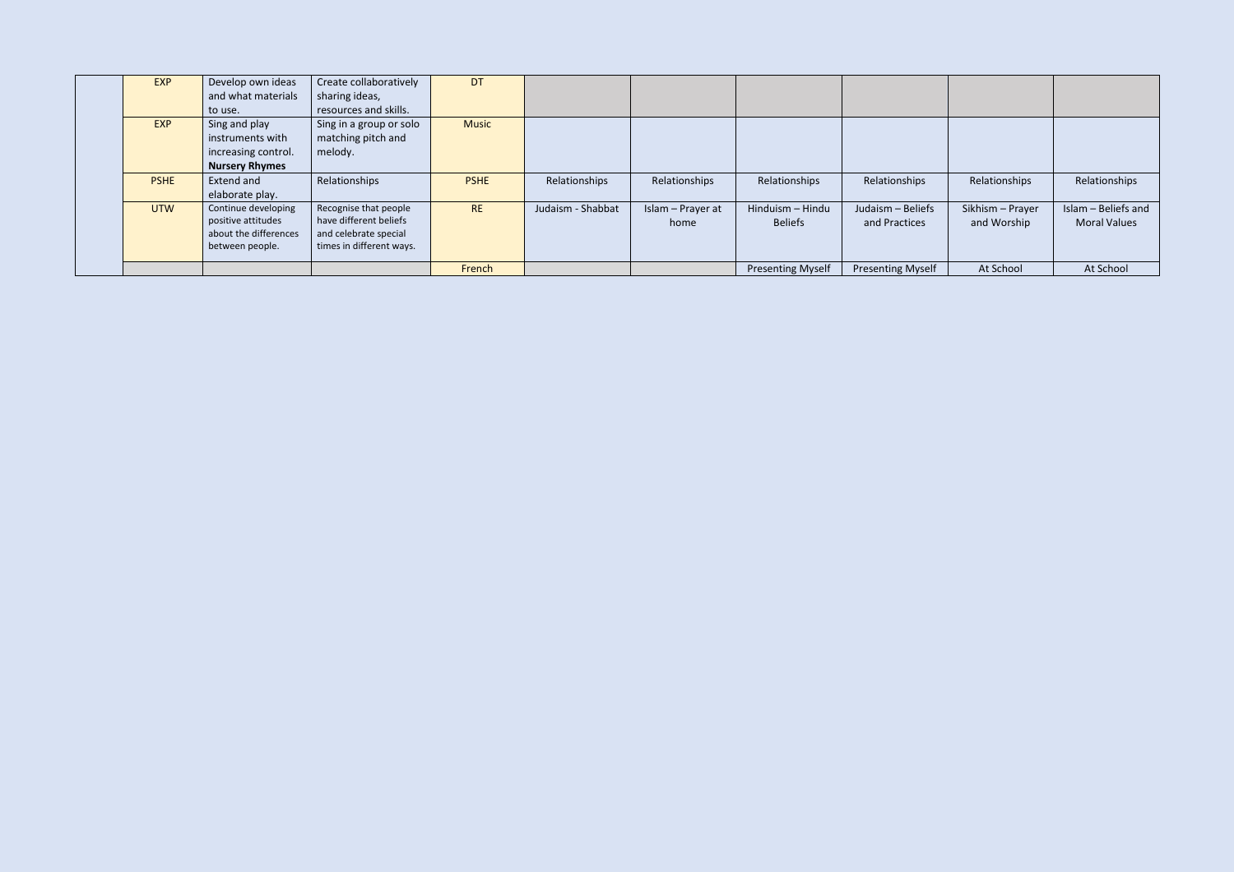| <b>EXP</b>  | Develop own ideas     | Create collaboratively   | <b>DT</b>    |                   |                   |                          |                          |                  |                     |
|-------------|-----------------------|--------------------------|--------------|-------------------|-------------------|--------------------------|--------------------------|------------------|---------------------|
|             | and what materials    | sharing ideas,           |              |                   |                   |                          |                          |                  |                     |
|             | to use.               | resources and skills.    |              |                   |                   |                          |                          |                  |                     |
| EXP         | Sing and play         | Sing in a group or solo  | <b>Music</b> |                   |                   |                          |                          |                  |                     |
|             | instruments with      | matching pitch and       |              |                   |                   |                          |                          |                  |                     |
|             | increasing control.   | melody.                  |              |                   |                   |                          |                          |                  |                     |
|             | <b>Nursery Rhymes</b> |                          |              |                   |                   |                          |                          |                  |                     |
| <b>PSHE</b> | Extend and            | Relationships            | <b>PSHE</b>  | Relationships     | Relationships     | Relationships            | Relationships            | Relationships    | Relationships       |
|             | elaborate play.       |                          |              |                   |                   |                          |                          |                  |                     |
| <b>UTW</b>  | Continue developing   | Recognise that people    | <b>RE</b>    | Judaism - Shabbat | Islam - Prayer at | Hinduism - Hindu         | Judaism - Beliefs        | Sikhism - Prayer | Islam - Beliefs and |
|             | positive attitudes    | have different beliefs   |              |                   | home              | <b>Beliefs</b>           | and Practices            | and Worship      | <b>Moral Values</b> |
|             | about the differences | and celebrate special    |              |                   |                   |                          |                          |                  |                     |
|             | between people.       | times in different ways. |              |                   |                   |                          |                          |                  |                     |
|             |                       |                          | French       |                   |                   | <b>Presenting Myself</b> | <b>Presenting Myself</b> | At School        | At School           |
|             |                       |                          |              |                   |                   |                          |                          |                  |                     |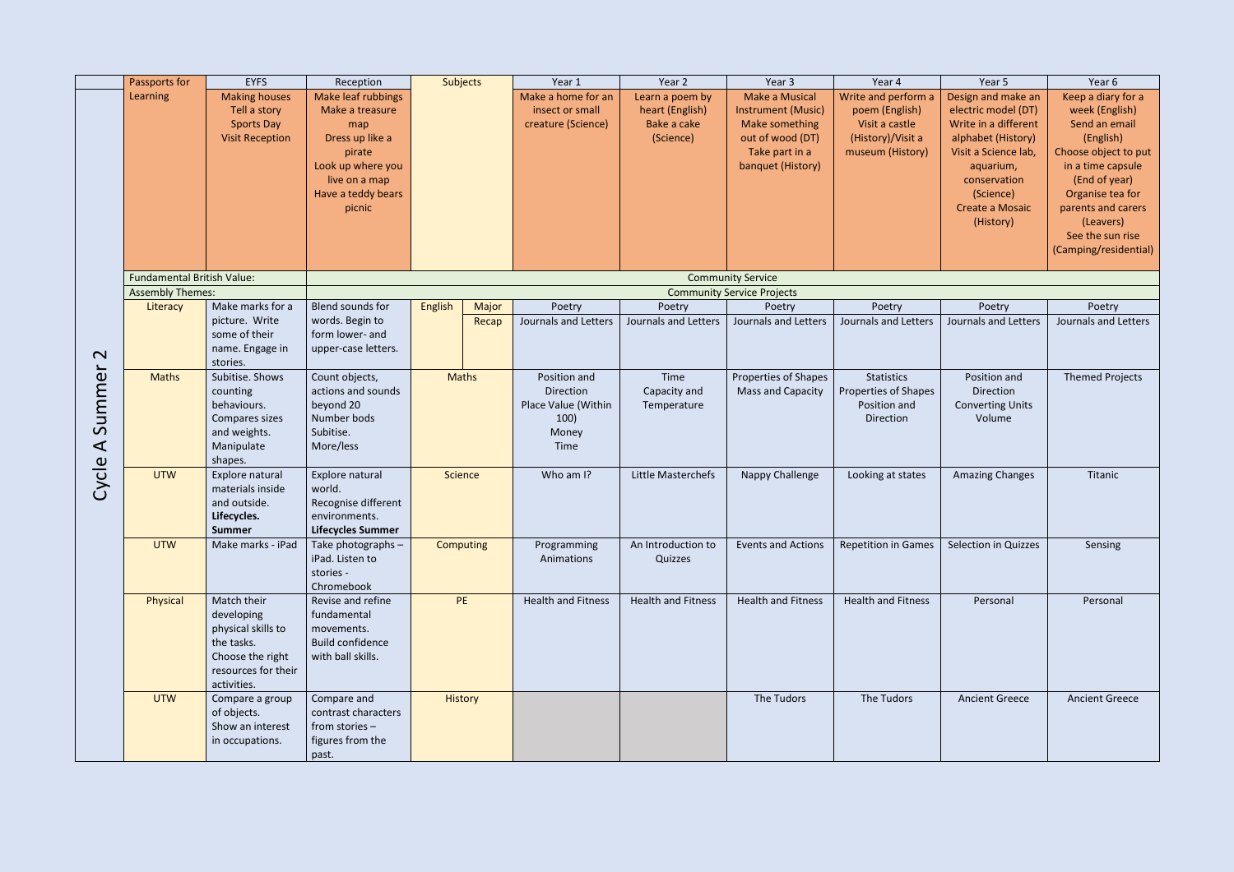|                                                | Passports for                     | <b>EYFS</b>                                                                                                             | Reception                                                                                                                                              | Subjects         |       | Year 1                                                                    | Year 2                                                         | Year 3                                                                                                                          | Year 4                                                                                           | Year 5                                                                                                                                                                                    | Year 6                                                                                                                                                                                                                               |
|------------------------------------------------|-----------------------------------|-------------------------------------------------------------------------------------------------------------------------|--------------------------------------------------------------------------------------------------------------------------------------------------------|------------------|-------|---------------------------------------------------------------------------|----------------------------------------------------------------|---------------------------------------------------------------------------------------------------------------------------------|--------------------------------------------------------------------------------------------------|-------------------------------------------------------------------------------------------------------------------------------------------------------------------------------------------|--------------------------------------------------------------------------------------------------------------------------------------------------------------------------------------------------------------------------------------|
|                                                | Learning                          | <b>Making houses</b><br>Tell a story<br><b>Sports Day</b><br><b>Visit Reception</b>                                     | <b>Make leaf rubbings</b><br>Make a treasure<br>map<br>Dress up like a<br>pirate<br>Look up where you<br>live on a map<br>Have a teddy bears<br>picnic |                  |       | Make a home for an<br>insect or small<br>creature (Science)               | Learn a poem by<br>heart (English)<br>Bake a cake<br>(Science) | <b>Make a Musical</b><br><b>Instrument (Music)</b><br>Make something<br>out of wood (DT)<br>Take part in a<br>banquet (History) | Write and perform a<br>poem (English)<br>Visit a castle<br>(History)/Visit a<br>museum (History) | Design and make an<br>electric model (DT)<br>Write in a different<br>alphabet (History)<br>Visit a Science lab,<br>aquarium,<br>conservation<br>(Science)<br>Create a Mosaic<br>(History) | Keep a diary for a<br>week (English)<br>Send an email<br>(English)<br>Choose object to put<br>in a time capsule<br>(End of year)<br>Organise tea for<br>parents and carers<br>(Leavers)<br>See the sun rise<br>(Camping/residential) |
|                                                | <b>Fundamental British Value:</b> |                                                                                                                         |                                                                                                                                                        |                  |       |                                                                           |                                                                | <b>Community Service</b>                                                                                                        |                                                                                                  |                                                                                                                                                                                           |                                                                                                                                                                                                                                      |
|                                                | <b>Assembly Themes:</b>           |                                                                                                                         |                                                                                                                                                        |                  |       |                                                                           |                                                                | <b>Community Service Projects</b>                                                                                               |                                                                                                  |                                                                                                                                                                                           |                                                                                                                                                                                                                                      |
|                                                | Literacy                          | Make marks for a                                                                                                        | Blend sounds for                                                                                                                                       | English          | Major | Poetry                                                                    | Poetry                                                         | Poetry                                                                                                                          | Poetry                                                                                           | Poetry                                                                                                                                                                                    | Poetry                                                                                                                                                                                                                               |
| $\mathbf{\Omega}$                              |                                   | picture. Write<br>some of their<br>name. Engage in<br>stories.                                                          | words. Begin to<br>form lower- and<br>upper-case letters.                                                                                              |                  | Recap | Journals and Letters                                                      | Journals and Letters                                           | <b>Journals and Letters</b>                                                                                                     | Journals and Letters                                                                             | Journals and Letters                                                                                                                                                                      | Journals and Letters                                                                                                                                                                                                                 |
| ummer<br>$\mathcal{S}$<br>$\blacktriangleleft$ | <b>Maths</b>                      | Subitise. Shows<br>counting<br>behaviours.<br>Compares sizes<br>and weights.<br>Manipulate<br>shapes.                   | Count objects,<br>actions and sounds<br>beyond 20<br>Number bods<br>Subitise.<br>More/less                                                             | <b>Maths</b>     |       | Position and<br>Direction<br>Place Value (Within<br>100)<br>Money<br>Time | Time<br>Capacity and<br>Temperature                            | Properties of Shapes<br>Mass and Capacity                                                                                       | <b>Statistics</b><br><b>Properties of Shapes</b><br>Position and<br>Direction                    | Position and<br>Direction<br><b>Converting Units</b><br>Volume                                                                                                                            | <b>Themed Projects</b>                                                                                                                                                                                                               |
| Cycle                                          | <b>UTW</b>                        | Explore natural<br>materials inside<br>and outside.<br>Lifecycles.<br>Summer                                            | Explore natural<br>world.<br>Recognise different<br>environments.<br><b>Lifecycles Summer</b>                                                          | Science          |       | Who am I?                                                                 | Little Masterchefs                                             | Nappy Challenge                                                                                                                 | Looking at states                                                                                | <b>Amazing Changes</b>                                                                                                                                                                    | Titanic                                                                                                                                                                                                                              |
|                                                | <b>UTW</b>                        | Make marks - iPad                                                                                                       | Take photographs -<br>iPad. Listen to<br>stories -<br>Chromebook                                                                                       | <b>Computing</b> |       | Programming<br>Animations                                                 | An Introduction to<br>Quizzes                                  | <b>Events and Actions</b>                                                                                                       | <b>Repetition in Games</b>                                                                       | Selection in Quizzes                                                                                                                                                                      | Sensing                                                                                                                                                                                                                              |
|                                                | Physical                          | Match their<br>developing<br>physical skills to<br>the tasks.<br>Choose the right<br>resources for their<br>activities. | Revise and refine<br>fundamental<br>movements.<br><b>Build confidence</b><br>with ball skills.                                                         | PE               |       | <b>Health and Fitness</b>                                                 | <b>Health and Fitness</b>                                      | <b>Health and Fitness</b>                                                                                                       | <b>Health and Fitness</b>                                                                        | Personal                                                                                                                                                                                  | Personal                                                                                                                                                                                                                             |
|                                                | <b>UTW</b>                        | Compare a group<br>of objects.<br>Show an interest<br>in occupations.                                                   | Compare and<br>contrast characters<br>from stories -<br>figures from the<br>past.                                                                      | <b>History</b>   |       |                                                                           |                                                                | The Tudors                                                                                                                      | The Tudors                                                                                       | <b>Ancient Greece</b>                                                                                                                                                                     | <b>Ancient Greece</b>                                                                                                                                                                                                                |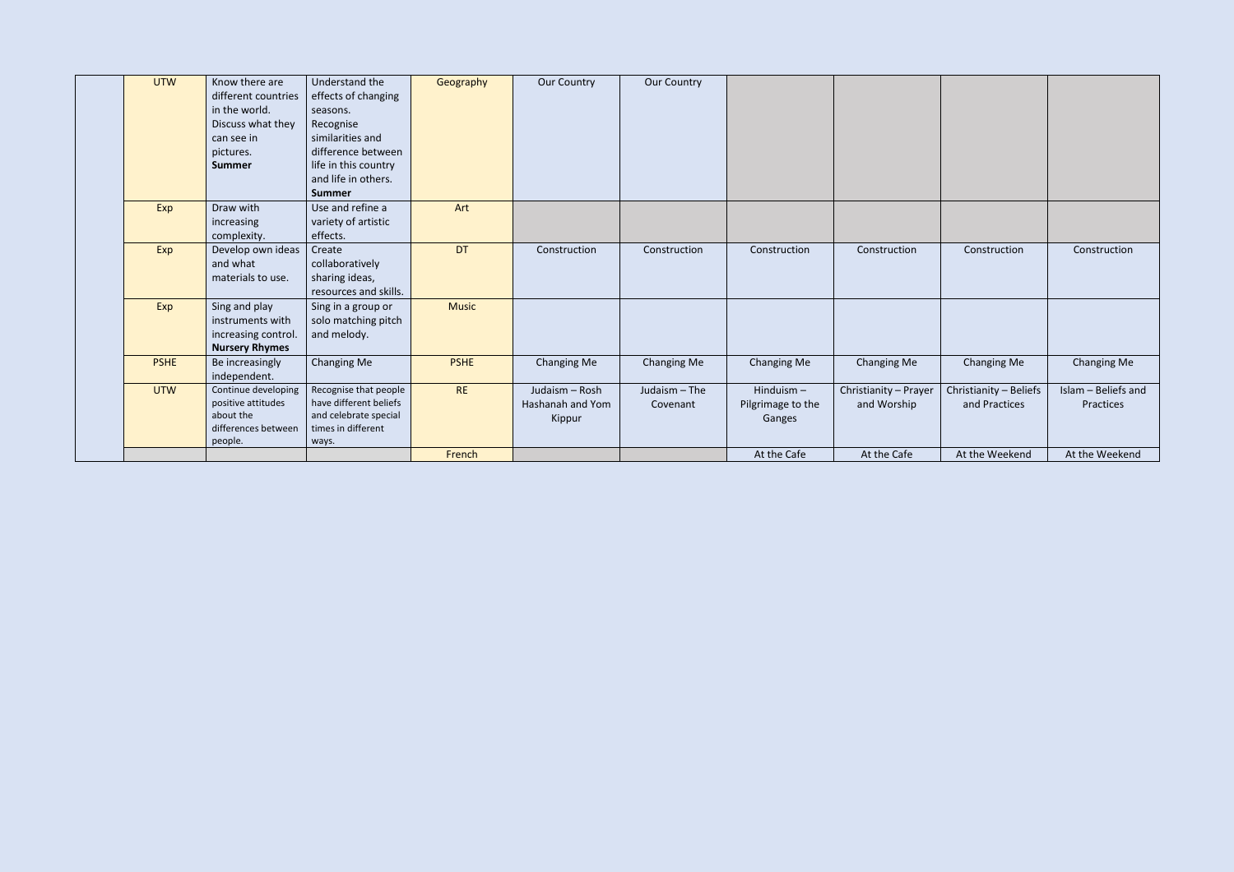| <b>UTW</b>  | Know there are<br>different countries | Understand the<br>effects of changing       | Geography    | <b>Our Country</b> | Our Country   |                   |                       |                        |                     |
|-------------|---------------------------------------|---------------------------------------------|--------------|--------------------|---------------|-------------------|-----------------------|------------------------|---------------------|
|             | in the world.                         | seasons.                                    |              |                    |               |                   |                       |                        |                     |
|             | Discuss what they                     | Recognise                                   |              |                    |               |                   |                       |                        |                     |
|             | can see in                            | similarities and                            |              |                    |               |                   |                       |                        |                     |
|             | pictures.                             | difference between                          |              |                    |               |                   |                       |                        |                     |
|             | <b>Summer</b>                         | life in this country                        |              |                    |               |                   |                       |                        |                     |
|             |                                       | and life in others.                         |              |                    |               |                   |                       |                        |                     |
|             |                                       | <b>Summer</b>                               |              |                    |               |                   |                       |                        |                     |
| Exp         | Draw with                             | Use and refine a                            | Art          |                    |               |                   |                       |                        |                     |
|             | increasing                            | variety of artistic                         |              |                    |               |                   |                       |                        |                     |
|             | complexity.                           | effects.                                    |              |                    |               |                   |                       |                        |                     |
| Exp         | Develop own ideas                     | Create                                      | <b>DT</b>    | Construction       | Construction  | Construction      | Construction          | Construction           | Construction        |
|             | and what                              | collaboratively                             |              |                    |               |                   |                       |                        |                     |
|             | materials to use.                     | sharing ideas,                              |              |                    |               |                   |                       |                        |                     |
|             |                                       | resources and skills.                       |              |                    |               |                   |                       |                        |                     |
| Exp         | Sing and play                         | Sing in a group or                          | <b>Music</b> |                    |               |                   |                       |                        |                     |
|             | instruments with                      | solo matching pitch                         |              |                    |               |                   |                       |                        |                     |
|             | increasing control.                   | and melody.                                 |              |                    |               |                   |                       |                        |                     |
|             | <b>Nursery Rhymes</b>                 |                                             |              |                    |               |                   |                       |                        |                     |
| <b>PSHE</b> | Be increasingly                       | <b>Changing Me</b>                          | <b>PSHE</b>  | <b>Changing Me</b> | Changing Me   | Changing Me       | Changing Me           | <b>Changing Me</b>     | <b>Changing Me</b>  |
|             | independent.                          |                                             |              |                    |               |                   |                       |                        |                     |
| <b>UTW</b>  | Continue developing                   | Recognise that people                       | <b>RE</b>    | Judaism - Rosh     | Judaism - The | Hinduism $-$      | Christianity - Prayer | Christianity - Beliefs | Islam - Beliefs and |
|             | positive attitudes                    | have different beliefs                      |              | Hashanah and Yom   | Covenant      | Pilgrimage to the | and Worship           | and Practices          | Practices           |
|             | about the<br>differences between      | and celebrate special<br>times in different |              | Kippur             |               | Ganges            |                       |                        |                     |
|             | people.                               | ways.                                       |              |                    |               |                   |                       |                        |                     |
|             |                                       |                                             | French       |                    |               | At the Cafe       | At the Cafe           | At the Weekend         | At the Weekend      |
|             |                                       |                                             |              |                    |               |                   |                       |                        |                     |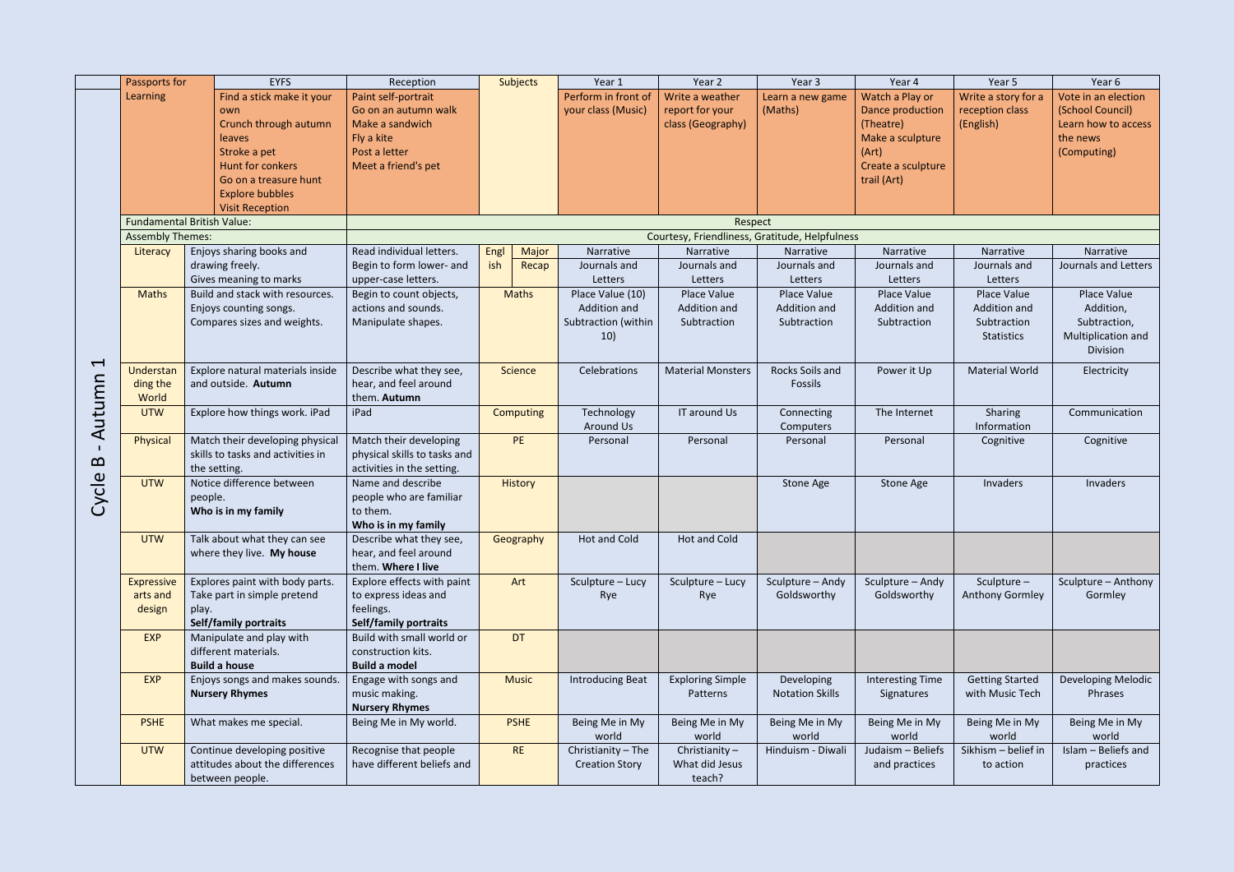|                          | Passports for           | <b>EYFS</b>                       | Reception                    |      | Subjects     | Year 1                  | Year 2                                         | Year 3                 | Year 4                  | Year 5                 | Year 6               |
|--------------------------|-------------------------|-----------------------------------|------------------------------|------|--------------|-------------------------|------------------------------------------------|------------------------|-------------------------|------------------------|----------------------|
|                          | Learning                | Find a stick make it your         | Paint self-portrait          |      |              | Perform in front of     | Write a weather                                | Learn a new game       | Watch a Play or         | Write a story for a    | Vote in an election  |
|                          |                         | own                               | Go on an autumn walk         |      |              | your class (Music)      | report for your                                | (Maths)                | Dance production        | reception class        | (School Council)     |
|                          |                         | Crunch through autumn             | Make a sandwich              |      |              |                         | class (Geography)                              |                        | (Theatre)               | (English)              | Learn how to access  |
|                          |                         | leaves                            | Fly a kite                   |      |              |                         |                                                |                        | Make a sculpture        |                        | the news             |
|                          |                         | Stroke a pet                      | Post a letter                |      |              |                         |                                                |                        | (Art)                   |                        | (Computing)          |
|                          |                         |                                   |                              |      |              |                         |                                                |                        |                         |                        |                      |
|                          |                         | Hunt for conkers                  | Meet a friend's pet          |      |              |                         |                                                |                        | Create a sculpture      |                        |                      |
|                          |                         | Go on a treasure hunt             |                              |      |              |                         |                                                |                        | trail (Art)             |                        |                      |
|                          |                         | <b>Explore bubbles</b>            |                              |      |              |                         |                                                |                        |                         |                        |                      |
|                          |                         | <b>Visit Reception</b>            |                              |      |              |                         |                                                |                        |                         |                        |                      |
|                          |                         | <b>Fundamental British Value:</b> |                              |      |              |                         | Respect                                        |                        |                         |                        |                      |
|                          | <b>Assembly Themes:</b> |                                   |                              |      |              |                         | Courtesy, Friendliness, Gratitude, Helpfulness |                        |                         |                        |                      |
|                          | Literacy                | Enjoys sharing books and          | Read individual letters.     | Engl | Major        | Narrative               | Narrative                                      | Narrative              | Narrative               | Narrative              | Narrative            |
|                          |                         | drawing freely.                   | Begin to form lower- and     | ish  |              |                         | Journals and                                   | Journals and           | Journals and            |                        | Journals and Letters |
|                          |                         |                                   |                              |      | Recap        | Journals and            |                                                |                        |                         | Journals and           |                      |
|                          |                         | Gives meaning to marks            | upper-case letters.          |      |              | Letters                 | Letters                                        | Letters                | Letters                 | Letters                |                      |
|                          | <b>Maths</b>            | Build and stack with resources.   | Begin to count objects,      |      | <b>Maths</b> | Place Value (10)        | Place Value                                    | Place Value            | Place Value             | Place Value            | Place Value          |
|                          |                         | Enjoys counting songs.            | actions and sounds.          |      |              | Addition and            | Addition and                                   | Addition and           | Addition and            | Addition and           | Addition,            |
|                          |                         | Compares sizes and weights.       | Manipulate shapes.           |      |              | Subtraction (within     | Subtraction                                    | Subtraction            | Subtraction             | Subtraction            | Subtraction,         |
|                          |                         |                                   |                              |      |              | 10)                     |                                                |                        |                         | <b>Statistics</b>      | Multiplication and   |
|                          |                         |                                   |                              |      |              |                         |                                                |                        |                         |                        | Division             |
| $\overline{\phantom{0}}$ |                         |                                   |                              |      |              |                         |                                                |                        |                         |                        |                      |
|                          | Understan               | Explore natural materials inside  | Describe what they see,      |      | Science      | Celebrations            | <b>Material Monsters</b>                       | Rocks Soils and        | Power it Up             | <b>Material World</b>  | Electricity          |
|                          | ding the                | and outside. Autumn               | hear, and feel around        |      |              |                         |                                                | Fossils                |                         |                        |                      |
|                          | World                   |                                   | them. Autumn                 |      |              |                         |                                                |                        |                         |                        |                      |
| Autumn                   | <b>UTW</b>              | Explore how things work. iPad     | iPad                         |      | Computing    | Technology              | IT around Us                                   | Connecting             | The Internet            | Sharing                | Communication        |
|                          |                         |                                   |                              |      |              | Around Us               |                                                | Computers              |                         | Information            |                      |
|                          | Physical                | Match their developing physical   | Match their developing       |      | PE           | Personal                | Personal                                       | Personal               | Personal                | Cognitive              | Cognitive            |
|                          |                         |                                   |                              |      |              |                         |                                                |                        |                         |                        |                      |
| $\mathbf{p}$             |                         | skills to tasks and activities in | physical skills to tasks and |      |              |                         |                                                |                        |                         |                        |                      |
|                          |                         | the setting.                      | activities in the setting.   |      |              |                         |                                                |                        |                         |                        |                      |
| Cycle                    | <b>UTW</b>              | Notice difference between         | Name and describe            |      | History      |                         |                                                | Stone Age              | Stone Age               | Invaders               | Invaders             |
|                          |                         | people.                           | people who are familiar      |      |              |                         |                                                |                        |                         |                        |                      |
|                          |                         | Who is in my family               | to them.                     |      |              |                         |                                                |                        |                         |                        |                      |
|                          |                         |                                   | Who is in my family          |      |              |                         |                                                |                        |                         |                        |                      |
|                          | <b>UTW</b>              | Talk about what they can see      | Describe what they see,      |      | Geography    | Hot and Cold            | Hot and Cold                                   |                        |                         |                        |                      |
|                          |                         | where they live. My house         | hear, and feel around        |      |              |                         |                                                |                        |                         |                        |                      |
|                          |                         |                                   | them. Where I live           |      |              |                         |                                                |                        |                         |                        |                      |
|                          | <b>Expressive</b>       | Explores paint with body parts.   | Explore effects with paint   |      | Art          | Sculpture - Lucy        | Sculpture - Lucy                               | Sculpture - Andy       | Sculpture - Andy        | Sculpture-             | Sculpture - Anthony  |
|                          |                         |                                   |                              |      |              |                         |                                                |                        |                         |                        |                      |
|                          | arts and                | Take part in simple pretend       | to express ideas and         |      |              | Rye                     | Rye                                            | Goldsworthy            | Goldsworthy             | Anthony Gormley        | Gormley              |
|                          | design                  | play.                             | feelings.                    |      |              |                         |                                                |                        |                         |                        |                      |
|                          |                         | <b>Self/family portraits</b>      | Self/family portraits        |      |              |                         |                                                |                        |                         |                        |                      |
|                          | <b>EXP</b>              | Manipulate and play with          | Build with small world or    |      | <b>DT</b>    |                         |                                                |                        |                         |                        |                      |
|                          |                         | different materials.              | construction kits.           |      |              |                         |                                                |                        |                         |                        |                      |
|                          |                         | <b>Build a house</b>              | <b>Build a model</b>         |      |              |                         |                                                |                        |                         |                        |                      |
|                          | <b>EXP</b>              | Enjoys songs and makes sounds.    | Engage with songs and        |      | <b>Music</b> | <b>Introducing Beat</b> | <b>Exploring Simple</b>                        | Developing             | <b>Interesting Time</b> | <b>Getting Started</b> | Developing Melodic   |
|                          |                         | <b>Nursery Rhymes</b>             | music making.                |      |              |                         | Patterns                                       | <b>Notation Skills</b> | Signatures              | with Music Tech        | Phrases              |
|                          |                         |                                   |                              |      |              |                         |                                                |                        |                         |                        |                      |
|                          |                         |                                   | <b>Nursery Rhymes</b>        |      |              |                         |                                                |                        |                         |                        |                      |
|                          | <b>PSHE</b>             | What makes me special.            | Being Me in My world.        |      | <b>PSHE</b>  | Being Me in My          | Being Me in My                                 | Being Me in My         | Being Me in My          | Being Me in My         | Being Me in My       |
|                          |                         |                                   |                              |      |              | world                   | world                                          | world                  | world                   | world                  | world                |
|                          | <b>UTW</b>              | Continue developing positive      | Recognise that people        |      | <b>RE</b>    | Christianity - The      | Christianity $-$                               | Hinduism - Diwali      | Judaism - Beliefs       | Sikhism - belief in    | Islam - Beliefs and  |
|                          |                         | attitudes about the differences   | have different beliefs and   |      |              | <b>Creation Story</b>   | What did Jesus                                 |                        | and practices           | to action              | practices            |
|                          |                         | between people.                   |                              |      |              |                         | teach?                                         |                        |                         |                        |                      |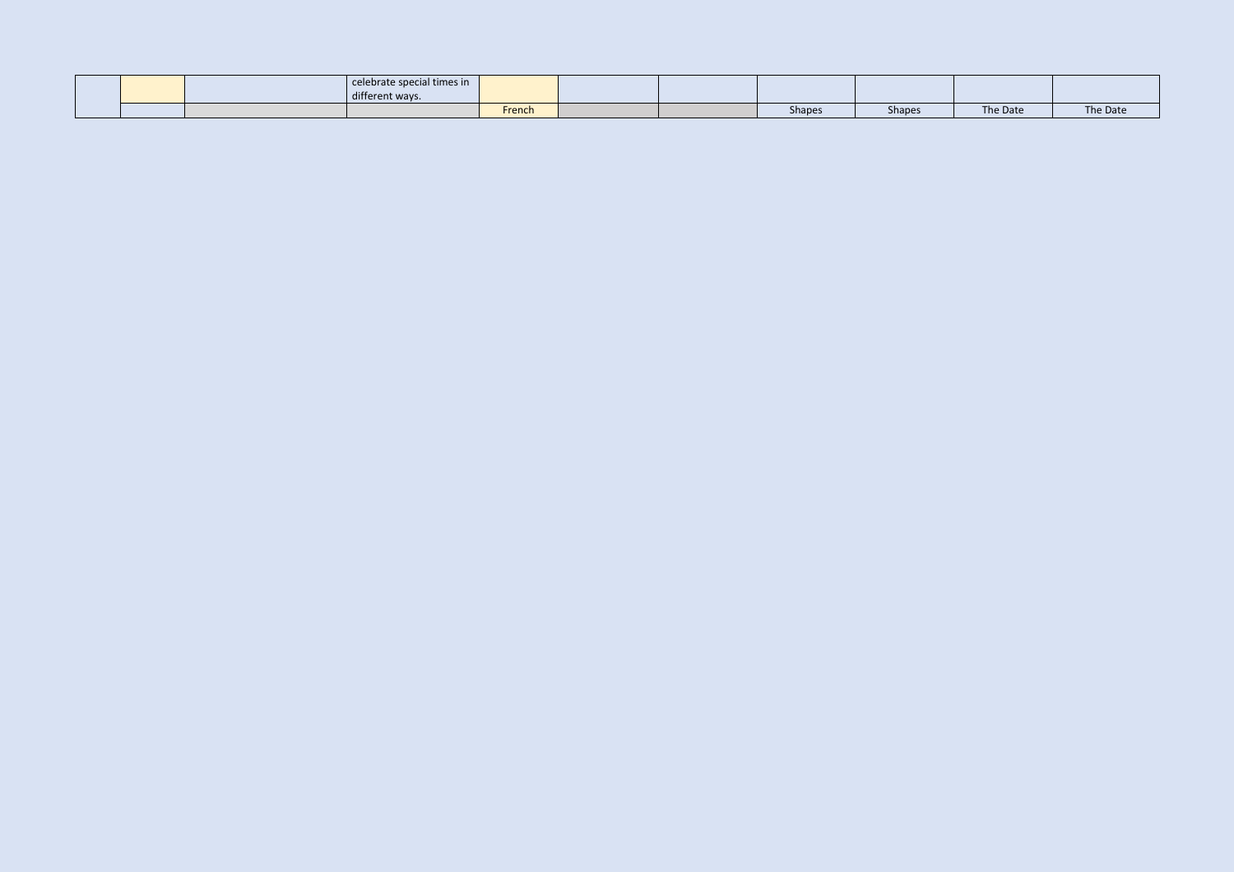|  | celebrate special times in<br>different ways. |        |  |               |               |          |          |
|--|-----------------------------------------------|--------|--|---------------|---------------|----------|----------|
|  |                                               | French |  | <b>Shapes</b> | <b>Shapes</b> | The Date | The Date |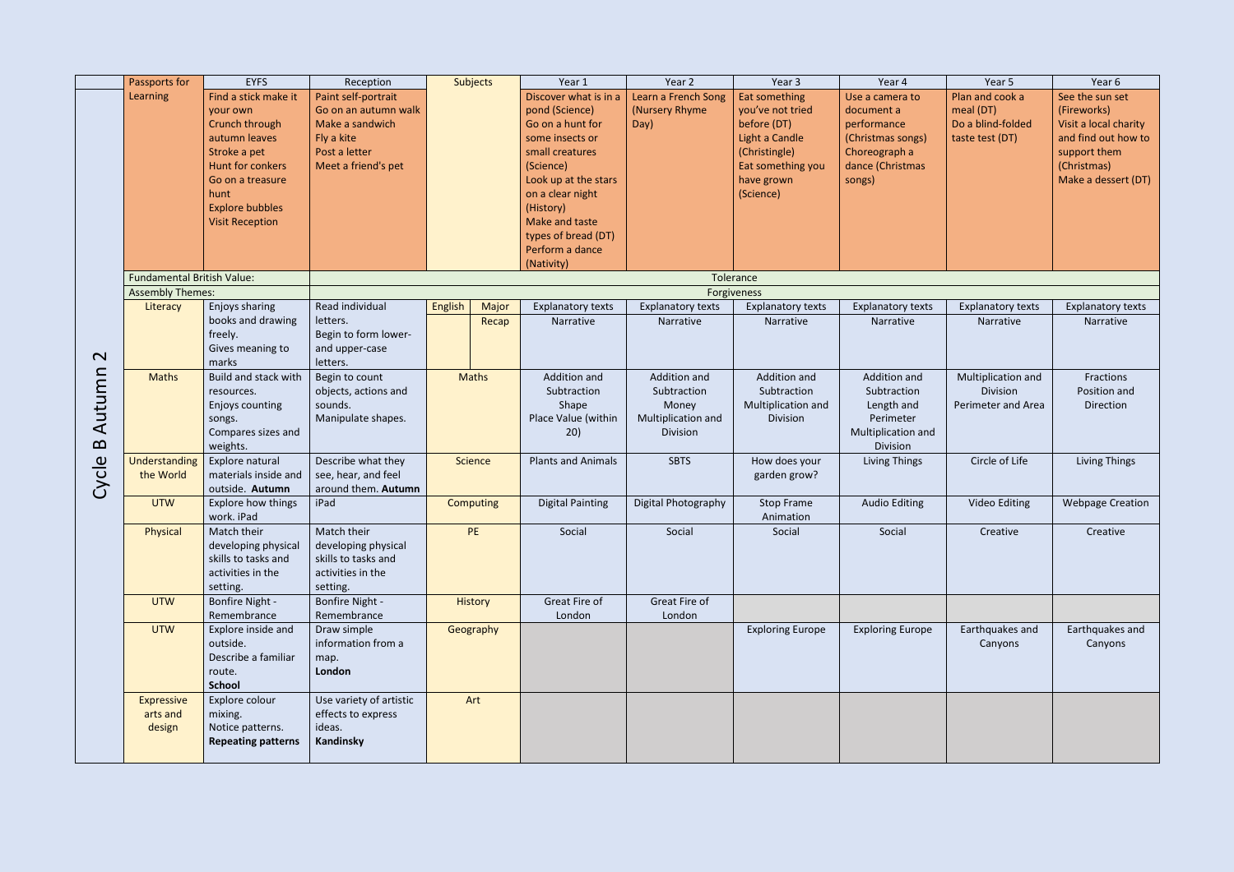|                             | Passports for                     | <b>EYFS</b>                                                                                                                                                                             | Reception                                                                                                            |         | <b>Subjects</b>  | Year 1                                                                                                                                                                                                                                            | Year 2                                                                 | Year 3                                                                                                                              | Year 4                                                                                                           | Year 5                                                               | Year 6                                                                                                                               |
|-----------------------------|-----------------------------------|-----------------------------------------------------------------------------------------------------------------------------------------------------------------------------------------|----------------------------------------------------------------------------------------------------------------------|---------|------------------|---------------------------------------------------------------------------------------------------------------------------------------------------------------------------------------------------------------------------------------------------|------------------------------------------------------------------------|-------------------------------------------------------------------------------------------------------------------------------------|------------------------------------------------------------------------------------------------------------------|----------------------------------------------------------------------|--------------------------------------------------------------------------------------------------------------------------------------|
|                             | Learning                          | Find a stick make it<br>your own<br>Crunch through<br>autumn leaves<br>Stroke a pet<br>Hunt for conkers<br>Go on a treasure<br>hunt<br><b>Explore bubbles</b><br><b>Visit Reception</b> | Paint self-portrait<br>Go on an autumn walk<br>Make a sandwich<br>Fly a kite<br>Post a letter<br>Meet a friend's pet |         |                  | Discover what is in a<br>pond (Science)<br>Go on a hunt for<br>some insects or<br>small creatures<br>(Science)<br>Look up at the stars<br>on a clear night<br>(History)<br>Make and taste<br>types of bread (DT)<br>Perform a dance<br>(Nativity) | Learn a French Song<br>(Nursery Rhyme)<br>Day)                         | Eat something<br>you've not tried<br>before (DT)<br>Light a Candle<br>(Christingle)<br>Eat something you<br>have grown<br>(Science) | Use a camera to<br>document a<br>performance<br>(Christmas songs)<br>Choreograph a<br>dance (Christmas<br>songs) | Plan and cook a<br>meal (DT)<br>Do a blind-folded<br>taste test (DT) | See the sun set<br>(Fireworks)<br>Visit a local charity<br>and find out how to<br>support them<br>(Christmas)<br>Make a dessert (DT) |
|                             | <b>Fundamental British Value:</b> |                                                                                                                                                                                         |                                                                                                                      |         |                  |                                                                                                                                                                                                                                                   |                                                                        | Tolerance                                                                                                                           |                                                                                                                  |                                                                      |                                                                                                                                      |
|                             | <b>Assembly Themes:</b>           |                                                                                                                                                                                         |                                                                                                                      |         |                  |                                                                                                                                                                                                                                                   |                                                                        | Forgiveness                                                                                                                         |                                                                                                                  |                                                                      |                                                                                                                                      |
| $\mathbf{\Omega}$           | Literacy                          | Enjoys sharing<br>books and drawing<br>freely.<br>Gives meaning to<br>marks                                                                                                             | Read individual<br>letters.<br>Begin to form lower-<br>and upper-case<br>letters.                                    | English | Major<br>Recap   | <b>Explanatory texts</b><br>Narrative                                                                                                                                                                                                             | <b>Explanatory texts</b><br>Narrative                                  | <b>Explanatory texts</b><br>Narrative                                                                                               | <b>Explanatory texts</b><br>Narrative                                                                            | <b>Explanatory texts</b><br>Narrative                                | <b>Explanatory texts</b><br>Narrative                                                                                                |
| Autumn<br>$\mathbf{\Omega}$ | <b>Maths</b>                      | Build and stack with<br>resources.<br>Enjoys counting<br>songs.<br>Compares sizes and<br>weights.                                                                                       | Begin to count<br>objects, actions and<br>sounds.<br>Manipulate shapes.                                              |         | <b>Maths</b>     | Addition and<br>Subtraction<br>Shape<br>Place Value (within<br>20)                                                                                                                                                                                | Addition and<br>Subtraction<br>Money<br>Multiplication and<br>Division | Addition and<br>Subtraction<br>Multiplication and<br>Division                                                                       | Addition and<br>Subtraction<br>Length and<br>Perimeter<br>Multiplication and<br>Division                         | Multiplication and<br>Division<br>Perimeter and Area                 | Fractions<br>Position and<br>Direction                                                                                               |
| Cycle                       | Understanding<br>the World        | Explore natural<br>materials inside and<br>outside. Autumn                                                                                                                              | Describe what they<br>see, hear, and feel<br>around them. Autumn                                                     |         | <b>Science</b>   | <b>Plants and Animals</b>                                                                                                                                                                                                                         | <b>SBTS</b>                                                            | How does your<br>garden grow?                                                                                                       | Living Things                                                                                                    | Circle of Life                                                       | Living Things                                                                                                                        |
|                             | <b>UTW</b>                        | Explore how things<br>work. iPad                                                                                                                                                        | iPad                                                                                                                 |         | <b>Computing</b> | <b>Digital Painting</b>                                                                                                                                                                                                                           | Digital Photography                                                    | <b>Stop Frame</b><br>Animation                                                                                                      | <b>Audio Editing</b>                                                                                             | Video Editing                                                        | <b>Webpage Creation</b>                                                                                                              |
|                             | Physical                          | Match their<br>developing physical<br>skills to tasks and<br>activities in the<br>setting.                                                                                              | Match their<br>developing physical<br>skills to tasks and<br>activities in the<br>setting.                           |         | PE               | Social                                                                                                                                                                                                                                            | Social                                                                 | Social                                                                                                                              | Social                                                                                                           | Creative                                                             | Creative                                                                                                                             |
|                             | <b>UTW</b>                        | <b>Bonfire Night -</b><br>Remembrance                                                                                                                                                   | <b>Bonfire Night -</b><br>Remembrance                                                                                |         | <b>History</b>   | Great Fire of<br>London                                                                                                                                                                                                                           | Great Fire of<br>London                                                |                                                                                                                                     |                                                                                                                  |                                                                      |                                                                                                                                      |
|                             | <b>UTW</b>                        | Explore inside and<br>outside.<br>Describe a familiar<br>route.<br><b>School</b>                                                                                                        | Draw simple<br>information from a<br>map.<br>London                                                                  |         | Geography        |                                                                                                                                                                                                                                                   |                                                                        | <b>Exploring Europe</b>                                                                                                             | <b>Exploring Europe</b>                                                                                          | Earthquakes and<br>Canyons                                           | Earthquakes and<br>Canyons                                                                                                           |
|                             | Expressive<br>arts and<br>design  | Explore colour<br>mixing.<br>Notice patterns.<br><b>Repeating patterns</b>                                                                                                              | Use variety of artistic<br>effects to express<br>ideas.<br><b>Kandinsky</b>                                          |         | Art              |                                                                                                                                                                                                                                                   |                                                                        |                                                                                                                                     |                                                                                                                  |                                                                      |                                                                                                                                      |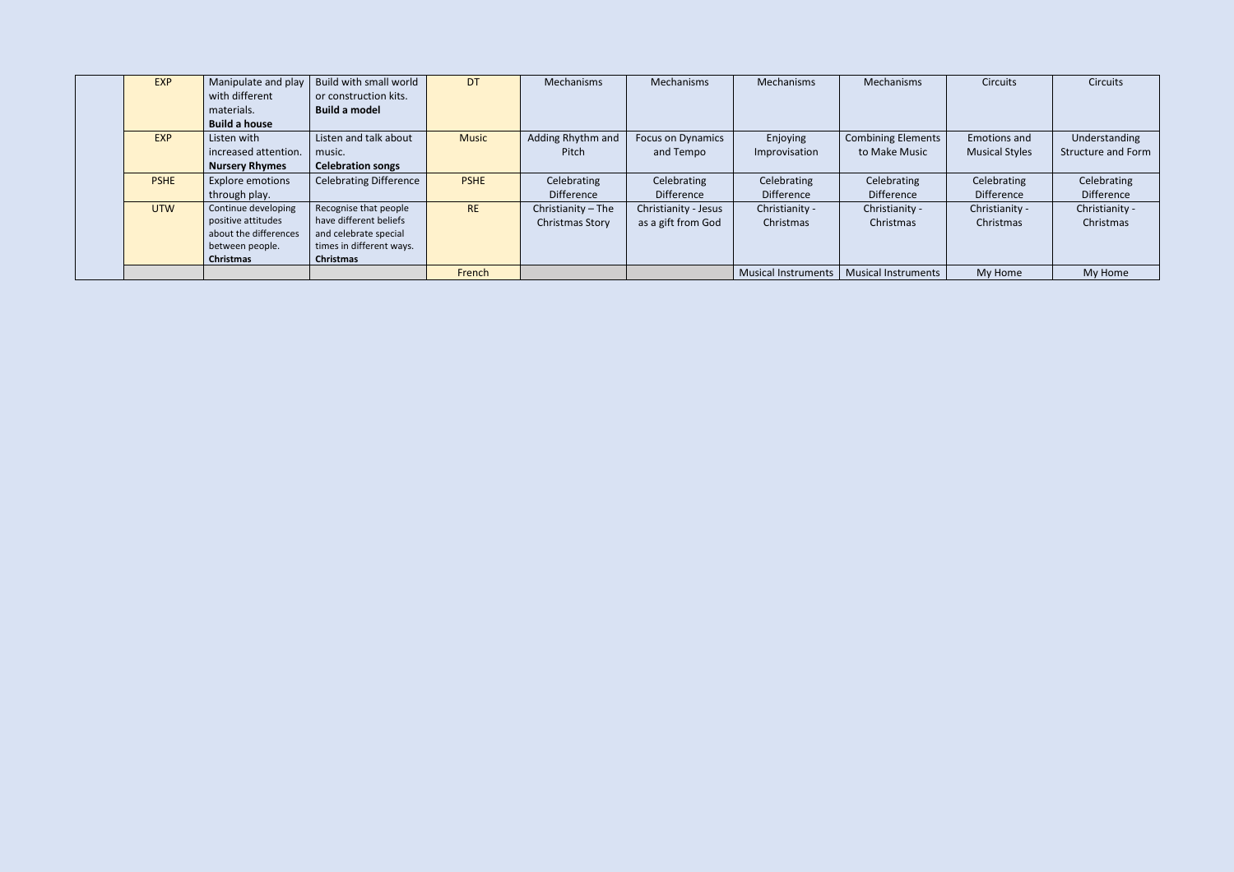| <b>EXP</b>  | Manipulate and play     | Build with small world        | <b>DT</b>    | Mechanisms             | Mechanisms               | Mechanisms          | Mechanisms                 | <b>Circuits</b>       | <b>Circuits</b>           |
|-------------|-------------------------|-------------------------------|--------------|------------------------|--------------------------|---------------------|----------------------------|-----------------------|---------------------------|
|             | with different          | or construction kits.         |              |                        |                          |                     |                            |                       |                           |
|             | materials.              | <b>Build a model</b>          |              |                        |                          |                     |                            |                       |                           |
|             | <b>Build a house</b>    |                               |              |                        |                          |                     |                            |                       |                           |
| <b>EXP</b>  | Listen with             | Listen and talk about         | <b>Music</b> | Adding Rhythm and      | <b>Focus on Dynamics</b> | Enjoying            | <b>Combining Elements</b>  | Emotions and          | Understanding             |
|             | increased attention.    | music.                        |              | Pitch                  | and Tempo                | Improvisation       | to Make Music              | <b>Musical Styles</b> | <b>Structure and Form</b> |
|             | <b>Nursery Rhymes</b>   | <b>Celebration songs</b>      |              |                        |                          |                     |                            |                       |                           |
| <b>PSHE</b> | <b>Explore emotions</b> | <b>Celebrating Difference</b> | <b>PSHE</b>  | Celebrating            | Celebrating              | Celebrating         | Celebrating                | Celebrating           | Celebrating               |
|             | through play.           |                               |              | <b>Difference</b>      | <b>Difference</b>        | Difference          | <b>Difference</b>          | <b>Difference</b>     | <b>Difference</b>         |
| <b>UTW</b>  | Continue developing     | Recognise that people         | <b>RE</b>    | Christianity - The     | Christianity - Jesus     | Christianity -      | Christianity -             | Christianity -        | Christianity -            |
|             | positive attitudes      | have different beliefs        |              | <b>Christmas Story</b> | as a gift from God       | Christmas           | Christmas                  | Christmas             | Christmas                 |
|             | about the differences   | and celebrate special         |              |                        |                          |                     |                            |                       |                           |
|             | between people.         | times in different ways.      |              |                        |                          |                     |                            |                       |                           |
|             | Christmas               | <b>Christmas</b>              |              |                        |                          |                     |                            |                       |                           |
|             |                         |                               | French       |                        |                          | Musical Instruments | <b>Musical Instruments</b> | My Home               | My Home                   |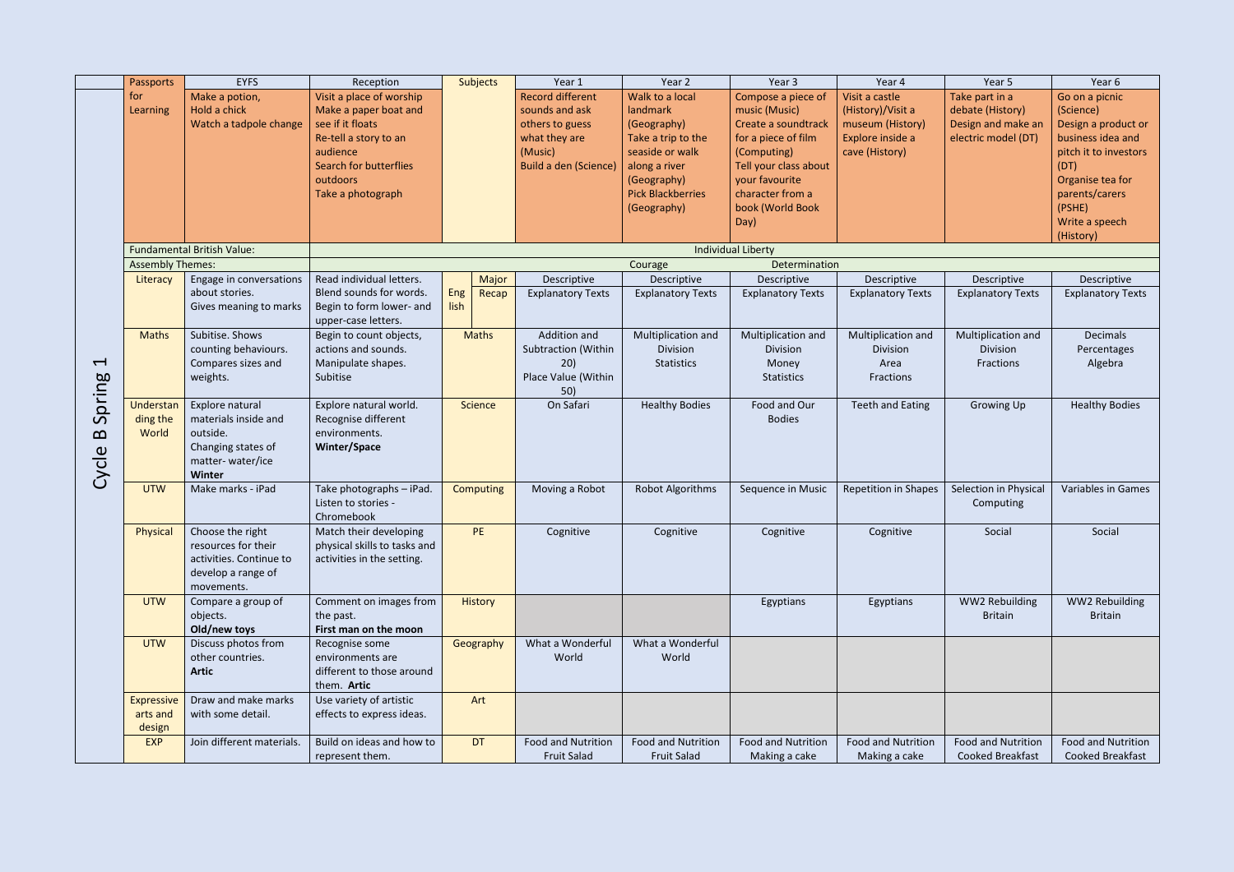|                                          | Passports                               | <b>EYFS</b>                                                                                             | Reception                                                                                                                                                                    |             | Subjects         | Year 1                                                                                                            | Year 2                                                                                                                                                         | Year 3                                                                                                                                                                                      | Year 4                                                                                        | Year 5                                                                          | Year 6                                                                                                                                                                                  |
|------------------------------------------|-----------------------------------------|---------------------------------------------------------------------------------------------------------|------------------------------------------------------------------------------------------------------------------------------------------------------------------------------|-------------|------------------|-------------------------------------------------------------------------------------------------------------------|----------------------------------------------------------------------------------------------------------------------------------------------------------------|---------------------------------------------------------------------------------------------------------------------------------------------------------------------------------------------|-----------------------------------------------------------------------------------------------|---------------------------------------------------------------------------------|-----------------------------------------------------------------------------------------------------------------------------------------------------------------------------------------|
|                                          | for<br>Learning                         | Make a potion,<br>Hold a chick<br>Watch a tadpole change                                                | Visit a place of worship<br>Make a paper boat and<br>see if it floats<br>Re-tell a story to an<br>audience<br><b>Search for butterflies</b><br>outdoors<br>Take a photograph |             |                  | <b>Record different</b><br>sounds and ask<br>others to guess<br>what they are<br>(Music)<br>Build a den (Science) | Walk to a local<br>landmark<br>(Geography)<br>Take a trip to the<br>seaside or walk<br>along a river<br>(Geography)<br><b>Pick Blackberries</b><br>(Geography) | Compose a piece of<br>music (Music)<br>Create a soundtrack<br>for a piece of film<br>(Computing)<br>Tell your class about<br>your favourite<br>character from a<br>book (World Book<br>Day) | Visit a castle<br>(History)/Visit a<br>museum (History)<br>Explore inside a<br>cave (History) | Take part in a<br>debate (History)<br>Design and make an<br>electric model (DT) | Go on a picnic<br>(Science)<br>Design a product or<br>business idea and<br>pitch it to investors<br>(DT)<br>Organise tea for<br>parents/carers<br>(PSHE)<br>Write a speech<br>(History) |
|                                          |                                         | <b>Fundamental British Value:</b>                                                                       |                                                                                                                                                                              |             |                  |                                                                                                                   |                                                                                                                                                                | <b>Individual Liberty</b>                                                                                                                                                                   |                                                                                               |                                                                                 |                                                                                                                                                                                         |
|                                          | <b>Assembly Themes:</b>                 |                                                                                                         |                                                                                                                                                                              |             |                  |                                                                                                                   | Courage                                                                                                                                                        | Determination                                                                                                                                                                               |                                                                                               |                                                                                 |                                                                                                                                                                                         |
|                                          | Literacy                                | Engage in conversations<br>about stories.<br>Gives meaning to marks                                     | Read individual letters.<br>Blend sounds for words.<br>Begin to form lower- and<br>upper-case letters.                                                                       | Eng<br>lish | Major<br>Recap   | Descriptive<br><b>Explanatory Texts</b>                                                                           | Descriptive<br><b>Explanatory Texts</b>                                                                                                                        | Descriptive<br><b>Explanatory Texts</b>                                                                                                                                                     | Descriptive<br><b>Explanatory Texts</b>                                                       | Descriptive<br><b>Explanatory Texts</b>                                         | Descriptive<br><b>Explanatory Texts</b>                                                                                                                                                 |
| $\overline{\phantom{0}}$                 | <b>Maths</b>                            | Subitise. Shows<br>counting behaviours.<br>Compares sizes and<br>weights.                               | Begin to count objects,<br>actions and sounds.<br>Manipulate shapes.<br>Subitise                                                                                             |             | <b>Maths</b>     | Addition and<br>Subtraction (Within<br>20)<br>Place Value (Within<br>50)                                          | Multiplication and<br>Division<br>Statistics                                                                                                                   | Multiplication and<br>Division<br>Money<br><b>Statistics</b>                                                                                                                                | Multiplication and<br>Division<br>Area<br>Fractions                                           | Multiplication and<br>Division<br>Fractions                                     | <b>Decimals</b><br>Percentages<br>Algebra                                                                                                                                               |
| Spring<br>$\boldsymbol{\Omega}$<br>Cycle | Understan<br>ding the<br>World          | Explore natural<br>materials inside and<br>outside.<br>Changing states of<br>matter-water/ice<br>Winter | Explore natural world.<br>Recognise different<br>environments.<br>Winter/Space                                                                                               |             | <b>Science</b>   | On Safari                                                                                                         | <b>Healthy Bodies</b>                                                                                                                                          | Food and Our<br><b>Bodies</b>                                                                                                                                                               | <b>Teeth and Eating</b>                                                                       | Growing Up                                                                      | <b>Healthy Bodies</b>                                                                                                                                                                   |
|                                          | <b>UTW</b>                              | Make marks - iPad                                                                                       | Take photographs - iPad.<br>Listen to stories -<br>Chromebook                                                                                                                |             | <b>Computing</b> | Moving a Robot                                                                                                    | Robot Algorithms                                                                                                                                               | Sequence in Music                                                                                                                                                                           | <b>Repetition in Shapes</b>                                                                   | Selection in Physical<br>Computing                                              | Variables in Games                                                                                                                                                                      |
|                                          | Physical                                | Choose the right<br>resources for their<br>activities. Continue to<br>develop a range of<br>movements.  | Match their developing<br>physical skills to tasks and<br>activities in the setting.                                                                                         |             | <b>PE</b>        | Cognitive                                                                                                         | Cognitive                                                                                                                                                      | Cognitive                                                                                                                                                                                   | Cognitive                                                                                     | Social                                                                          | Social                                                                                                                                                                                  |
|                                          | <b>UTW</b>                              | Compare a group of<br>objects.<br>Old/new toys                                                          | Comment on images from<br>the past.<br>First man on the moon                                                                                                                 |             | History          |                                                                                                                   |                                                                                                                                                                | Egyptians                                                                                                                                                                                   | Egyptians                                                                                     | WW2 Rebuilding<br><b>Britain</b>                                                | WW2 Rebuilding<br><b>Britain</b>                                                                                                                                                        |
|                                          | <b>UTW</b>                              | Discuss photos from<br>other countries.<br><b>Artic</b>                                                 | Recognise some<br>environments are<br>different to those around<br>them. Artic                                                                                               |             | Geography        | What a Wonderful<br>World                                                                                         | What a Wonderful<br>World                                                                                                                                      |                                                                                                                                                                                             |                                                                                               |                                                                                 |                                                                                                                                                                                         |
|                                          | <b>Expressive</b><br>arts and<br>design | Draw and make marks<br>with some detail.                                                                | Use variety of artistic<br>effects to express ideas.                                                                                                                         |             | Art              |                                                                                                                   |                                                                                                                                                                |                                                                                                                                                                                             |                                                                                               |                                                                                 |                                                                                                                                                                                         |
|                                          | <b>EXP</b>                              | Join different materials.                                                                               | Build on ideas and how to<br>represent them.                                                                                                                                 |             | DT               | <b>Food and Nutrition</b><br><b>Fruit Salad</b>                                                                   | <b>Food and Nutrition</b><br><b>Fruit Salad</b>                                                                                                                | <b>Food and Nutrition</b><br>Making a cake                                                                                                                                                  | <b>Food and Nutrition</b><br>Making a cake                                                    | <b>Food and Nutrition</b><br><b>Cooked Breakfast</b>                            | Food and Nutrition<br>Cooked Breakfast                                                                                                                                                  |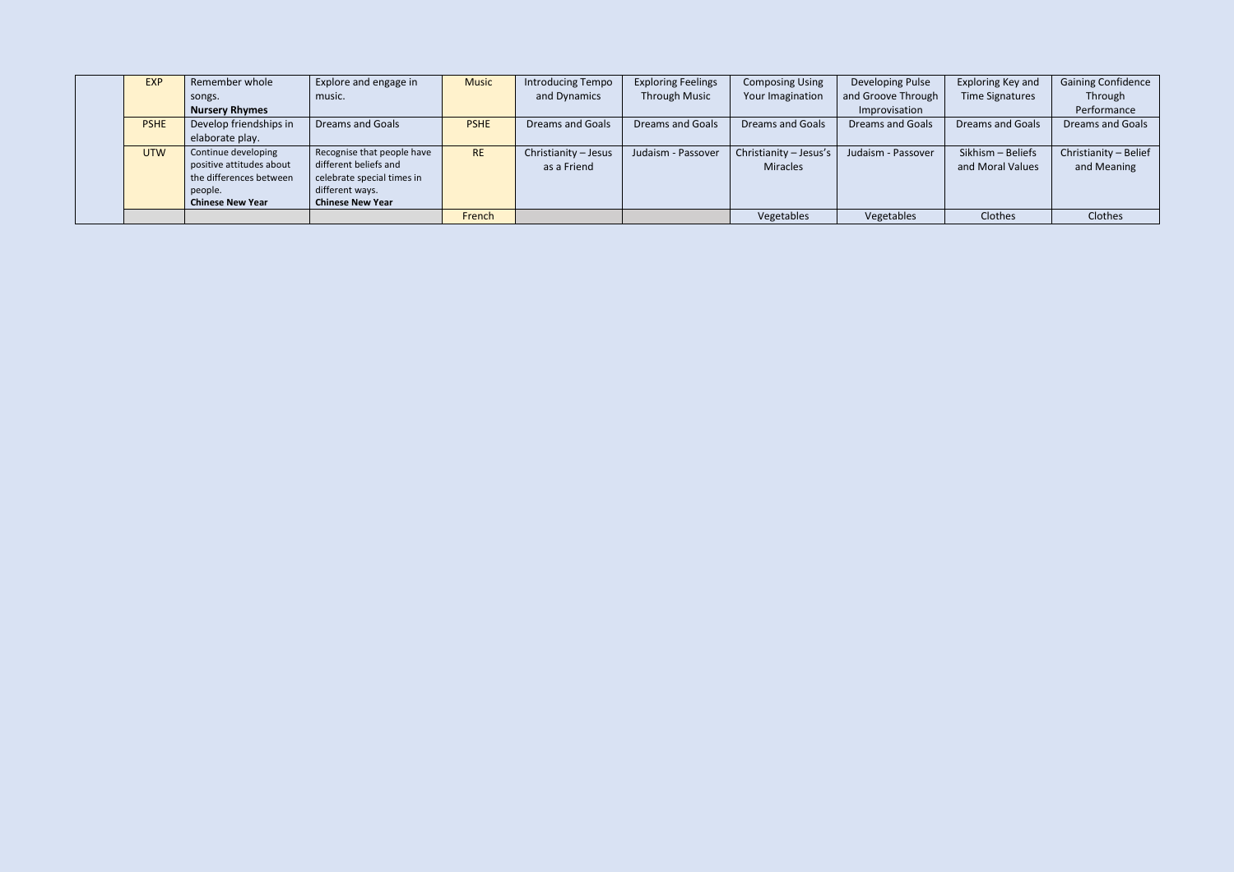| <b>EXP</b>  | Remember whole                                                                                                   | Explore and engage in                                                                                                           | <b>Music</b> | <b>Introducing Tempo</b>            | <b>Exploring Feelings</b> | <b>Composing Using</b>                    | Developing Pulse        | Exploring Key and                     | <b>Gaining Confidence</b>            |
|-------------|------------------------------------------------------------------------------------------------------------------|---------------------------------------------------------------------------------------------------------------------------------|--------------|-------------------------------------|---------------------------|-------------------------------------------|-------------------------|---------------------------------------|--------------------------------------|
|             | songs.                                                                                                           | music.                                                                                                                          |              | and Dynamics                        | <b>Through Music</b>      | Your Imagination                          | and Groove Through      | Time Signatures                       | Through                              |
|             | <b>Nursery Rhymes</b>                                                                                            |                                                                                                                                 |              |                                     |                           |                                           | Improvisation           |                                       | Performance                          |
| <b>PSHE</b> | Develop friendships in                                                                                           | <b>Dreams and Goals</b>                                                                                                         | <b>PSHE</b>  | <b>Dreams and Goals</b>             | <b>Dreams and Goals</b>   | <b>Dreams and Goals</b>                   | <b>Dreams and Goals</b> | <b>Dreams and Goals</b>               | <b>Dreams and Goals</b>              |
|             | elaborate play.                                                                                                  |                                                                                                                                 |              |                                     |                           |                                           |                         |                                       |                                      |
| <b>UTW</b>  | Continue developing<br>positive attitudes about<br>the differences between<br>people.<br><b>Chinese New Year</b> | Recognise that people have<br>different beliefs and<br>celebrate special times in<br>different ways.<br><b>Chinese New Year</b> | <b>RE</b>    | Christianity - Jesus<br>as a Friend | Judaism - Passover        | Christianity - Jesus's<br><b>Miracles</b> | Judaism - Passover      | Sikhism - Beliefs<br>and Moral Values | Christianity - Belief<br>and Meaning |
|             |                                                                                                                  |                                                                                                                                 | French       |                                     |                           | Vegetables                                | Vegetables              | Clothes                               | Clothes                              |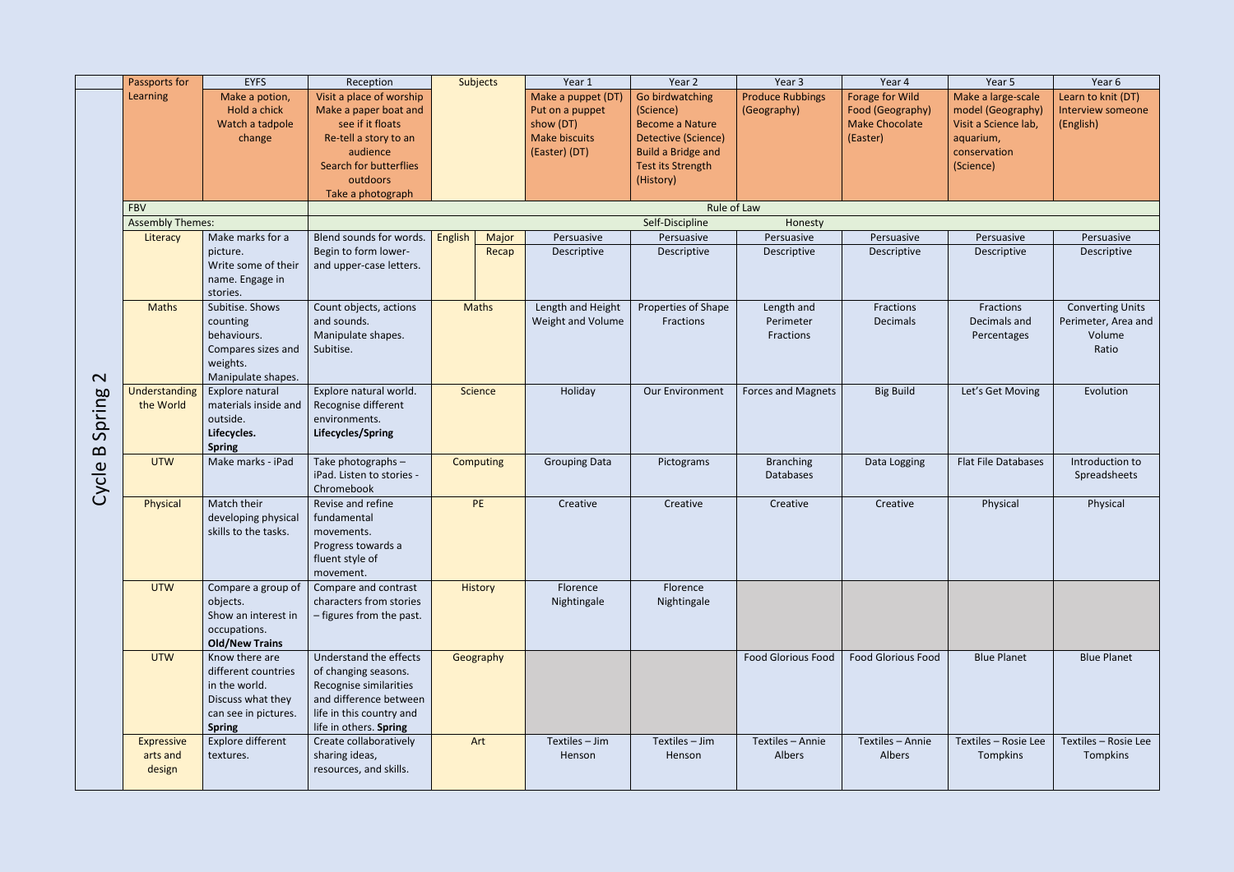|                                   | Passports for           | <b>EYFS</b>           | Reception                 |         | Subjects         | Year 1               | Year 2                    | Year 3                    | Year 4                    | Year 5                     | Year 6                  |
|-----------------------------------|-------------------------|-----------------------|---------------------------|---------|------------------|----------------------|---------------------------|---------------------------|---------------------------|----------------------------|-------------------------|
|                                   | Learning                | Make a potion,        | Visit a place of worship  |         |                  | Make a puppet (DT)   | Go birdwatching           | <b>Produce Rubbings</b>   | Forage for Wild           | Make a large-scale         | Learn to knit (DT)      |
|                                   |                         | Hold a chick          |                           |         |                  |                      |                           |                           |                           |                            |                         |
|                                   |                         |                       | Make a paper boat and     |         |                  | Put on a puppet      | (Science)                 | (Geography)               | Food (Geography)          | model (Geography)          | Interview someone       |
|                                   |                         | Watch a tadpole       | see if it floats          |         |                  | show (DT)            | <b>Become a Nature</b>    |                           | <b>Make Chocolate</b>     | Visit a Science lab,       | (English)               |
|                                   |                         | change                | Re-tell a story to an     |         |                  | <b>Make biscuits</b> | Detective (Science)       |                           | (Easter)                  | aquarium,                  |                         |
|                                   |                         |                       | audience                  |         |                  | (Easter) (DT)        | <b>Build a Bridge and</b> |                           |                           | conservation               |                         |
|                                   |                         |                       | Search for butterflies    |         |                  |                      | Test its Strength         |                           |                           | (Science)                  |                         |
|                                   |                         |                       | outdoors                  |         |                  |                      | (History)                 |                           |                           |                            |                         |
|                                   | <b>FBV</b>              |                       | Take a photograph         |         |                  |                      | Rule of Law               |                           |                           |                            |                         |
|                                   | <b>Assembly Themes:</b> |                       |                           |         |                  |                      | Self-Discipline           | Honesty                   |                           |                            |                         |
|                                   | Literacy                | Make marks for a      | Blend sounds for words.   | English | Major            | Persuasive           | Persuasive                | Persuasive                | Persuasive                | Persuasive                 | Persuasive              |
|                                   |                         | picture.              | Begin to form lower-      |         |                  | Descriptive          | Descriptive               | Descriptive               | Descriptive               | Descriptive                | Descriptive             |
|                                   |                         | Write some of their   | and upper-case letters.   |         | Recap            |                      |                           |                           |                           |                            |                         |
|                                   |                         | name. Engage in       |                           |         |                  |                      |                           |                           |                           |                            |                         |
|                                   |                         | stories.              |                           |         |                  |                      |                           |                           |                           |                            |                         |
|                                   | <b>Maths</b>            | Subitise. Shows       | Count objects, actions    |         | Maths            | Length and Height    | Properties of Shape       | Length and                | Fractions                 | Fractions                  | <b>Converting Units</b> |
|                                   |                         | counting              | and sounds.               |         |                  | Weight and Volume    | Fractions                 | Perimeter                 | Decimals                  | Decimals and               | Perimeter, Area and     |
|                                   |                         | behaviours.           | Manipulate shapes.        |         |                  |                      |                           | Fractions                 |                           | Percentages                | Volume                  |
|                                   |                         | Compares sizes and    | Subitise.                 |         |                  |                      |                           |                           |                           |                            | Ratio                   |
|                                   |                         | weights.              |                           |         |                  |                      |                           |                           |                           |                            |                         |
| $\mathbf{\Omega}$                 |                         | Manipulate shapes.    |                           |         |                  |                      |                           |                           |                           |                            |                         |
|                                   | Understanding           | Explore natural       | Explore natural world.    |         | Science          | Holiday              | Our Environment           | <b>Forces and Magnets</b> | <b>Big Build</b>          | Let's Get Moving           | Evolution               |
| jpring                            | the World               | materials inside and  | Recognise different       |         |                  |                      |                           |                           |                           |                            |                         |
|                                   |                         | outside.              | environments.             |         |                  |                      |                           |                           |                           |                            |                         |
| $\mathcal{L}$                     |                         | Lifecycles.           | Lifecycles/Spring         |         |                  |                      |                           |                           |                           |                            |                         |
| $\boldsymbol{\underline{\infty}}$ |                         | <b>Spring</b>         |                           |         |                  |                      |                           |                           |                           |                            |                         |
|                                   | <b>UTW</b>              | Make marks - iPad     | Take photographs -        |         | <b>Computing</b> | <b>Grouping Data</b> | Pictograms                | <b>Branching</b>          | Data Logging              | <b>Flat File Databases</b> | Introduction to         |
|                                   |                         |                       | iPad. Listen to stories - |         |                  |                      |                           | <b>Databases</b>          |                           |                            | Spreadsheets            |
| Cycle                             |                         |                       | Chromebook                |         |                  |                      |                           |                           |                           |                            |                         |
|                                   | Physical                | Match their           | Revise and refine         |         | <b>PE</b>        | Creative             | Creative                  | Creative                  | Creative                  | Physical                   | Physical                |
|                                   |                         | developing physical   | fundamental               |         |                  |                      |                           |                           |                           |                            |                         |
|                                   |                         | skills to the tasks.  | movements.                |         |                  |                      |                           |                           |                           |                            |                         |
|                                   |                         |                       | Progress towards a        |         |                  |                      |                           |                           |                           |                            |                         |
|                                   |                         |                       | fluent style of           |         |                  |                      |                           |                           |                           |                            |                         |
|                                   |                         |                       | movement.                 |         |                  |                      |                           |                           |                           |                            |                         |
|                                   | <b>UTW</b>              | Compare a group of    | Compare and contrast      |         | <b>History</b>   | Florence             | Florence                  |                           |                           |                            |                         |
|                                   |                         | objects.              | characters from stories   |         |                  | Nightingale          | Nightingale               |                           |                           |                            |                         |
|                                   |                         | Show an interest in   | - figures from the past.  |         |                  |                      |                           |                           |                           |                            |                         |
|                                   |                         | occupations.          |                           |         |                  |                      |                           |                           |                           |                            |                         |
|                                   |                         | <b>Old/New Trains</b> |                           |         |                  |                      |                           |                           |                           |                            |                         |
|                                   | <b>UTW</b>              | Know there are        | Understand the effects    |         | Geography        |                      |                           | <b>Food Glorious Food</b> | <b>Food Glorious Food</b> | <b>Blue Planet</b>         | <b>Blue Planet</b>      |
|                                   |                         | different countries   | of changing seasons.      |         |                  |                      |                           |                           |                           |                            |                         |
|                                   |                         | in the world.         | Recognise similarities    |         |                  |                      |                           |                           |                           |                            |                         |
|                                   |                         | Discuss what they     | and difference between    |         |                  |                      |                           |                           |                           |                            |                         |
|                                   |                         | can see in pictures.  | life in this country and  |         |                  |                      |                           |                           |                           |                            |                         |
|                                   |                         | <b>Spring</b>         | life in others. Spring    |         |                  |                      |                           |                           |                           |                            |                         |
|                                   | <b>Expressive</b>       | Explore different     | Create collaboratively    |         | Art              | Textiles - Jim       | Textiles - Jim            | Textiles - Annie          | Textiles - Annie          | Textiles - Rosie Lee       | Textiles - Rosie Lee    |
|                                   | arts and                | textures.             | sharing ideas,            |         |                  | Henson               | Henson                    | Albers                    | Albers                    | Tompkins                   | Tompkins                |
|                                   | design                  |                       | resources, and skills.    |         |                  |                      |                           |                           |                           |                            |                         |
|                                   |                         |                       |                           |         |                  |                      |                           |                           |                           |                            |                         |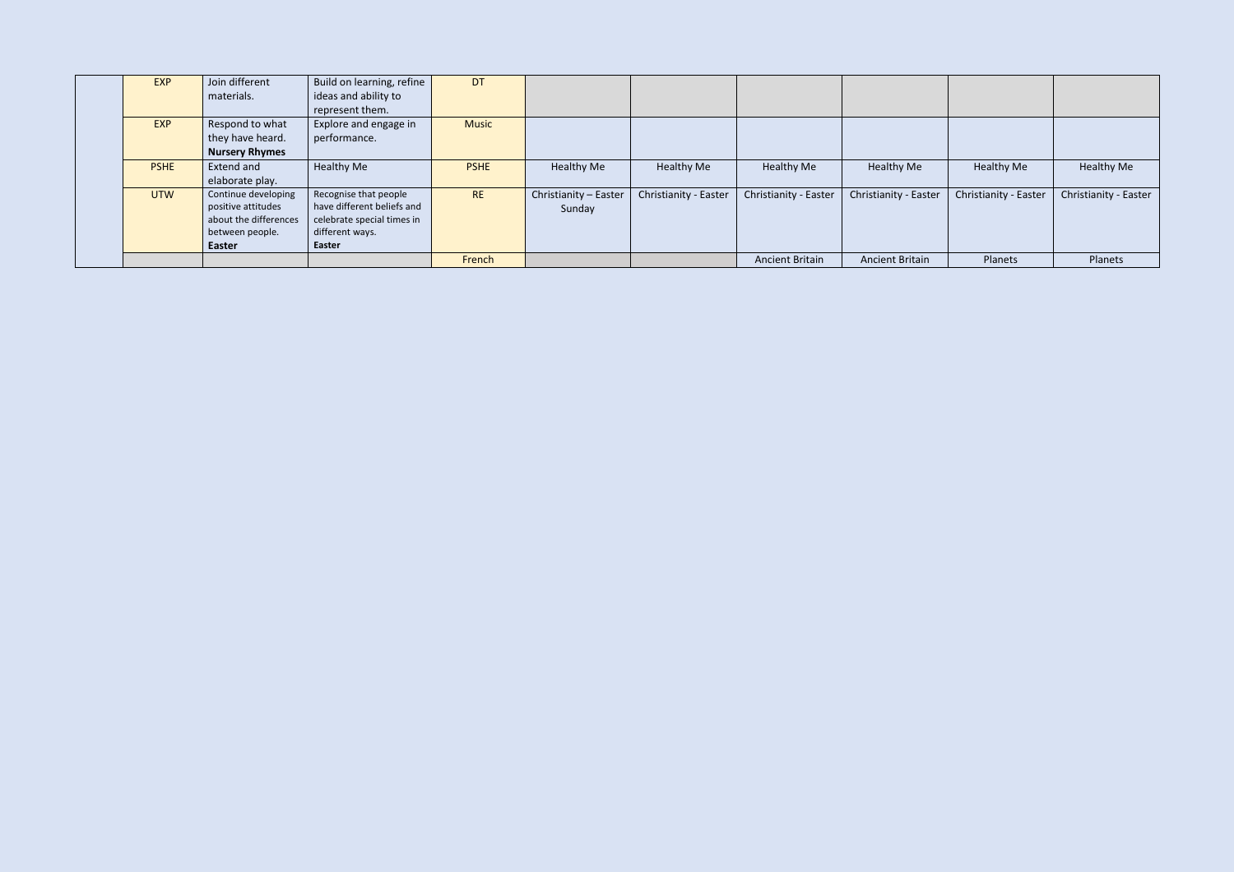| <b>EXP</b>  | Join different<br>materials.                                                                    | Build on learning, refine<br>ideas and ability to<br>represent them.                                           | <b>DT</b>    |                                 |                       |                        |                        |                       |                       |
|-------------|-------------------------------------------------------------------------------------------------|----------------------------------------------------------------------------------------------------------------|--------------|---------------------------------|-----------------------|------------------------|------------------------|-----------------------|-----------------------|
| <b>EXP</b>  | Respond to what<br>they have heard.<br><b>Nursery Rhymes</b>                                    | Explore and engage in<br>performance.                                                                          | <b>Music</b> |                                 |                       |                        |                        |                       |                       |
| <b>PSHE</b> | Extend and<br>elaborate play.                                                                   | <b>Healthy Me</b>                                                                                              | <b>PSHE</b>  | <b>Healthy Me</b>               | Healthy Me            | <b>Healthy Me</b>      | Healthy Me             | Healthy Me            | Healthy Me            |
| <b>UTW</b>  | Continue developing<br>positive attitudes<br>about the differences<br>between people.<br>Easter | Recognise that people<br>have different beliefs and<br>celebrate special times in<br>different ways.<br>Easter | <b>RE</b>    | Christianity - Easter<br>Sunday | Christianity - Easter | Christianity - Easter  | Christianity - Easter  | Christianity - Easter | Christianity - Easter |
|             |                                                                                                 |                                                                                                                | French       |                                 |                       | <b>Ancient Britain</b> | <b>Ancient Britain</b> | Planets               | Planets               |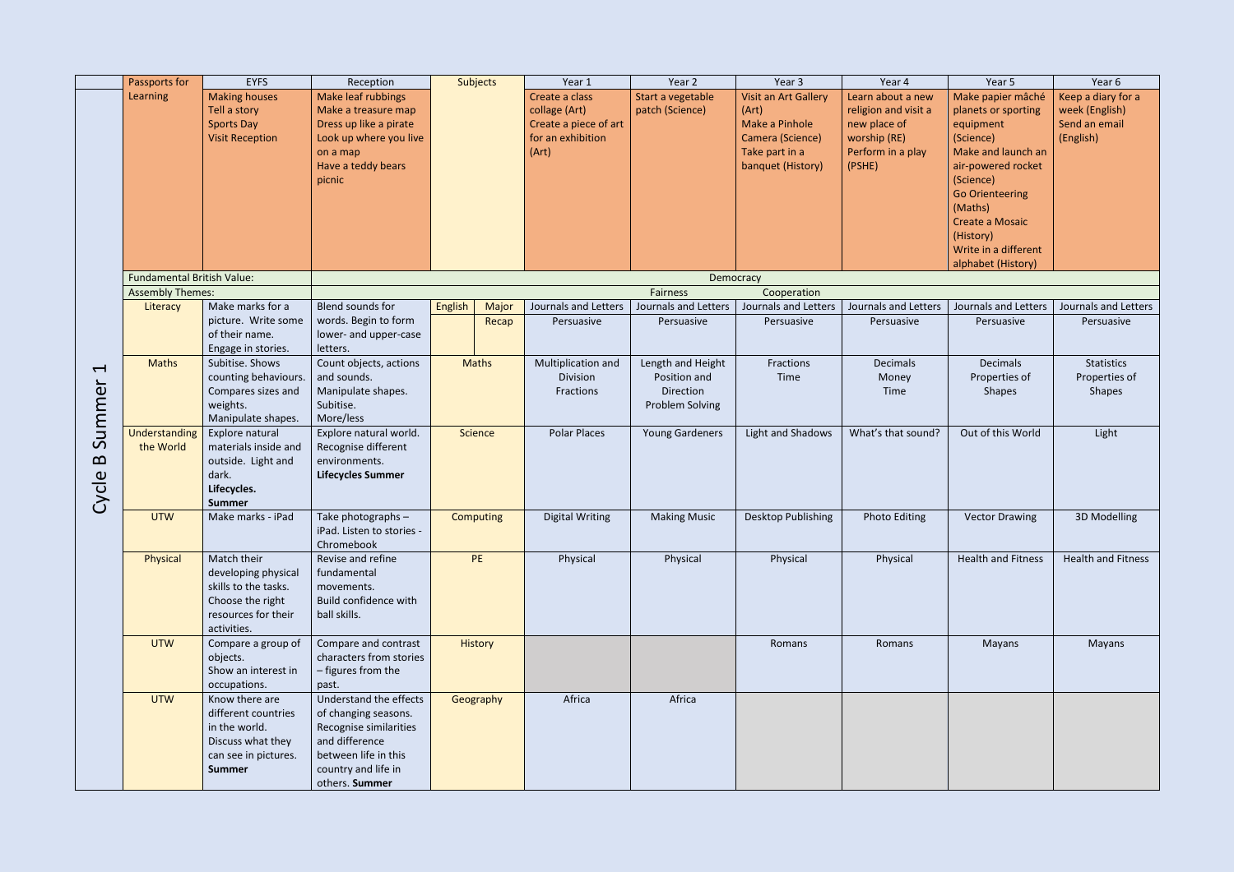|                                | Passports for                       | <b>EYFS</b>                                                                                                          | Reception                                                                                                                                                   |         | <b>Subjects</b> | Year 1                                                                                 | Year 2                                                            | Year 3                                                                                                     | Year 4                                                                                                   | Year 5                                                                                                                                                                                                                                         | Year 6                                                             |
|--------------------------------|-------------------------------------|----------------------------------------------------------------------------------------------------------------------|-------------------------------------------------------------------------------------------------------------------------------------------------------------|---------|-----------------|----------------------------------------------------------------------------------------|-------------------------------------------------------------------|------------------------------------------------------------------------------------------------------------|----------------------------------------------------------------------------------------------------------|------------------------------------------------------------------------------------------------------------------------------------------------------------------------------------------------------------------------------------------------|--------------------------------------------------------------------|
|                                | Learning                            | <b>Making houses</b><br>Tell a story<br><b>Sports Day</b><br><b>Visit Reception</b>                                  | Make leaf rubbings<br>Make a treasure map<br>Dress up like a pirate<br>Look up where you live<br>on a map<br>Have a teddy bears<br>picnic                   |         |                 | Create a class<br>collage (Art)<br>Create a piece of art<br>for an exhibition<br>(Art) | Start a vegetable<br>patch (Science)                              | Visit an Art Gallery<br>(Art)<br>Make a Pinhole<br>Camera (Science)<br>Take part in a<br>banquet (History) | Learn about a new<br>religion and visit a<br>new place of<br>worship (RE)<br>Perform in a play<br>(PSHE) | Make papier mâché<br>planets or sporting<br>equipment<br>(Science)<br>Make and launch an<br>air-powered rocket<br>(Science)<br><b>Go Orienteering</b><br>(Maths)<br>Create a Mosaic<br>(History)<br>Write in a different<br>alphabet (History) | Keep a diary for a<br>week (English)<br>Send an email<br>(English) |
|                                | <b>Fundamental British Value:</b>   |                                                                                                                      |                                                                                                                                                             |         |                 |                                                                                        |                                                                   | Democracy                                                                                                  |                                                                                                          |                                                                                                                                                                                                                                                |                                                                    |
|                                | <b>Assembly Themes:</b><br>Literacy | Make marks for a                                                                                                     | Blend sounds for                                                                                                                                            | English | Major           | Journals and Letters                                                                   | <b>Fairness</b><br>Journals and Letters                           | Cooperation<br>Journals and Letters                                                                        | Journals and Letters                                                                                     | Journals and Letters                                                                                                                                                                                                                           | Journals and Letters                                               |
|                                |                                     | picture. Write some<br>of their name.<br>Engage in stories.                                                          | words. Begin to form<br>lower- and upper-case<br>letters.                                                                                                   |         | Recap           | Persuasive                                                                             | Persuasive                                                        | Persuasive                                                                                                 | Persuasive                                                                                               | Persuasive                                                                                                                                                                                                                                     | Persuasive                                                         |
| $\blacktriangleleft$<br>Summer | <b>Maths</b>                        | Subitise. Shows<br>counting behaviours.<br>Compares sizes and<br>weights.<br>Manipulate shapes.                      | Count objects, actions<br>and sounds.<br>Manipulate shapes.<br>Subitise.<br>More/less                                                                       |         | <b>Maths</b>    | Multiplication and<br>Division<br>Fractions                                            | Length and Height<br>Position and<br>Direction<br>Problem Solving | Fractions<br>Time                                                                                          | Decimals<br>Money<br>Time                                                                                | <b>Decimals</b><br>Properties of<br><b>Shapes</b>                                                                                                                                                                                              | <b>Statistics</b><br>Properties of<br><b>Shapes</b>                |
| $\mathbf{p}$<br>Cycle          | Understanding<br>the World          | Explore natural<br>materials inside and<br>outside. Light and<br>dark.<br>Lifecycles.<br><b>Summer</b>               | Explore natural world.<br>Recognise different<br>environments.<br><b>Lifecycles Summer</b>                                                                  |         | Science         | <b>Polar Places</b>                                                                    | <b>Young Gardeners</b>                                            | Light and Shadows                                                                                          | What's that sound?                                                                                       | Out of this World                                                                                                                                                                                                                              | Light                                                              |
|                                | <b>UTW</b>                          | Make marks - iPad                                                                                                    | Take photographs -<br>iPad. Listen to stories -<br>Chromebook                                                                                               |         | Computing       | <b>Digital Writing</b>                                                                 | <b>Making Music</b>                                               | Desktop Publishing                                                                                         | <b>Photo Editing</b>                                                                                     | <b>Vector Drawing</b>                                                                                                                                                                                                                          | 3D Modelling                                                       |
|                                | Physical                            | Match their<br>developing physical<br>skills to the tasks.<br>Choose the right<br>resources for their<br>activities. | Revise and refine<br>fundamental<br>movements.<br>Build confidence with<br>ball skills.                                                                     |         | PE              | Physical                                                                               | Physical                                                          | Physical                                                                                                   | Physical                                                                                                 | <b>Health and Fitness</b>                                                                                                                                                                                                                      | <b>Health and Fitness</b>                                          |
|                                | <b>UTW</b>                          | Compare a group of<br>objects.<br>Show an interest in<br>occupations.                                                | Compare and contrast<br>characters from stories<br>- figures from the<br>past.                                                                              |         | History         |                                                                                        |                                                                   | Romans                                                                                                     | Romans                                                                                                   | Mayans                                                                                                                                                                                                                                         | Mayans                                                             |
|                                | <b>UTW</b>                          | Know there are<br>different countries<br>in the world.<br>Discuss what they<br>can see in pictures.<br><b>Summer</b> | Understand the effects<br>of changing seasons.<br>Recognise similarities<br>and difference<br>between life in this<br>country and life in<br>others. Summer |         | Geography       | Africa                                                                                 | Africa                                                            |                                                                                                            |                                                                                                          |                                                                                                                                                                                                                                                |                                                                    |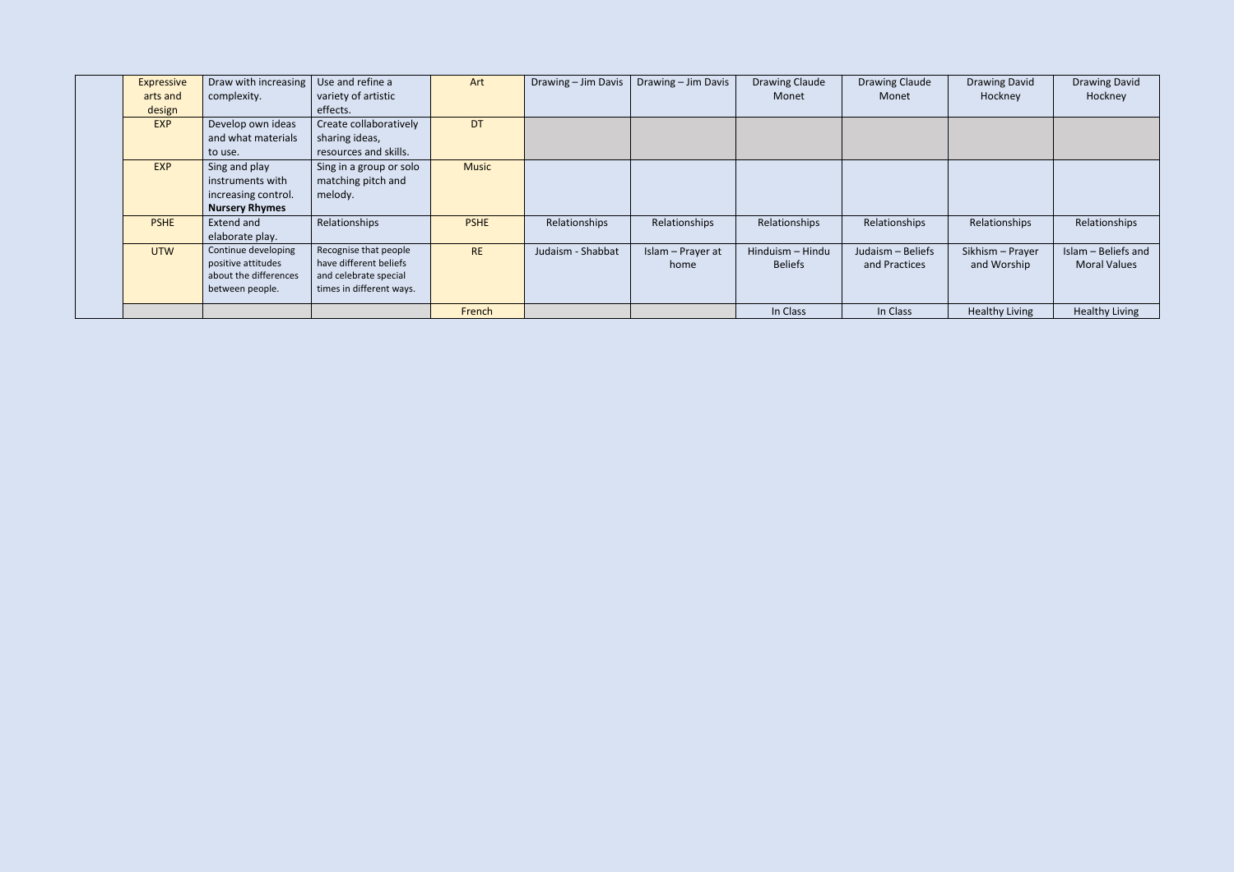| Expressive  | Draw with increasing  | Use and refine a         | Art          | Drawing - Jim Davis | Drawing - Jim Davis | Drawing Claude   | Drawing Claude    | <b>Drawing David</b>  | <b>Drawing David</b>  |
|-------------|-----------------------|--------------------------|--------------|---------------------|---------------------|------------------|-------------------|-----------------------|-----------------------|
| arts and    | complexity.           | variety of artistic      |              |                     |                     | Monet            | Monet             | Hockney               | Hockney               |
| design      |                       | effects.                 |              |                     |                     |                  |                   |                       |                       |
| <b>EXP</b>  | Develop own ideas     | Create collaboratively   | <b>DT</b>    |                     |                     |                  |                   |                       |                       |
|             | and what materials    | sharing ideas,           |              |                     |                     |                  |                   |                       |                       |
|             | to use.               | resources and skills.    |              |                     |                     |                  |                   |                       |                       |
| <b>EXP</b>  | Sing and play         | Sing in a group or solo  | <b>Music</b> |                     |                     |                  |                   |                       |                       |
|             | instruments with      | matching pitch and       |              |                     |                     |                  |                   |                       |                       |
|             | increasing control.   | melody.                  |              |                     |                     |                  |                   |                       |                       |
|             | <b>Nursery Rhymes</b> |                          |              |                     |                     |                  |                   |                       |                       |
| <b>PSHE</b> | Extend and            | Relationships            | <b>PSHE</b>  | Relationships       | Relationships       | Relationships    | Relationships     | Relationships         | Relationships         |
|             | elaborate play.       |                          |              |                     |                     |                  |                   |                       |                       |
| <b>UTW</b>  | Continue developing   | Recognise that people    | <b>RE</b>    | Judaism - Shabbat   | Islam - Prayer at   | Hinduism - Hindu | Judaism - Beliefs | Sikhism - Prayer      | Islam - Beliefs and   |
|             | positive attitudes    | have different beliefs   |              |                     | home                | <b>Beliefs</b>   | and Practices     | and Worship           | <b>Moral Values</b>   |
|             | about the differences | and celebrate special    |              |                     |                     |                  |                   |                       |                       |
|             | between people.       | times in different ways. |              |                     |                     |                  |                   |                       |                       |
|             |                       |                          |              |                     |                     |                  |                   |                       |                       |
|             |                       |                          | French       |                     |                     | In Class         | In Class          | <b>Healthy Living</b> | <b>Healthy Living</b> |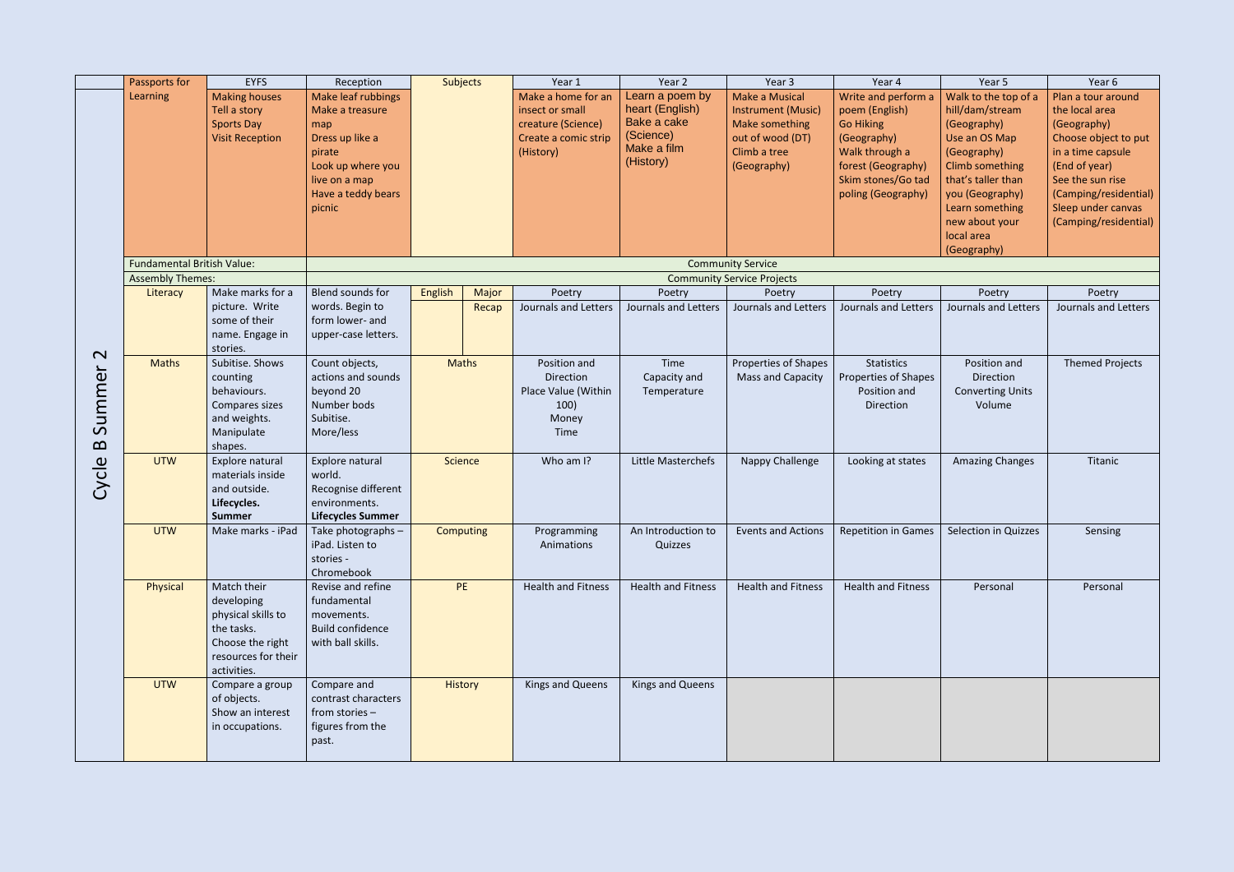|                                         | Passports for                                                | <b>EYFS</b>                                                                                                             | Reception                                                                                                                                       | Subjects     |       | Year 1                                                                                           | Year 2                                                                                     | Year 3                                                                                                           | Year 4                                                                                                                                                       | Year 5                                                                                                                                                                                                               | Year 6                                                                                                                                                                                                        |
|-----------------------------------------|--------------------------------------------------------------|-------------------------------------------------------------------------------------------------------------------------|-------------------------------------------------------------------------------------------------------------------------------------------------|--------------|-------|--------------------------------------------------------------------------------------------------|--------------------------------------------------------------------------------------------|------------------------------------------------------------------------------------------------------------------|--------------------------------------------------------------------------------------------------------------------------------------------------------------|----------------------------------------------------------------------------------------------------------------------------------------------------------------------------------------------------------------------|---------------------------------------------------------------------------------------------------------------------------------------------------------------------------------------------------------------|
|                                         | Learning                                                     | <b>Making houses</b><br>Tell a story<br><b>Sports Day</b><br><b>Visit Reception</b>                                     | Make leaf rubbings<br>Make a treasure<br>map<br>Dress up like a<br>pirate<br>Look up where you<br>live on a map<br>Have a teddy bears<br>picnic |              |       | Make a home for an<br>insect or small<br>creature (Science)<br>Create a comic strip<br>(History) | Learn a poem by<br>heart (English)<br>Bake a cake<br>(Science)<br>Make a film<br>(History) | <b>Make a Musical</b><br>Instrument (Music)<br>Make something<br>out of wood (DT)<br>Climb a tree<br>(Geography) | Write and perform a<br>poem (English)<br><b>Go Hiking</b><br>(Geography)<br>Walk through a<br>forest (Geography)<br>Skim stones/Go tad<br>poling (Geography) | Walk to the top of a<br>hill/dam/stream<br>(Geography)<br>Use an OS Map<br>(Geography)<br>Climb something<br>that's taller than<br>you (Geography)<br>Learn something<br>new about your<br>local area<br>(Geography) | Plan a tour around<br>the local area<br>(Geography)<br>Choose object to put<br>in a time capsule<br>(End of year)<br>See the sun rise<br>(Camping/residential)<br>Sleep under canvas<br>(Camping/residential) |
|                                         | <b>Fundamental British Value:</b><br><b>Assembly Themes:</b> |                                                                                                                         |                                                                                                                                                 |              |       |                                                                                                  |                                                                                            | <b>Community Service</b><br><b>Community Service Projects</b>                                                    |                                                                                                                                                              |                                                                                                                                                                                                                      |                                                                                                                                                                                                               |
|                                         | Literacy                                                     | Make marks for a                                                                                                        | Blend sounds for                                                                                                                                | English      | Major | Poetry                                                                                           | Poetry                                                                                     | Poetry                                                                                                           | Poetry                                                                                                                                                       | Poetry                                                                                                                                                                                                               | Poetry                                                                                                                                                                                                        |
|                                         |                                                              | picture. Write<br>some of their<br>name. Engage in<br>stories.                                                          | words. Begin to<br>form lower- and<br>upper-case letters.                                                                                       |              | Recap | Journals and Letters                                                                             | Journals and Letters                                                                       | Journals and Letters                                                                                             | Journals and Letters                                                                                                                                         | Journals and Letters                                                                                                                                                                                                 | Journals and Letters                                                                                                                                                                                          |
| $\mathbf{\Omega}$<br>Summer<br>$\bf{m}$ | <b>Maths</b>                                                 | Subitise. Shows<br>counting<br>behaviours.<br>Compares sizes<br>and weights.<br>Manipulate<br>shapes.                   | Count objects,<br>actions and sounds<br>beyond 20<br>Number bods<br>Subitise.<br>More/less                                                      | <b>Maths</b> |       | Position and<br>Direction<br>Place Value (Within<br>100)<br>Money<br>Time                        | Time<br>Capacity and<br>Temperature                                                        | Properties of Shapes<br>Mass and Capacity                                                                        | <b>Statistics</b><br>Properties of Shapes<br>Position and<br>Direction                                                                                       | Position and<br>Direction<br><b>Converting Units</b><br>Volume                                                                                                                                                       | <b>Themed Projects</b>                                                                                                                                                                                        |
| Cycle                                   | <b>UTW</b>                                                   | Explore natural<br>materials inside<br>and outside.<br>Lifecycles.<br>Summer                                            | Explore natural<br>world.<br>Recognise different<br>environments.<br><b>Lifecycles Summer</b>                                                   | Science      |       | Who am I?                                                                                        | Little Masterchefs                                                                         | Nappy Challenge                                                                                                  | Looking at states                                                                                                                                            | <b>Amazing Changes</b>                                                                                                                                                                                               | Titanic                                                                                                                                                                                                       |
|                                         | <b>UTW</b>                                                   | Make marks - iPad                                                                                                       | Take photographs -<br>iPad. Listen to<br>stories -<br>Chromebook                                                                                | Computing    |       | Programming<br>Animations                                                                        | An Introduction to<br>Quizzes                                                              | <b>Events and Actions</b>                                                                                        | <b>Repetition in Games</b>                                                                                                                                   | <b>Selection in Quizzes</b>                                                                                                                                                                                          | Sensing                                                                                                                                                                                                       |
|                                         | Physical                                                     | Match their<br>developing<br>physical skills to<br>the tasks.<br>Choose the right<br>resources for their<br>activities. | Revise and refine<br>fundamental<br>movements.<br><b>Build confidence</b><br>with ball skills.                                                  | PE           |       | <b>Health and Fitness</b>                                                                        | <b>Health and Fitness</b>                                                                  | <b>Health and Fitness</b>                                                                                        | <b>Health and Fitness</b>                                                                                                                                    | Personal                                                                                                                                                                                                             | Personal                                                                                                                                                                                                      |
|                                         | <b>UTW</b>                                                   | Compare a group<br>of objects.<br>Show an interest<br>in occupations.                                                   | Compare and<br>contrast characters<br>from stories -<br>figures from the<br>past.                                                               | History      |       | Kings and Queens                                                                                 | Kings and Queens                                                                           |                                                                                                                  |                                                                                                                                                              |                                                                                                                                                                                                                      |                                                                                                                                                                                                               |